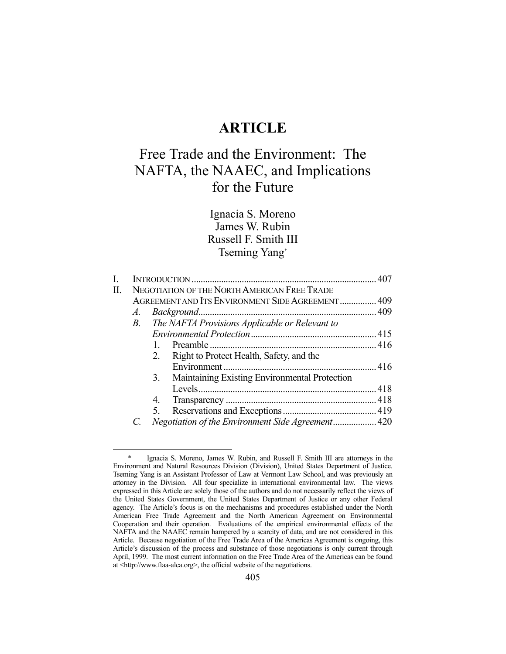# **ARTICLE**

# Free Trade and the Environment: The NAFTA, the NAAEC, and Implications for the Future

Ignacia S. Moreno James W. Rubin Russell F. Smith III Tseming Yang\*

| NEGOTIATION OF THE NORTH AMERICAN FREE TRADE<br>П. |                                                   |                                                               |  |  |  |
|----------------------------------------------------|---------------------------------------------------|---------------------------------------------------------------|--|--|--|
| AGREEMENT AND ITS ENVIRONMENT SIDE AGREEMENT 409   |                                                   |                                                               |  |  |  |
|                                                    |                                                   |                                                               |  |  |  |
|                                                    |                                                   |                                                               |  |  |  |
|                                                    |                                                   |                                                               |  |  |  |
|                                                    |                                                   |                                                               |  |  |  |
|                                                    | Right to Protect Health, Safety, and the<br>2.    |                                                               |  |  |  |
|                                                    |                                                   |                                                               |  |  |  |
|                                                    | 3. Maintaining Existing Environmental Protection  |                                                               |  |  |  |
|                                                    |                                                   |                                                               |  |  |  |
|                                                    | 4.                                                |                                                               |  |  |  |
|                                                    | 5.                                                |                                                               |  |  |  |
|                                                    | Negotiation of the Environment Side Agreement 420 |                                                               |  |  |  |
|                                                    |                                                   | A.<br>The NAFTA Provisions Applicable or Relevant to<br>$B$ . |  |  |  |

Ignacia S. Moreno, James W. Rubin, and Russell F. Smith III are attorneys in the Environment and Natural Resources Division (Division), United States Department of Justice. Tseming Yang is an Assistant Professor of Law at Vermont Law School, and was previously an attorney in the Division. All four specialize in international environmental law. The views expressed in this Article are solely those of the authors and do not necessarily reflect the views of the United States Government, the United States Department of Justice or any other Federal agency. The Article's focus is on the mechanisms and procedures established under the North American Free Trade Agreement and the North American Agreement on Environmental Cooperation and their operation. Evaluations of the empirical environmental effects of the NAFTA and the NAAEC remain hampered by a scarcity of data, and are not considered in this Article. Because negotiation of the Free Trade Area of the Americas Agreement is ongoing, this Article's discussion of the process and substance of those negotiations is only current through April, 1999. The most current information on the Free Trade Area of the Americas can be found at <http://www.ftaa-alca.org>, the official website of the negotiations.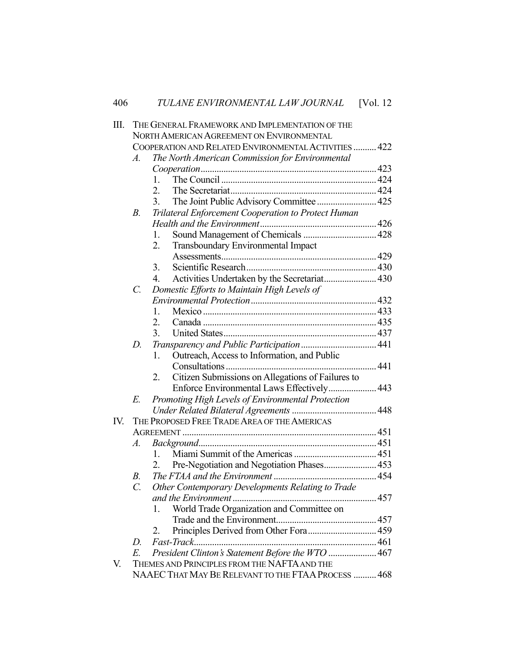| Ш.  |             | THE GENERAL FRAMEWORK AND IMPLEMENTATION OF THE         |  |  |  |  |  |
|-----|-------------|---------------------------------------------------------|--|--|--|--|--|
|     |             | NORTH AMERICAN AGREEMENT ON ENVIRONMENTAL               |  |  |  |  |  |
|     |             | COOPERATION AND RELATED ENVIRONMENTAL ACTIVITIES  422   |  |  |  |  |  |
|     | $A$ .       | The North American Commission for Environmental         |  |  |  |  |  |
|     |             |                                                         |  |  |  |  |  |
|     |             | 1.                                                      |  |  |  |  |  |
|     |             | 2.                                                      |  |  |  |  |  |
|     |             | The Joint Public Advisory Committee  425<br>3.          |  |  |  |  |  |
|     | $B_{\cdot}$ | Trilateral Enforcement Cooperation to Protect Human     |  |  |  |  |  |
|     |             |                                                         |  |  |  |  |  |
|     |             | 1.                                                      |  |  |  |  |  |
|     |             | Transboundary Environmental Impact<br>2.                |  |  |  |  |  |
|     |             |                                                         |  |  |  |  |  |
|     |             | 3.                                                      |  |  |  |  |  |
|     |             | Activities Undertaken by the Secretariat 430<br>4.      |  |  |  |  |  |
|     | C.          | Domestic Efforts to Maintain High Levels of             |  |  |  |  |  |
|     |             |                                                         |  |  |  |  |  |
|     |             | 1.                                                      |  |  |  |  |  |
|     |             | $\overline{2}$ .                                        |  |  |  |  |  |
|     |             | 3.                                                      |  |  |  |  |  |
|     | $D_{\cdot}$ |                                                         |  |  |  |  |  |
|     |             | Outreach, Access to Information, and Public<br>1.       |  |  |  |  |  |
|     |             |                                                         |  |  |  |  |  |
|     |             | Citizen Submissions on Allegations of Failures to<br>2. |  |  |  |  |  |
|     |             | Enforce Environmental Laws Effectively 443              |  |  |  |  |  |
|     | E.          | Promoting High Levels of Environmental Protection       |  |  |  |  |  |
|     |             |                                                         |  |  |  |  |  |
| IV. |             | THE PROPOSED FREE TRADE AREA OF THE AMERICAS            |  |  |  |  |  |
|     |             |                                                         |  |  |  |  |  |
|     | A.          |                                                         |  |  |  |  |  |
|     |             | $1_{-}$                                                 |  |  |  |  |  |
|     |             | Pre-Negotiation and Negotiation Phases 453<br>2.        |  |  |  |  |  |
|     | $B_{\cdot}$ |                                                         |  |  |  |  |  |
|     | C.          | Other Contemporary Developments Relating to Trade       |  |  |  |  |  |
|     |             |                                                         |  |  |  |  |  |
|     |             | World Trade Organization and Committee on<br>1.         |  |  |  |  |  |
|     |             |                                                         |  |  |  |  |  |
|     |             | Principles Derived from Other Fora 459<br>2.            |  |  |  |  |  |
|     | D.          |                                                         |  |  |  |  |  |
|     | Е.          | President Clinton's Statement Before the WTO  467       |  |  |  |  |  |
| V.  |             | THEMES AND PRINCIPLES FROM THE NAFTA AND THE            |  |  |  |  |  |
|     |             | NAAEC THAT MAY BE RELEVANT TO THE FTAA PROCESS  468     |  |  |  |  |  |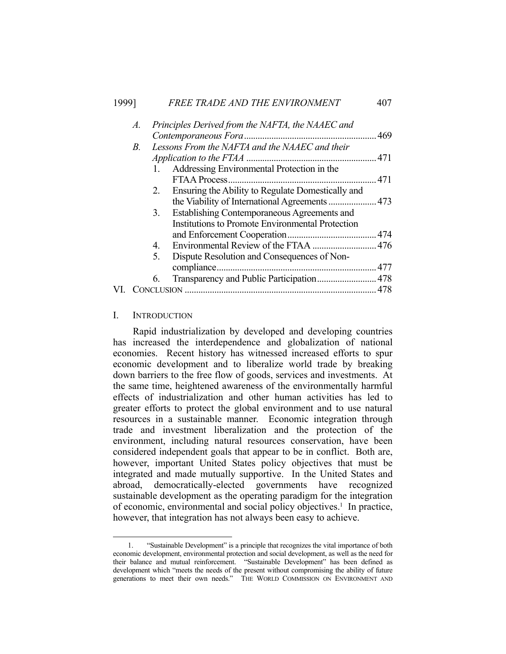# 1999] *FREE TRADE AND THE ENVIRONMENT* 407

| A. |    | Principles Derived from the NAFTA, the NAAEC and        |  |
|----|----|---------------------------------------------------------|--|
|    |    |                                                         |  |
| B. |    | Lessons From the NAFTA and the NAAEC and their          |  |
|    |    |                                                         |  |
|    |    | 1. Addressing Environmental Protection in the           |  |
|    |    |                                                         |  |
|    | 2. | Ensuring the Ability to Regulate Domestically and       |  |
|    |    | the Viability of International Agreements  473          |  |
|    | 3. | Establishing Contemporaneous Agreements and             |  |
|    |    | <b>Institutions to Promote Environmental Protection</b> |  |
|    |    |                                                         |  |
|    | 4. |                                                         |  |
|    | 5. | Dispute Resolution and Consequences of Non-             |  |
|    |    |                                                         |  |
|    | 6. |                                                         |  |
|    |    |                                                         |  |
|    |    |                                                         |  |

## I. INTRODUCTION

1

 Rapid industrialization by developed and developing countries has increased the interdependence and globalization of national economies. Recent history has witnessed increased efforts to spur economic development and to liberalize world trade by breaking down barriers to the free flow of goods, services and investments. At the same time, heightened awareness of the environmentally harmful effects of industrialization and other human activities has led to greater efforts to protect the global environment and to use natural resources in a sustainable manner. Economic integration through trade and investment liberalization and the protection of the environment, including natural resources conservation, have been considered independent goals that appear to be in conflict. Both are, however, important United States policy objectives that must be integrated and made mutually supportive. In the United States and abroad, democratically-elected governments have recognized sustainable development as the operating paradigm for the integration of economic, environmental and social policy objectives.<sup>1</sup> In practice, however, that integration has not always been easy to achieve.

 <sup>1. &</sup>quot;Sustainable Development" is a principle that recognizes the vital importance of both economic development, environmental protection and social development, as well as the need for their balance and mutual reinforcement. "Sustainable Development" has been defined as development which "meets the needs of the present without compromising the ability of future generations to meet their own needs." THE WORLD COMMISSION ON ENVIRONMENT AND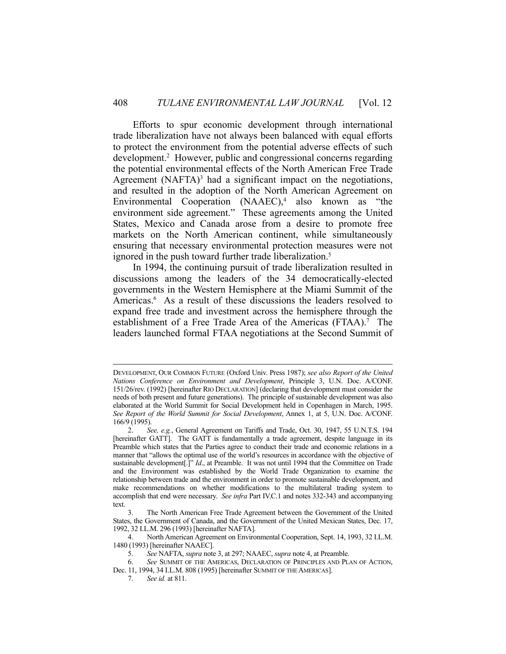Efforts to spur economic development through international trade liberalization have not always been balanced with equal efforts to protect the environment from the potential adverse effects of such development.<sup>2</sup> However, public and congressional concerns regarding the potential environmental effects of the North American Free Trade Agreement  $(NAFTA)^3$  had a significant impact on the negotiations, and resulted in the adoption of the North American Agreement on Environmental Cooperation  $(NAAEC)$ ,<sup>4</sup> also known as "the environment side agreement." These agreements among the United States, Mexico and Canada arose from a desire to promote free markets on the North American continent, while simultaneously ensuring that necessary environmental protection measures were not ignored in the push toward further trade liberalization.<sup>5</sup>

 In 1994, the continuing pursuit of trade liberalization resulted in discussions among the leaders of the 34 democratically-elected governments in the Western Hemisphere at the Miami Summit of the Americas.<sup>6</sup> As a result of these discussions the leaders resolved to expand free trade and investment across the hemisphere through the establishment of a Free Trade Area of the Americas (FTAA).<sup>7</sup> The leaders launched formal FTAA negotiations at the Second Summit of

DEVELOPMENT, OUR COMMON FUTURE (Oxford Univ. Press 1987); *see also Report of the United Nations Conference on Environment and Development*, Principle 3, U.N. Doc. A/CONF. 151/26/rev. (1992) [hereinafter RIO DECLARATION] (declaring that development must consider the needs of both present and future generations). The principle of sustainable development was also elaborated at the World Summit for Social Development held in Copenhagen in March, 1995. *See Report of the World Summit for Social Development*, Annex 1, at 5, U.N. Doc. A/CONF. 166/9 (1995).

 <sup>2.</sup> *See, e.g.*, General Agreement on Tariffs and Trade, Oct. 30, 1947, 55 U.N.T.S. 194 [hereinafter GATT]. The GATT is fundamentally a trade agreement, despite language in its Preamble which states that the Parties agree to conduct their trade and economic relations in a manner that "allows the optimal use of the world's resources in accordance with the objective of sustainable development[.]" *Id*., at Preamble. It was not until 1994 that the Committee on Trade and the Environment was established by the World Trade Organization to examine the relationship between trade and the environment in order to promote sustainable development, and make recommendations on whether modifications to the multilateral trading system to accomplish that end were necessary. *See infra* Part IV.C.1 and notes 332-343 and accompanying text.

 <sup>3.</sup> The North American Free Trade Agreement between the Government of the United States, the Government of Canada, and the Government of the United Mexican States, Dec. 17, 1992, 32 I.L.M. 296 (1993) [hereinafter NAFTA].

 <sup>4.</sup> North American Agreement on Environmental Cooperation, Sept. 14, 1993, 32 I.L.M. 1480 (1993) [hereinafter NAAEC].

 <sup>5.</sup> *See* NAFTA, *supra* note 3, at 297; NAAEC, *supra* note 4, at Preamble.

 <sup>6.</sup> *See* SUMMIT OF THE AMERICAS, DECLARATION OF PRINCIPLES AND PLAN OF ACTION,

Dec. 11, 1994, 34 I.L.M. 808 (1995) [hereinafter SUMMIT OF THE AMERICAS].

 <sup>7.</sup> *See id.* at 811.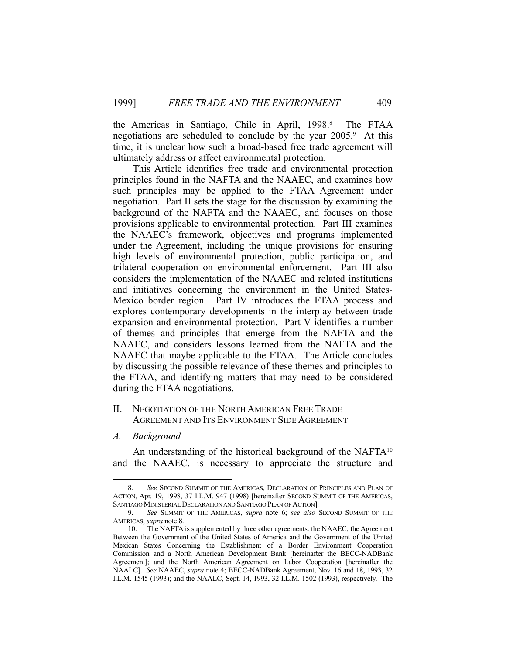the Americas in Santiago, Chile in April, 1998.<sup>8</sup> The FTAA negotiations are scheduled to conclude by the year 2005.<sup>9</sup> At this time, it is unclear how such a broad-based free trade agreement will ultimately address or affect environmental protection.

 This Article identifies free trade and environmental protection principles found in the NAFTA and the NAAEC, and examines how such principles may be applied to the FTAA Agreement under negotiation. Part II sets the stage for the discussion by examining the background of the NAFTA and the NAAEC, and focuses on those provisions applicable to environmental protection. Part III examines the NAAEC's framework, objectives and programs implemented under the Agreement, including the unique provisions for ensuring high levels of environmental protection, public participation, and trilateral cooperation on environmental enforcement. Part III also considers the implementation of the NAAEC and related institutions and initiatives concerning the environment in the United States-Mexico border region. Part IV introduces the FTAA process and explores contemporary developments in the interplay between trade expansion and environmental protection. Part V identifies a number of themes and principles that emerge from the NAFTA and the NAAEC, and considers lessons learned from the NAFTA and the NAAEC that maybe applicable to the FTAA. The Article concludes by discussing the possible relevance of these themes and principles to the FTAA, and identifying matters that may need to be considered during the FTAA negotiations.

## II. NEGOTIATION OF THE NORTH AMERICAN FREE TRADE AGREEMENT AND ITS ENVIRONMENT SIDE AGREEMENT

#### *A. Background*

1

An understanding of the historical background of the NAFT $A^{10}$ and the NAAEC, is necessary to appreciate the structure and

 <sup>8.</sup> *See* SECOND SUMMIT OF THE AMERICAS, DECLARATION OF PRINCIPLES AND PLAN OF ACTION, Apr. 19, 1998, 37 I.L.M. 947 (1998) [hereinafter SECOND SUMMIT OF THE AMERICAS, SANTIAGO MINISTERIAL DECLARATION AND SANTIAGO PLAN OF ACTION].

 <sup>9.</sup> *See* SUMMIT OF THE AMERICAS, *supra* note 6; *see also* SECOND SUMMIT OF THE AMERICAS, *supra* note 8.

 <sup>10.</sup> The NAFTA is supplemented by three other agreements: the NAAEC; the Agreement Between the Government of the United States of America and the Government of the United Mexican States Concerning the Establishment of a Border Environment Cooperation Commission and a North American Development Bank [hereinafter the BECC-NADBank Agreement]; and the North American Agreement on Labor Cooperation [hereinafter the NAALC]. *See* NAAEC, *supra* note 4; BECC-NADBank Agreement, Nov. 16 and 18, 1993, 32 I.L.M. 1545 (1993); and the NAALC, Sept. 14, 1993, 32 I.L.M. 1502 (1993), respectively. The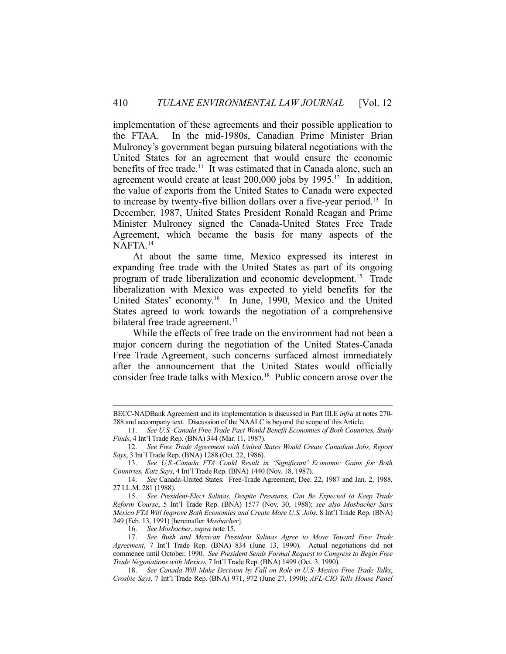implementation of these agreements and their possible application to the FTAA. In the mid-1980s, Canadian Prime Minister Brian Mulroney's government began pursuing bilateral negotiations with the United States for an agreement that would ensure the economic benefits of free trade.<sup>11</sup> It was estimated that in Canada alone, such an agreement would create at least  $200,000$  jobs by  $1995<sup>12</sup>$  In addition, the value of exports from the United States to Canada were expected to increase by twenty-five billion dollars over a five-year period.13 In December, 1987, United States President Ronald Reagan and Prime Minister Mulroney signed the Canada-United States Free Trade Agreement, which became the basis for many aspects of the NAFTA.14

 At about the same time, Mexico expressed its interest in expanding free trade with the United States as part of its ongoing program of trade liberalization and economic development.15 Trade liberalization with Mexico was expected to yield benefits for the United States' economy.16 In June, 1990, Mexico and the United States agreed to work towards the negotiation of a comprehensive bilateral free trade agreement.<sup>17</sup>

 While the effects of free trade on the environment had not been a major concern during the negotiation of the United States-Canada Free Trade Agreement, such concerns surfaced almost immediately after the announcement that the United States would officially consider free trade talks with Mexico.<sup>18</sup> Public concern arose over the

BECC-NADBank Agreement and its implementation is discussed in Part III.E *infra* at notes 270- 288 and accompany text. Discussion of the NAALC is beyond the scope of this Article.

 <sup>11.</sup> *See U.S.-Canada Free Trade Pact Would Benefit Economies of Both Countries, Study Finds*, 4 Int'l Trade Rep. (BNA) 344 (Mar. 11, 1987).

 <sup>12.</sup> *See Free Trade Agreement with United States Would Create Canadian Jobs, Report Says*, 3 Int'l Trade Rep. (BNA) 1288 (Oct. 22, 1986).

 <sup>13.</sup> *See U.S.-Canada FTA Could Result in 'Significant' Economic Gains for Both Countries, Katz Says*, 4 Int'l Trade Rep. (BNA) 1440 (Nov. 18, 1987).

 <sup>14.</sup> *See* Canada-United States: Free-Trade Agreement, Dec. 22, 1987 and Jan. 2, 1988, 27 I.L.M. 281 (1988).

 <sup>15.</sup> *See President-Elect Salinas, Despite Pressures, Can Be Expected to Keep Trade Reform Course*, 5 Int'l Trade Rep. (BNA) 1577 (Nov. 30, 1988); *see also Mosbacher Says Mexico FTA Will Improve Both Economies and Create More U.S. Jobs*, 8 Int'l Trade Rep. (BNA) 249 (Feb. 13, 1991) [hereinafter *Mosbacher*].

 <sup>16.</sup> *See Mosbacher*, *supra* note 15.

 <sup>17.</sup> *See Bush and Mexican President Salinas Agree to Move Toward Free Trade Agreement*, 7 Int'l Trade Rep. (BNA) 834 (June 13, 1990). Actual negotiations did not commence until October, 1990. *See President Sends Formal Request to Congress to Begin Free Trade Negotiations with Mexico*, 7 Int'l Trade Rep.(BNA) 1499 (Oct. 3, 1990).

 <sup>18.</sup> *See Canada Will Make Decision by Fall on Role in U.S.-Mexico Free Trade Talks*, *Crosbie Says*, 7 Int'l Trade Rep. (BNA) 971, 972 (June 27, 1990); *AFL-CIO Tells House Panel*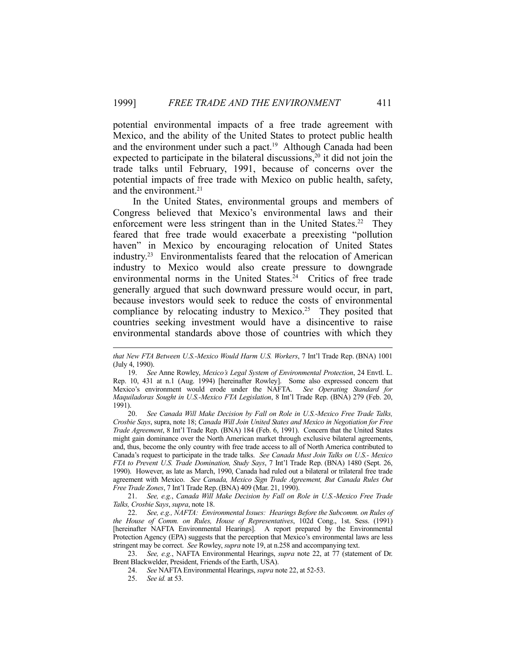potential environmental impacts of a free trade agreement with Mexico, and the ability of the United States to protect public health and the environment under such a pact.<sup>19</sup> Although Canada had been expected to participate in the bilateral discussions,<sup>20</sup> it did not join the trade talks until February, 1991, because of concerns over the potential impacts of free trade with Mexico on public health, safety, and the environment.<sup>21</sup>

 In the United States, environmental groups and members of Congress believed that Mexico's environmental laws and their enforcement were less stringent than in the United States.<sup>22</sup> They feared that free trade would exacerbate a preexisting "pollution haven" in Mexico by encouraging relocation of United States industry.23 Environmentalists feared that the relocation of American industry to Mexico would also create pressure to downgrade environmental norms in the United States.<sup>24</sup> Critics of free trade generally argued that such downward pressure would occur, in part, because investors would seek to reduce the costs of environmental compliance by relocating industry to Mexico.<sup>25</sup> They posited that countries seeking investment would have a disincentive to raise environmental standards above those of countries with which they

*that New FTA Between U.S.-Mexico Would Harm U.S. Workers*, 7 Int'l Trade Rep. (BNA) 1001 (July 4, 1990).

 <sup>19.</sup> *See* Anne Rowley, *Mexico's Legal System of Environmental Protection*, 24 Envtl. L. Rep. 10, 431 at n.1 (Aug. 1994) [hereinafter Rowley]. Some also expressed concern that Mexico's environment would erode under the NAFTA. *See Operating Standard for Maquiladoras Sought in U.S.-Mexico FTA Legislation*, 8 Int'l Trade Rep. (BNA) 279 (Feb. 20, 1991).

 <sup>20.</sup> *See Canada Will Make Decision by Fall on Role in U.S.-Mexico Free Trade Talks, Crosbie Says*, supra, note 18; *Canada Will Join United States and Mexico in Negotiation for Free Trade Agreement*, 8 Int'l Trade Rep. (BNA) 184 (Feb. 6, 1991). Concern that the United States might gain dominance over the North American market through exclusive bilateral agreements, and, thus, become the only country with free trade access to all of North America contributed to Canada's request to participate in the trade talks. *See Canada Must Join Talks on U.S.- Mexico FTA to Prevent U.S. Trade Domination, Study Says*, 7 Int'l Trade Rep. (BNA) 1480 (Sept. 26, 1990). However, as late as March, 1990, Canada had ruled out a bilateral or trilateral free trade agreement with Mexico. *See Canada, Mexico Sign Trade Agreement, But Canada Rules Out Free Trade Zones*, 7 Int'l Trade Rep.(BNA) 409 (Mar. 21, 1990).

 <sup>21.</sup> *See, e.g.*, *Canada Will Make Decision by Fall on Role in U.S.-Mexico Free Trade Talks, Crosbie Says*, *supra*, note 18.

 <sup>22.</sup> *See, e.g., NAFTA: Environmental Issues: Hearings Before the Subcomm. on Rules of the House of Comm. on Rules, House of Representatives*, 102d Cong., 1st. Sess. (1991) [hereinafter NAFTA Environmental Hearings]. A report prepared by the Environmental Protection Agency (EPA) suggests that the perception that Mexico's environmental laws are less stringent may be correct. *See* Rowley, *supra* note 19, at n.258 and accompanying text.

 <sup>23.</sup> *See, e.g.*, NAFTA Environmental Hearings, *supra* note 22, at 77 (statement of Dr. Brent Blackwelder, President, Friends of the Earth, USA).

 <sup>24.</sup> *See* NAFTA Environmental Hearings, *supra* note 22, at 52-53.

 <sup>25.</sup> *See id.* at 53.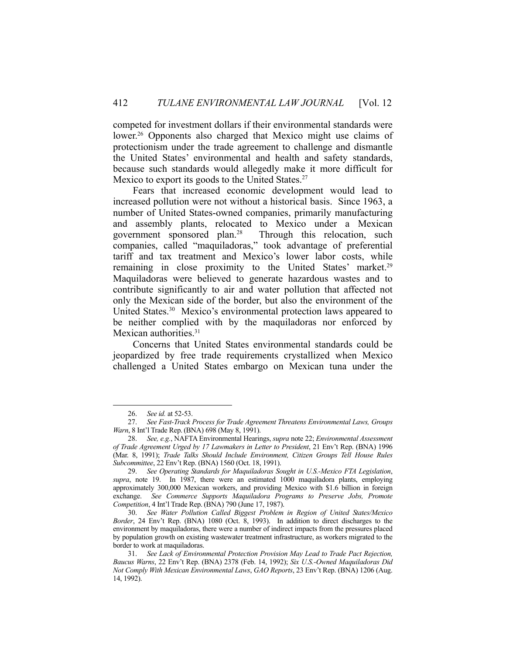competed for investment dollars if their environmental standards were lower.<sup>26</sup> Opponents also charged that Mexico might use claims of protectionism under the trade agreement to challenge and dismantle the United States' environmental and health and safety standards, because such standards would allegedly make it more difficult for Mexico to export its goods to the United States.<sup>27</sup>

 Fears that increased economic development would lead to increased pollution were not without a historical basis. Since 1963, a number of United States-owned companies, primarily manufacturing and assembly plants, relocated to Mexico under a Mexican government sponsored plan.28 Through this relocation, such companies, called "maquiladoras," took advantage of preferential tariff and tax treatment and Mexico's lower labor costs, while remaining in close proximity to the United States' market.<sup>29</sup> Maquiladoras were believed to generate hazardous wastes and to contribute significantly to air and water pollution that affected not only the Mexican side of the border, but also the environment of the United States.<sup>30</sup> Mexico's environmental protection laws appeared to be neither complied with by the maquiladoras nor enforced by Mexican authorities.<sup>31</sup>

 Concerns that United States environmental standards could be jeopardized by free trade requirements crystallized when Mexico challenged a United States embargo on Mexican tuna under the

 <sup>26.</sup> *See id.* at 52-53.

 <sup>27.</sup> *See Fast-Track Process for Trade Agreement Threatens Environmental Laws, Groups Warn*, 8 Int'l Trade Rep.(BNA) 698 (May 8, 1991).

 <sup>28.</sup> *See, e.g.*, NAFTA Environmental Hearings, *supra* note 22; *Environmental Assessment of Trade Agreement Urged by 17 Lawmakers in Letter to President*, 21 Env't Rep. (BNA) 1996 (Mar. 8, 1991); *Trade Talks Should Include Environment, Citizen Groups Tell House Rules Subcommittee*, 22 Env't Rep. (BNA) 1560 (Oct. 18, 1991).

 <sup>29.</sup> *See Operating Standards for Maquiladoras Sought in U.S.-Mexico FTA Legislation*, *supra*, note 19. In 1987, there were an estimated 1000 maquiladora plants, employing approximately 300,000 Mexican workers, and providing Mexico with \$1.6 billion in foreign exchange. *See Commerce Supports Maquiladora Programs to Preserve Jobs, Promote Competition*, 4 Int'l Trade Rep.(BNA) 790 (June 17, 1987).

 <sup>30.</sup> *See Water Pollution Called Biggest Problem in Region of United States/Mexico Border*, 24 Env't Rep. (BNA) 1080 (Oct. 8, 1993). In addition to direct discharges to the environment by maquiladoras, there were a number of indirect impacts from the pressures placed by population growth on existing wastewater treatment infrastructure, as workers migrated to the border to work at maquiladoras.

 <sup>31.</sup> *See Lack of Environmental Protection Provision May Lead to Trade Pact Rejection, Baucus Warns*, 22 Env't Rep. (BNA) 2378 (Feb. 14, 1992); *Six U.S.-Owned Maquiladoras Did Not Comply With Mexican Environmental Laws*, *GAO Reports*, 23 Env't Rep. (BNA) 1206 (Aug. 14, 1992).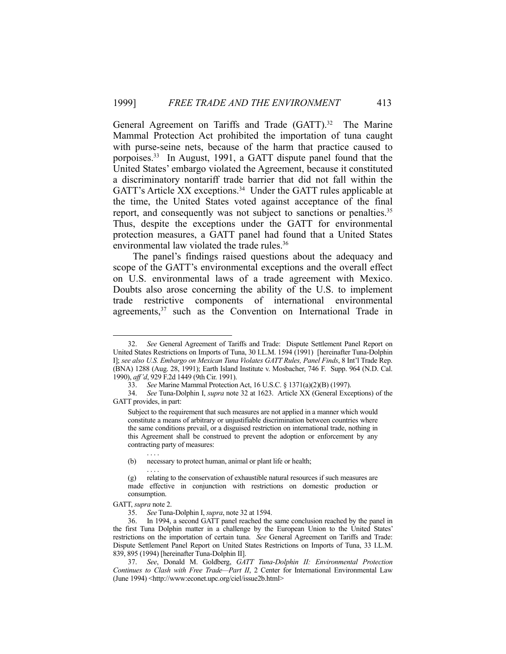General Agreement on Tariffs and Trade (GATT).<sup>32</sup> The Marine Mammal Protection Act prohibited the importation of tuna caught with purse-seine nets, because of the harm that practice caused to porpoises.33 In August, 1991, a GATT dispute panel found that the United States' embargo violated the Agreement, because it constituted a discriminatory nontariff trade barrier that did not fall within the GATT's Article XX exceptions.<sup>34</sup> Under the GATT rules applicable at the time, the United States voted against acceptance of the final report, and consequently was not subject to sanctions or penalties.<sup>35</sup> Thus, despite the exceptions under the GATT for environmental protection measures, a GATT panel had found that a United States environmental law violated the trade rules.<sup>36</sup>

 The panel's findings raised questions about the adequacy and scope of the GATT's environmental exceptions and the overall effect on U.S. environmental laws of a trade agreement with Mexico. Doubts also arose concerning the ability of the U.S. to implement trade restrictive components of international environmental agreements,<sup>37</sup> such as the Convention on International Trade in

 <sup>32.</sup> *See* General Agreement of Tariffs and Trade: Dispute Settlement Panel Report on United States Restrictions on Imports of Tuna, 30 I.L.M. 1594 (1991) [hereinafter Tuna-Dolphin I]; *see also U.S. Embargo on Mexican Tuna Violates GATT Rules, Panel Finds*, 8 Int'l Trade Rep. (BNA) 1288 (Aug. 28, 1991); Earth Island Institute v. Mosbacher, 746 F. Supp. 964 (N.D. Cal. 1990), *aff'd*, 929 F.2d 1449 (9th Cir. 1991).

 <sup>33.</sup> *See* Marine Mammal Protection Act, 16 U.S.C. § 1371(a)(2)(B) (1997).

 <sup>34.</sup> *See* Tuna-Dolphin I, *supra* note 32 at 1623. Article XX (General Exceptions) of the GATT provides, in part:

Subject to the requirement that such measures are not applied in a manner which would constitute a means of arbitrary or unjustifiable discrimination between countries where the same conditions prevail, or a disguised restriction on international trade, nothing in this Agreement shall be construed to prevent the adoption or enforcement by any contracting party of measures: . . . .

<sup>(</sup>b) necessary to protect human, animal or plant life or health;

 <sup>. . . .</sup>  (g) relating to the conservation of exhaustible natural resources if such measures are made effective in conjunction with restrictions on domestic production or consumption.

GATT, *supra* note 2.

 <sup>35.</sup> *See* Tuna-Dolphin I, *supra*, note 32 at 1594.

 <sup>36.</sup> In 1994, a second GATT panel reached the same conclusion reached by the panel in the first Tuna Dolphin matter in a challenge by the European Union to the United States' restrictions on the importation of certain tuna. *See* General Agreement on Tariffs and Trade: Dispute Settlement Panel Report on United States Restrictions on Imports of Tuna, 33 I.L.M. 839, 895 (1994) [hereinafter Tuna-Dolphin II].

 <sup>37.</sup> *See*, Donald M. Goldberg, *GATT Tuna-Dolphin II: Environmental Protection Continues to Clash with Free Trade—Part II*, 2 Center for International Environmental Law (June 1994) <http://www:econet.upc.org/ciel/issue2b.html>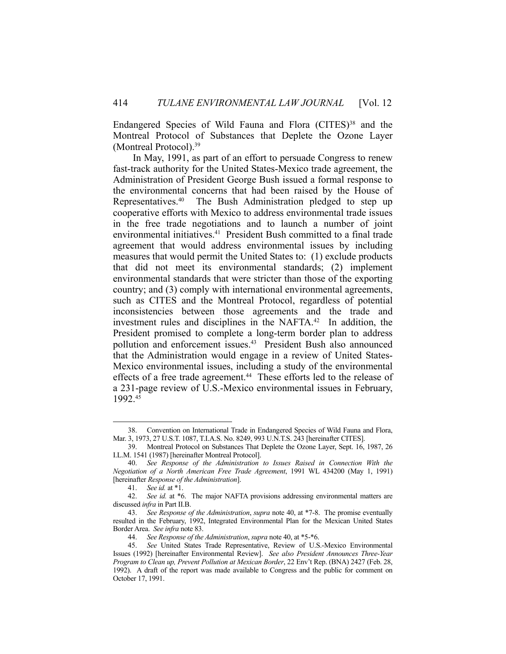Endangered Species of Wild Fauna and Flora (CITES)<sup>38</sup> and the Montreal Protocol of Substances that Deplete the Ozone Layer (Montreal Protocol).39

 In May, 1991, as part of an effort to persuade Congress to renew fast-track authority for the United States-Mexico trade agreement, the Administration of President George Bush issued a formal response to the environmental concerns that had been raised by the House of Representatives.40 The Bush Administration pledged to step up cooperative efforts with Mexico to address environmental trade issues in the free trade negotiations and to launch a number of joint environmental initiatives.<sup>41</sup> President Bush committed to a final trade agreement that would address environmental issues by including measures that would permit the United States to: (1) exclude products that did not meet its environmental standards; (2) implement environmental standards that were stricter than those of the exporting country; and (3) comply with international environmental agreements, such as CITES and the Montreal Protocol, regardless of potential inconsistencies between those agreements and the trade and investment rules and disciplines in the NAFTA.<sup>42</sup> In addition, the President promised to complete a long-term border plan to address pollution and enforcement issues.43 President Bush also announced that the Administration would engage in a review of United States-Mexico environmental issues, including a study of the environmental effects of a free trade agreement.<sup>44</sup> These efforts led to the release of a 231-page review of U.S.-Mexico environmental issues in February, 1992.45

 <sup>38.</sup> Convention on International Trade in Endangered Species of Wild Fauna and Flora, Mar. 3, 1973, 27 U.S.T. 1087, T.I.A.S. No. 8249, 993 U.N.T.S. 243 [hereinafter CITES].

 <sup>39.</sup> Montreal Protocol on Substances That Deplete the Ozone Layer, Sept. 16, 1987, 26 I.L.M. 1541 (1987) [hereinafter Montreal Protocol].

 <sup>40.</sup> *See Response of the Administration to Issues Raised in Connection With the Negotiation of a North American Free Trade Agreement*, 1991 WL 434200 (May 1, 1991) [hereinafter *Response of the Administration*].

 <sup>41.</sup> *See id.* at \*1.

 <sup>42.</sup> *See id.* at \*6. The major NAFTA provisions addressing environmental matters are discussed *infra* in Part II.B.

 <sup>43.</sup> *See Response of the Administration*, *supra* note 40, at \*7-8. The promise eventually resulted in the February, 1992, Integrated Environmental Plan for the Mexican United States Border Area. *See infra* note 83.

 <sup>44.</sup> *See Response of the Administration*, *supra* note 40, at \*5-\*6.

 <sup>45.</sup> *See* United States Trade Representative, Review of U.S.-Mexico Environmental Issues (1992) [hereinafter Environmental Review]. *See also President Announces Three-Year Program to Clean up, Prevent Pollution at Mexican Border*, 22 Env't Rep. (BNA) 2427 (Feb. 28, 1992). A draft of the report was made available to Congress and the public for comment on October 17, 1991.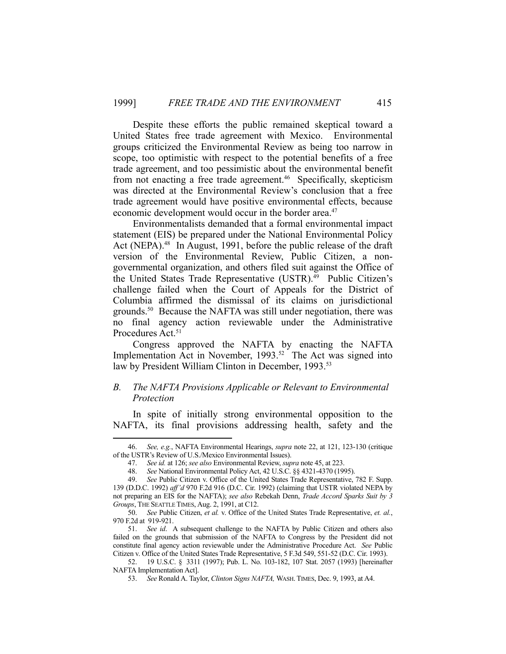Despite these efforts the public remained skeptical toward a United States free trade agreement with Mexico. Environmental groups criticized the Environmental Review as being too narrow in scope, too optimistic with respect to the potential benefits of a free trade agreement, and too pessimistic about the environmental benefit from not enacting a free trade agreement.<sup>46</sup> Specifically, skepticism was directed at the Environmental Review's conclusion that a free trade agreement would have positive environmental effects, because economic development would occur in the border area.<sup>47</sup>

 Environmentalists demanded that a formal environmental impact statement (EIS) be prepared under the National Environmental Policy Act (NEPA).<sup>48</sup> In August, 1991, before the public release of the draft version of the Environmental Review, Public Citizen, a nongovernmental organization, and others filed suit against the Office of the United States Trade Representative (USTR).<sup>49</sup> Public Citizen's challenge failed when the Court of Appeals for the District of Columbia affirmed the dismissal of its claims on jurisdictional grounds.50 Because the NAFTA was still under negotiation, there was no final agency action reviewable under the Administrative Procedures Act.<sup>51</sup>

 Congress approved the NAFTA by enacting the NAFTA Implementation Act in November, 1993.<sup>52</sup> The Act was signed into law by President William Clinton in December, 1993.<sup>53</sup>

# *B. The NAFTA Provisions Applicable or Relevant to Environmental Protection*

 In spite of initially strong environmental opposition to the NAFTA, its final provisions addressing health, safety and the

 <sup>46.</sup> *See, e.g.*, NAFTA Environmental Hearings, *supra* note 22, at 121, 123-130 (critique of the USTR's Review of U.S./Mexico Environmental Issues).

 <sup>47.</sup> *See id.* at 126; *see also* Environmental Review, *supra* note 45, at 223.

 <sup>48.</sup> *See* National Environmental Policy Act, 42 U.S.C. §§ 4321-4370 (1995).

 <sup>49.</sup> *See* Public Citizen v. Office of the United States Trade Representative, 782 F. Supp. 139 (D.D.C. 1992) *aff'd* 970 F.2d 916 (D.C. Cir. 1992) (claiming that USTR violated NEPA by not preparing an EIS for the NAFTA); *see also* Rebekah Denn, *Trade Accord Sparks Suit by 3 Groups*, THE SEATTLE TIMES, Aug. 2, 1991, at C12.

 <sup>50.</sup> *See* Public Citizen, *et al.* v. Office of the United States Trade Representative, *et. al.*, 970 F.2d at 919-921.

 <sup>51.</sup> *See id*. A subsequent challenge to the NAFTA by Public Citizen and others also failed on the grounds that submission of the NAFTA to Congress by the President did not constitute final agency action reviewable under the Administrative Procedure Act. *See* Public Citizen v. Office of the United States Trade Representative, 5 F.3d 549, 551-52 (D.C. Cir. 1993).

 <sup>52. 19</sup> U.S.C. § 3311 (1997); Pub. L. No. 103-182, 107 Stat. 2057 (1993) [hereinafter NAFTA Implementation Act].

 <sup>53.</sup> *See* Ronald A. Taylor, *Clinton Signs NAFTA,* WASH.TIMES, Dec. 9, 1993, at A4.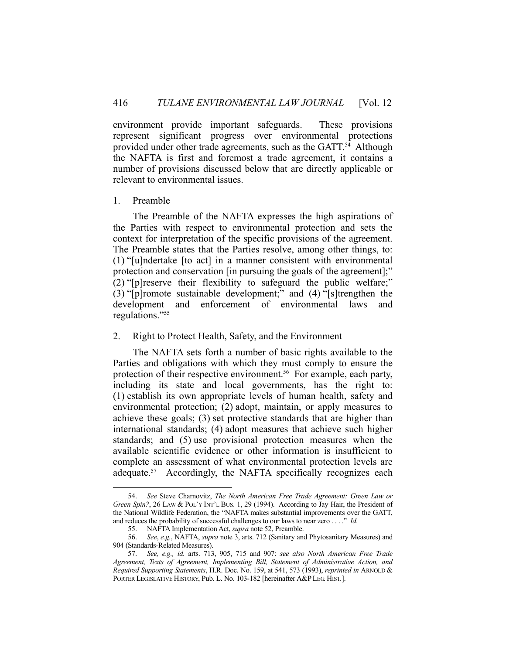environment provide important safeguards. These provisions represent significant progress over environmental protections provided under other trade agreements, such as the GATT.54 Although the NAFTA is first and foremost a trade agreement, it contains a number of provisions discussed below that are directly applicable or relevant to environmental issues.

## 1. Preamble

<u>.</u>

 The Preamble of the NAFTA expresses the high aspirations of the Parties with respect to environmental protection and sets the context for interpretation of the specific provisions of the agreement. The Preamble states that the Parties resolve, among other things, to: (1) "[u]ndertake [to act] in a manner consistent with environmental protection and conservation [in pursuing the goals of the agreement];" (2) "[p]reserve their flexibility to safeguard the public welfare;" (3) "[p]romote sustainable development;" and (4) "[s]trengthen the development and enforcement of environmental laws and regulations."55

## 2. Right to Protect Health, Safety, and the Environment

 The NAFTA sets forth a number of basic rights available to the Parties and obligations with which they must comply to ensure the protection of their respective environment.56 For example, each party, including its state and local governments, has the right to: (1) establish its own appropriate levels of human health, safety and environmental protection; (2) adopt, maintain, or apply measures to achieve these goals; (3) set protective standards that are higher than international standards; (4) adopt measures that achieve such higher standards; and (5) use provisional protection measures when the available scientific evidence or other information is insufficient to complete an assessment of what environmental protection levels are adequate.<sup>57</sup> Accordingly, the NAFTA specifically recognizes each

 <sup>54.</sup> *See* Steve Charnovitz, *The North American Free Trade Agreement: Green Law or Green Spin?*, 26 LAW & POL'Y INT'L BUS. 1, 29 (1994). According to Jay Hair, the President of the National Wildlife Federation, the "NAFTA makes substantial improvements over the GATT, and reduces the probability of successful challenges to our laws to near zero . . . ." *Id.*

 <sup>55.</sup> NAFTA Implementation Act, *supra* note 52, Preamble.

 <sup>56.</sup> *See*, *e.g.*, NAFTA, *supra* note 3, arts. 712 (Sanitary and Phytosanitary Measures) and 904 (Standards-Related Measures).

 <sup>57.</sup> *See, e.g., id.* arts. 713, 905, 715 and 907: *see also North American Free Trade Agreement, Texts of Agreement, Implementing Bill, Statement of Administrative Action, and Required Supporting Statements*, H.R. Doc. No. 159, at 541, 573 (1993), *reprinted in* ARNOLD & PORTER LEGISLATIVE HISTORY, Pub. L. No. 103-182 [hereinafter A&PLEG. HIST.].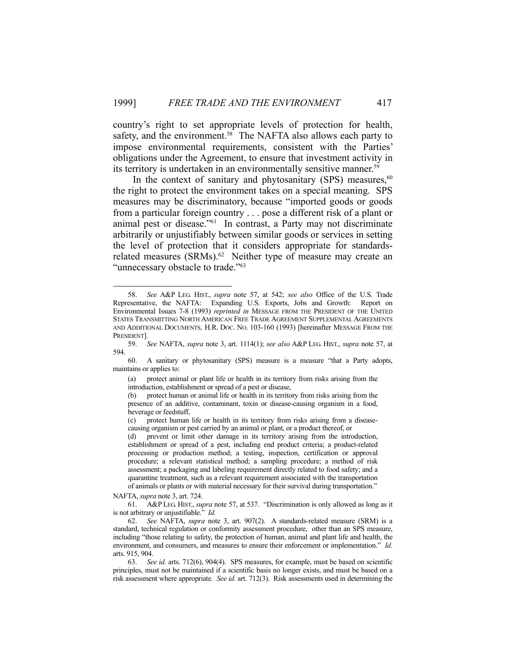country's right to set appropriate levels of protection for health, safety, and the environment.<sup>58</sup> The NAFTA also allows each party to impose environmental requirements, consistent with the Parties' obligations under the Agreement, to ensure that investment activity in its territory is undertaken in an environmentally sensitive manner.<sup>59</sup>

In the context of sanitary and phytosanitary (SPS) measures,  $60$ the right to protect the environment takes on a special meaning. SPS measures may be discriminatory, because "imported goods or goods from a particular foreign country . . . pose a different risk of a plant or animal pest or disease."61 In contrast, a Party may not discriminate arbitrarily or unjustifiably between similar goods or services in setting the level of protection that it considers appropriate for standardsrelated measures (SRMs).<sup>62</sup> Neither type of measure may create an "unnecessary obstacle to trade."<sup>63</sup>

(d) prevent or limit other damage in its territory arising from the introduction, establishment or spread of a pest, including end product criteria; a product-related processing or production method; a testing, inspection, certification or approval procedure; a relevant statistical method; a sampling procedure; a method of risk assessment; a packaging and labeling requirement directly related to food safety; and a quarantine treatment, such as a relevant requirement associated with the transportation of animals or plants or with material necessary for their survival during transportation."

NAFTA, *supra* note 3, art. 724.

1

 61. A&P LEG. HIST., *supra* note 57, at 537. "Discrimination is only allowed as long as it is not arbitrary or unjustifiable." *Id.*

 <sup>58.</sup> *See* A&P LEG. HIST., *supra* note 57, at 542; *see also* Office of the U.S. Trade Representative, the NAFTA: Expanding U.S. Exports, Jobs and Growth: Report on Environmental Issues 7-8 (1993) *reprinted in* MESSAGE FROM THE PRESIDENT OF THE UNITED STATES TRANSMITTING NORTH AMERICAN FREE TRADE AGREEMENT SUPPLEMENTAL AGREEMENTS AND ADDITIONAL DOCUMENTS*,* H.R. DOC. NO. 103-160 (1993) [hereinafter MESSAGE FROM THE PRESIDENT].

 <sup>59.</sup> *See* NAFTA, *supra* note 3, art. 1114(1); *see also* A&P LEG. HIST., *supra* note 57, at 594.

 <sup>60.</sup> A sanitary or phytosanitary (SPS) measure is a measure "that a Party adopts, maintains or applies to:

<sup>(</sup>a) protect animal or plant life or health in its territory from risks arising from the introduction, establishment or spread of a pest or disease,

<sup>(</sup>b) protect human or animal life or health in its territory from risks arising from the presence of an additive, contaminant, toxin or disease-causing organism in a food, beverage or feedstuff,

<sup>(</sup>c) protect human life or health in its territory from risks arising from a diseasecausing organism or pest carried by an animal or plant, or a product thereof, or

 <sup>62.</sup> *See* NAFTA, *supra* note 3, art. 907(2). A standards-related measure (SRM) is a standard, technical regulation or conformity assessment procedure, other than an SPS measure, including "those relating to safety, the protection of human, animal and plant life and health, the environment, and consumers, and measures to ensure their enforcement or implementation." *Id*. arts. 915, 904.

 <sup>63.</sup> *See id.* arts. 712(6), 904(4). SPS measures, for example, must be based on scientific principles, must not be maintained if a scientific basis no longer exists, and must be based on a risk assessment where appropriate. *See id.* art. 712(3). Risk assessments used in determining the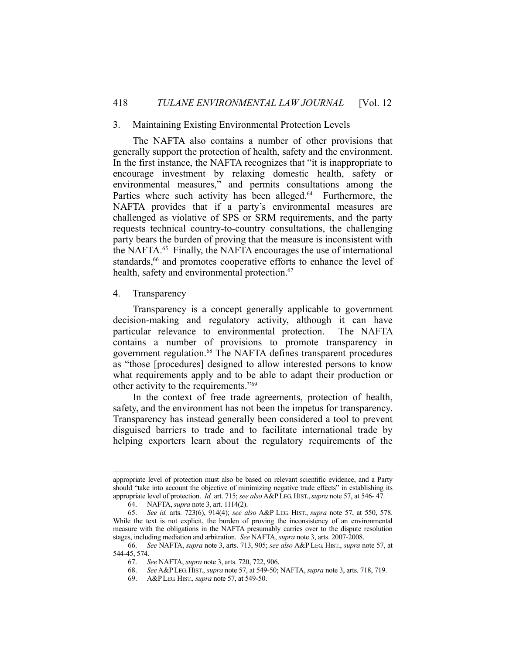#### 3. Maintaining Existing Environmental Protection Levels

 The NAFTA also contains a number of other provisions that generally support the protection of health, safety and the environment. In the first instance, the NAFTA recognizes that "it is inappropriate to encourage investment by relaxing domestic health, safety or environmental measures," and permits consultations among the Parties where such activity has been alleged.<sup>64</sup> Furthermore, the NAFTA provides that if a party's environmental measures are challenged as violative of SPS or SRM requirements, and the party requests technical country-to-country consultations, the challenging party bears the burden of proving that the measure is inconsistent with the NAFTA.65 Finally, the NAFTA encourages the use of international standards,<sup>66</sup> and promotes cooperative efforts to enhance the level of health, safety and environmental protection.<sup>67</sup>

#### 4. Transparency

 Transparency is a concept generally applicable to government decision-making and regulatory activity, although it can have particular relevance to environmental protection. The NAFTA contains a number of provisions to promote transparency in government regulation.68 The NAFTA defines transparent procedures as "those [procedures] designed to allow interested persons to know what requirements apply and to be able to adapt their production or other activity to the requirements."69

 In the context of free trade agreements, protection of health, safety, and the environment has not been the impetus for transparency. Transparency has instead generally been considered a tool to prevent disguised barriers to trade and to facilitate international trade by helping exporters learn about the regulatory requirements of the

appropriate level of protection must also be based on relevant scientific evidence, and a Party should "take into account the objective of minimizing negative trade effects" in establishing its appropriate level of protection. *Id.* art. 715; *see also* A&PLEG. HIST.,*supra* note 57, at 546- 47.

 <sup>64.</sup> NAFTA, *supra* note 3, art. 1114(2).

 <sup>65.</sup> *See id.* arts. 723(6), 914(4); *see also* A&P LEG. HIST., *supra* note 57, at 550, 578. While the text is not explicit, the burden of proving the inconsistency of an environmental measure with the obligations in the NAFTA presumably carries over to the dispute resolution stages, including mediation and arbitration. *See* NAFTA, *supra* note 3, arts. 2007-2008.

 <sup>66.</sup> *See* NAFTA, *supra* note 3, arts. 713, 905; *see also* A&P LEG. HIST., *supra* note 57, at 544-45, 574.

 <sup>67.</sup> *See* NAFTA, *supra* note 3, arts. 720, 722, 906.

 <sup>68.</sup> *See* A&PLEG. HIST., *supra* note 57, at 549-50; NAFTA, *supra* note 3, arts. 718, 719.

 <sup>69.</sup> A&PLEG. HIST., *supra* note 57, at 549-50.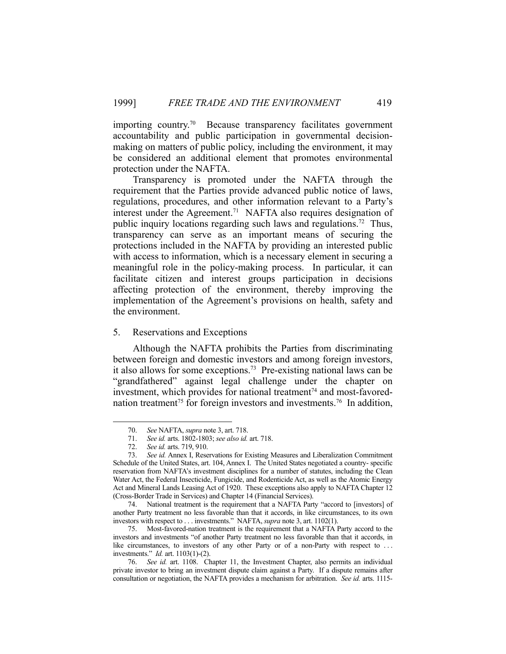importing country.70 Because transparency facilitates government accountability and public participation in governmental decisionmaking on matters of public policy, including the environment, it may be considered an additional element that promotes environmental protection under the NAFTA.

 Transparency is promoted under the NAFTA through the requirement that the Parties provide advanced public notice of laws, regulations, procedures, and other information relevant to a Party's interest under the Agreement.<sup>71</sup> NAFTA also requires designation of public inquiry locations regarding such laws and regulations.72 Thus, transparency can serve as an important means of securing the protections included in the NAFTA by providing an interested public with access to information, which is a necessary element in securing a meaningful role in the policy-making process. In particular, it can facilitate citizen and interest groups participation in decisions affecting protection of the environment, thereby improving the implementation of the Agreement's provisions on health, safety and the environment.

## 5. Reservations and Exceptions

 Although the NAFTA prohibits the Parties from discriminating between foreign and domestic investors and among foreign investors, it also allows for some exceptions.<sup>73</sup> Pre-existing national laws can be "grandfathered" against legal challenge under the chapter on investment, which provides for national treatment<sup>74</sup> and most-favorednation treatment<sup> $75$ </sup> for foreign investors and investments.<sup>76</sup> In addition,

 <sup>70.</sup> *See* NAFTA, *supra* note 3, art. 718.

 <sup>71.</sup> *See id.* arts. 1802-1803; *see also id.* art. 718.

 <sup>72.</sup> *See id.* arts. 719, 910.

 <sup>73.</sup> *See id.* Annex I, Reservations for Existing Measures and Liberalization Commitment Schedule of the United States, art. 104, Annex I. The United States negotiated a country- specific reservation from NAFTA's investment disciplines for a number of statutes, including the Clean Water Act, the Federal Insecticide, Fungicide, and Rodenticide Act, as well as the Atomic Energy Act and Mineral Lands Leasing Act of 1920. These exceptions also apply to NAFTA Chapter 12 (Cross-Border Trade in Services) and Chapter 14 (Financial Services).

 <sup>74.</sup> National treatment is the requirement that a NAFTA Party "accord to [investors] of another Party treatment no less favorable than that it accords, in like circumstances, to its own investors with respect to . . . investments." NAFTA, *supra* note 3, art. 1102(1).

 <sup>75.</sup> Most-favored-nation treatment is the requirement that a NAFTA Party accord to the investors and investments "of another Party treatment no less favorable than that it accords, in like circumstances, to investors of any other Party or of a non-Party with respect to ... investments." *Id.* art. 1103(1)-(2).

 <sup>76.</sup> *See id.* art. 1108. Chapter 11, the Investment Chapter, also permits an individual private investor to bring an investment dispute claim against a Party. If a dispute remains after consultation or negotiation, the NAFTA provides a mechanism for arbitration. *See id.* arts. 1115-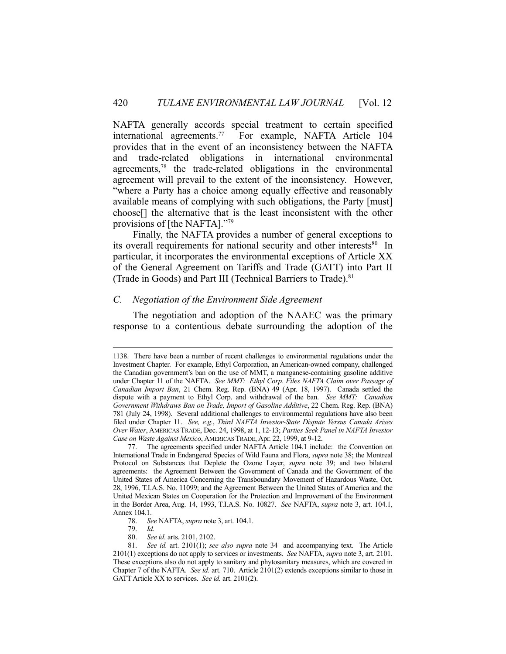NAFTA generally accords special treatment to certain specified international agreements.77 For example, NAFTA Article 104 provides that in the event of an inconsistency between the NAFTA and trade-related obligations in international environmental agreements,78 the trade-related obligations in the environmental agreement will prevail to the extent of the inconsistency. However, "where a Party has a choice among equally effective and reasonably available means of complying with such obligations, the Party [must] choose[] the alternative that is the least inconsistent with the other provisions of [the NAFTA]."79

 Finally, the NAFTA provides a number of general exceptions to its overall requirements for national security and other interests<sup>80</sup> In particular, it incorporates the environmental exceptions of Article XX of the General Agreement on Tariffs and Trade (GATT) into Part II (Trade in Goods) and Part III (Technical Barriers to Trade).<sup>81</sup>

## *C. Negotiation of the Environment Side Agreement*

 The negotiation and adoption of the NAAEC was the primary response to a contentious debate surrounding the adoption of the

 <sup>1138.</sup> There have been a number of recent challenges to environmental regulations under the Investment Chapter. For example, Ethyl Corporation, an American-owned company, challenged the Canadian government's ban on the use of MMT, a manganese-containing gasoline additive under Chapter 11 of the NAFTA. *See MMT: Ethyl Corp. Files NAFTA Claim over Passage of Canadian Import Ban*, 21 Chem. Reg. Rep. (BNA) 49 (Apr. 18, 1997). Canada settled the dispute with a payment to Ethyl Corp. and withdrawal of the ban. *See MMT: Canadian Government Withdraws Ban on Trade, Import of Gasoline Additive*, 22 Chem. Reg. Rep. (BNA) 781 (July 24, 1998). Several additional challenges to environmental regulations have also been filed under Chapter 11. *See, e.g.*, *Third NAFTA Investor-State Dispute Versus Canada Arises Over Water*, AMERICAS TRADE, Dec. 24, 1998, at 1, 12-13; *Parties Seek Panel in NAFTA Investor Case on Waste Against Mexico*, AMERICAS TRADE, Apr. 22, 1999, at 9-12.

 <sup>77.</sup> The agreements specified under NAFTA Article 104.1 include: the Convention on International Trade in Endangered Species of Wild Fauna and Flora, *supra* note 38; the Montreal Protocol on Substances that Deplete the Ozone Layer, *supra* note 39; and two bilateral agreements: the Agreement Between the Government of Canada and the Government of the United States of America Concerning the Transboundary Movement of Hazardous Waste, Oct. 28, 1996, T.I.A.S. No. 11099; and the Agreement Between the United States of America and the United Mexican States on Cooperation for the Protection and Improvement of the Environment in the Border Area, Aug. 14, 1993, T.I.A.S. No. 10827. *See* NAFTA, *supra* note 3, art. 104.1, Annex 104.1.

 <sup>78.</sup> *See* NAFTA, *supra* note 3, art. 104.1.

 <sup>79.</sup> *Id.*

 <sup>80.</sup> *See id.* arts. 2101, 2102.

 <sup>81.</sup> *See id.* art. 2101(1); *see also supra* note 34 and accompanying text. The Article 2101(1) exceptions do not apply to services or investments. *See* NAFTA, *supra* note 3, art. 2101. These exceptions also do not apply to sanitary and phytosanitary measures, which are covered in Chapter 7 of the NAFTA. *See id.* art. 710. Article 2101(2) extends exceptions similar to those in GATT Article XX to services. *See id.* art. 2101(2).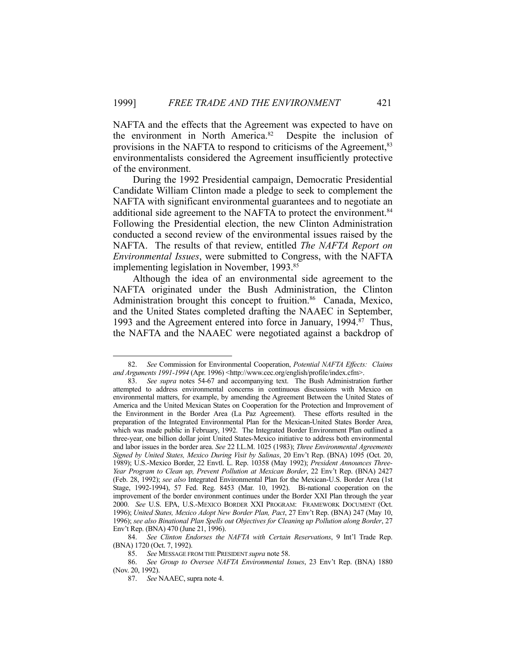NAFTA and the effects that the Agreement was expected to have on the environment in North America.<sup>82</sup> Despite the inclusion of provisions in the NAFTA to respond to criticisms of the Agreement,<sup>83</sup> environmentalists considered the Agreement insufficiently protective of the environment.

 During the 1992 Presidential campaign, Democratic Presidential Candidate William Clinton made a pledge to seek to complement the NAFTA with significant environmental guarantees and to negotiate an additional side agreement to the NAFTA to protect the environment.<sup>84</sup> Following the Presidential election, the new Clinton Administration conducted a second review of the environmental issues raised by the NAFTA. The results of that review, entitled *The NAFTA Report on Environmental Issues*, were submitted to Congress, with the NAFTA implementing legislation in November, 1993.<sup>85</sup>

 Although the idea of an environmental side agreement to the NAFTA originated under the Bush Administration, the Clinton Administration brought this concept to fruition.<sup>86</sup> Canada, Mexico, and the United States completed drafting the NAAEC in September, 1993 and the Agreement entered into force in January, 1994.<sup>87</sup> Thus, the NAFTA and the NAAEC were negotiated against a backdrop of

 <sup>82.</sup> *See* Commission for Environmental Cooperation, *Potential NAFTA Effects: Claims and Arguments 1991-1994* (Apr. 1996) <http://www.cec.org/english/profile/index.cfm>.

 <sup>83.</sup> *See supra* notes 54-67 and accompanying text. The Bush Administration further attempted to address environmental concerns in continuous discussions with Mexico on environmental matters, for example, by amending the Agreement Between the United States of America and the United Mexican States on Cooperation for the Protection and Improvement of the Environment in the Border Area (La Paz Agreement). These efforts resulted in the preparation of the Integrated Environmental Plan for the Mexican-United States Border Area, which was made public in February, 1992. The Integrated Border Environment Plan outlined a three-year, one billion dollar joint United States-Mexico initiative to address both environmental and labor issues in the border area. *See* 22 I.L.M. 1025 (1983); *Three Environmental Agreements Signed by United States, Mexico During Visit by Salinas*, 20 Env't Rep. (BNA) 1095 (Oct. 20, 1989); U.S.-Mexico Border, 22 Envtl. L. Rep. 10358 (May 1992); *President Announces Three-Year Program to Clean up, Prevent Pollution at Mexican Border*, 22 Env't Rep. (BNA) 2427 (Feb. 28, 1992); *see also* Integrated Environmental Plan for the Mexican-U.S. Border Area (1st Stage, 1992-1994), 57 Fed. Reg. 8453 (Mar. 10, 1992). Bi-national cooperation on the improvement of the border environment continues under the Border XXI Plan through the year 2000. *See* U.S. EPA, U.S.-MEXICO BORDER XXI PROGRAM: FRAMEWORK DOCUMENT (Oct. 1996); *United States, Mexico Adopt New Border Plan, Pact*, 27 Env't Rep. (BNA) 247 (May 10, 1996); *see also Binational Plan Spells out Objectives for Cleaning up Pollution along Border*, 27 Env't Rep. (BNA) 470 (June 21, 1996).

 <sup>84.</sup> *See Clinton Endorses the NAFTA with Certain Reservations*, 9 Int'l Trade Rep. (BNA) 1720 (Oct. 7, 1992).

 <sup>85.</sup> *See* MESSAGE FROM THE PRESIDENT *supra* note 58.

 <sup>86.</sup> *See Group to Oversee NAFTA Environmental Issues*, 23 Env't Rep. (BNA) 1880 (Nov. 20, 1992).

 <sup>87.</sup> *See* NAAEC, supra note 4.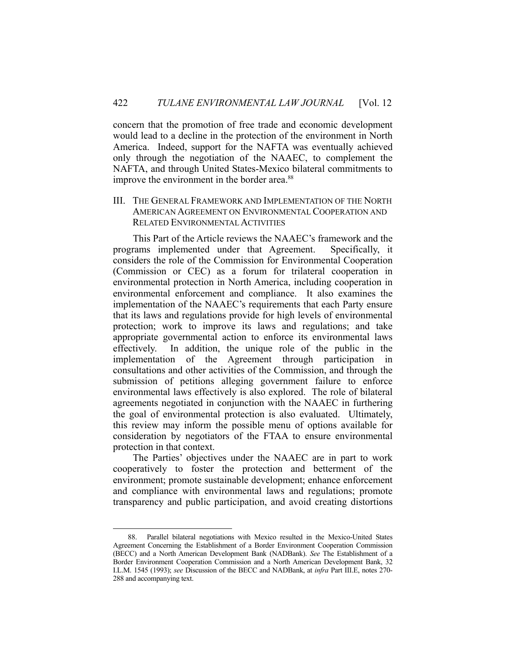concern that the promotion of free trade and economic development would lead to a decline in the protection of the environment in North America. Indeed, support for the NAFTA was eventually achieved only through the negotiation of the NAAEC, to complement the NAFTA, and through United States-Mexico bilateral commitments to improve the environment in the border area.<sup>88</sup>

III. THE GENERAL FRAMEWORK AND IMPLEMENTATION OF THE NORTH AMERICAN AGREEMENT ON ENVIRONMENTAL COOPERATION AND RELATED ENVIRONMENTAL ACTIVITIES

 This Part of the Article reviews the NAAEC's framework and the programs implemented under that Agreement. Specifically, it considers the role of the Commission for Environmental Cooperation (Commission or CEC) as a forum for trilateral cooperation in environmental protection in North America, including cooperation in environmental enforcement and compliance. It also examines the implementation of the NAAEC's requirements that each Party ensure that its laws and regulations provide for high levels of environmental protection; work to improve its laws and regulations; and take appropriate governmental action to enforce its environmental laws effectively. In addition, the unique role of the public in the implementation of the Agreement through participation in consultations and other activities of the Commission, and through the submission of petitions alleging government failure to enforce environmental laws effectively is also explored. The role of bilateral agreements negotiated in conjunction with the NAAEC in furthering the goal of environmental protection is also evaluated. Ultimately, this review may inform the possible menu of options available for consideration by negotiators of the FTAA to ensure environmental protection in that context.

 The Parties' objectives under the NAAEC are in part to work cooperatively to foster the protection and betterment of the environment; promote sustainable development; enhance enforcement and compliance with environmental laws and regulations; promote transparency and public participation, and avoid creating distortions

<u>.</u>

 <sup>88.</sup> Parallel bilateral negotiations with Mexico resulted in the Mexico-United States Agreement Concerning the Establishment of a Border Environment Cooperation Commission (BECC) and a North American Development Bank (NADBank). *See* The Establishment of a Border Environment Cooperation Commission and a North American Development Bank, 32 I.L.M. 1545 (1993); *see* Discussion of the BECC and NADBank, at *infra* Part III.E, notes 270- 288 and accompanying text.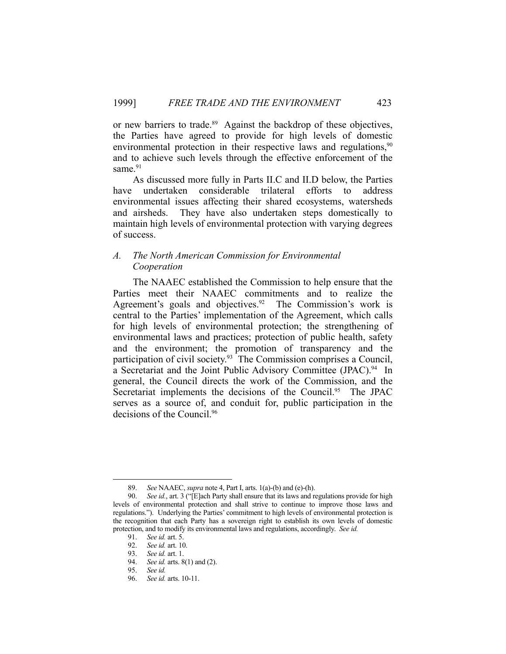or new barriers to trade.<sup>89</sup> Against the backdrop of these objectives, the Parties have agreed to provide for high levels of domestic environmental protection in their respective laws and regulations,  $90$ and to achieve such levels through the effective enforcement of the same.<sup>91</sup>

 As discussed more fully in Parts II.C and II.D below, the Parties have undertaken considerable trilateral efforts to address environmental issues affecting their shared ecosystems, watersheds and airsheds. They have also undertaken steps domestically to maintain high levels of environmental protection with varying degrees of success.

# *A. The North American Commission for Environmental Cooperation*

 The NAAEC established the Commission to help ensure that the Parties meet their NAAEC commitments and to realize the Agreement's goals and objectives.<sup>92</sup> The Commission's work is central to the Parties' implementation of the Agreement, which calls for high levels of environmental protection; the strengthening of environmental laws and practices; protection of public health, safety and the environment; the promotion of transparency and the participation of civil society.93 The Commission comprises a Council, a Secretariat and the Joint Public Advisory Committee (JPAC).<sup>94</sup> In general, the Council directs the work of the Commission, and the Secretariat implements the decisions of the Council.<sup>95</sup> The JPAC serves as a source of, and conduit for, public participation in the decisions of the Council.<sup>96</sup>

 <sup>89.</sup> *See* NAAEC, *supra* note 4, Part I, arts. 1(a)-(b) and (e)-(h).

 <sup>90.</sup> *See id.*, art. 3 ("[E]ach Party shall ensure that its laws and regulations provide for high levels of environmental protection and shall strive to continue to improve those laws and regulations."). Underlying the Parties' commitment to high levels of environmental protection is the recognition that each Party has a sovereign right to establish its own levels of domestic protection, and to modify its environmental laws and regulations, accordingly. *See id.*

 <sup>91.</sup> *See id.* art. 5.

 <sup>92.</sup> *See id.* art. 10. 93. *See id.* art. 1.

 <sup>94.</sup> *See id.* arts. 8(1) and (2).

 <sup>95.</sup> *See id.*

 <sup>96.</sup> *See id.* arts. 10-11.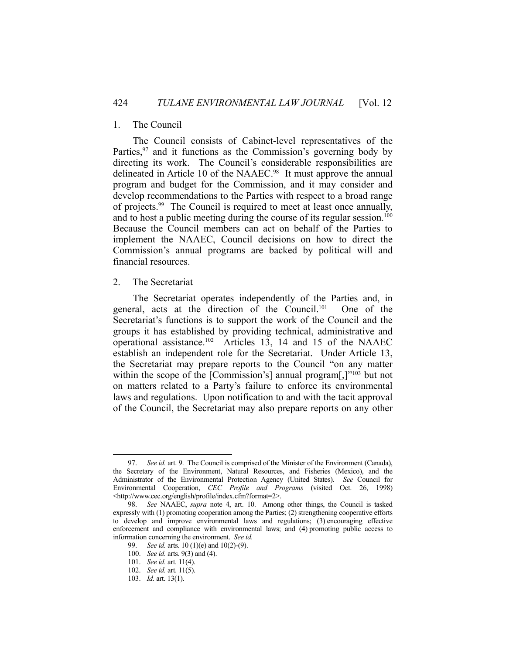## 1. The Council

 The Council consists of Cabinet-level representatives of the Parties,  $97$  and it functions as the Commission's governing body by directing its work. The Council's considerable responsibilities are delineated in Article 10 of the NAAEC.<sup>98</sup> It must approve the annual program and budget for the Commission, and it may consider and develop recommendations to the Parties with respect to a broad range of projects.99 The Council is required to meet at least once annually, and to host a public meeting during the course of its regular session.<sup>100</sup> Because the Council members can act on behalf of the Parties to implement the NAAEC, Council decisions on how to direct the Commission's annual programs are backed by political will and financial resources.

## 2. The Secretariat

 The Secretariat operates independently of the Parties and, in general, acts at the direction of the Council.<sup>101</sup> One of the Secretariat's functions is to support the work of the Council and the groups it has established by providing technical, administrative and operational assistance.102 Articles 13, 14 and 15 of the NAAEC establish an independent role for the Secretariat. Under Article 13, the Secretariat may prepare reports to the Council "on any matter within the scope of the [Commission's] annual program[,]"<sup>103</sup> but not on matters related to a Party's failure to enforce its environmental laws and regulations. Upon notification to and with the tacit approval of the Council, the Secretariat may also prepare reports on any other

<sup>97.</sup> *See id.* art. 9. The Council is comprised of the Minister of the Environment (Canada), the Secretary of the Environment, Natural Resources, and Fisheries (Mexico), and the Administrator of the Environmental Protection Agency (United States). *See* Council for Environmental Cooperation, *CEC Profile and Programs* (visited Oct. 26, 1998) <http://www.cec.org/english/profile/index.cfm?format=2>.

 <sup>98.</sup> *See* NAAEC, *supra* note 4, art. 10. Among other things, the Council is tasked expressly with (1) promoting cooperation among the Parties; (2) strengthening cooperative efforts to develop and improve environmental laws and regulations; (3) encouraging effective enforcement and compliance with environmental laws; and (4) promoting public access to information concerning the environment. *See id.*

 <sup>99.</sup> *See id.* arts. 10 (1)(e) and 10(2)-(9).

 <sup>100.</sup> *See id.* arts. 9(3) and (4).

 <sup>101.</sup> *See id.* art. 11(4).

 <sup>102.</sup> *See id.* art. 11(5).

 <sup>103.</sup> *Id.* art. 13(1).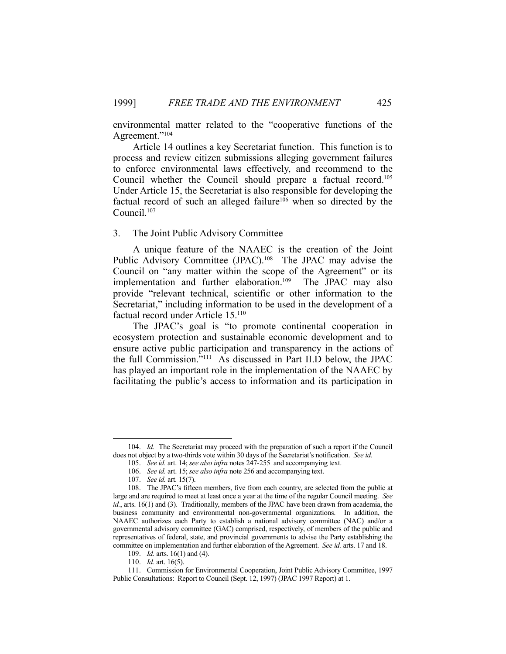environmental matter related to the "cooperative functions of the Agreement."104

 Article 14 outlines a key Secretariat function. This function is to process and review citizen submissions alleging government failures to enforce environmental laws effectively, and recommend to the Council whether the Council should prepare a factual record.105 Under Article 15, the Secretariat is also responsible for developing the factual record of such an alleged failure<sup>106</sup> when so directed by the Council.107

#### 3. The Joint Public Advisory Committee

 A unique feature of the NAAEC is the creation of the Joint Public Advisory Committee (JPAC).<sup>108</sup> The JPAC may advise the Council on "any matter within the scope of the Agreement" or its implementation and further elaboration.109 The JPAC may also provide "relevant technical, scientific or other information to the Secretariat," including information to be used in the development of a factual record under Article 15.110

 The JPAC's goal is "to promote continental cooperation in ecosystem protection and sustainable economic development and to ensure active public participation and transparency in the actions of the full Commission."111 As discussed in Part II.D below, the JPAC has played an important role in the implementation of the NAAEC by facilitating the public's access to information and its participation in

 <sup>104.</sup> *Id.* The Secretariat may proceed with the preparation of such a report if the Council does not object by a two-thirds vote within 30 days of the Secretariat's notification. *See id.*

 <sup>105.</sup> *See id.* art. 14; *see also infra* notes 247-255 and accompanying text.

 <sup>106.</sup> *See id.* art. 15; *see also infra* note 256 and accompanying text.

 <sup>107.</sup> *See id.* art. 15(7).

 <sup>108.</sup> The JPAC's fifteen members, five from each country, are selected from the public at large and are required to meet at least once a year at the time of the regular Council meeting. *See id.*, arts. 16(1) and (3). Traditionally, members of the JPAC have been drawn from academia, the business community and environmental non-governmental organizations. In addition, the NAAEC authorizes each Party to establish a national advisory committee (NAC) and/or a governmental advisory committee (GAC) comprised, respectively, of members of the public and representatives of federal, state, and provincial governments to advise the Party establishing the committee on implementation and further elaboration of the Agreement. *See id.* arts. 17 and 18.

 <sup>109.</sup> *Id.* arts. 16(1) and (4).

 <sup>110.</sup> *Id.* art. 16(5).

 <sup>111.</sup> Commission for Environmental Cooperation, Joint Public Advisory Committee, 1997 Public Consultations: Report to Council (Sept. 12, 1997) (JPAC 1997 Report) at 1.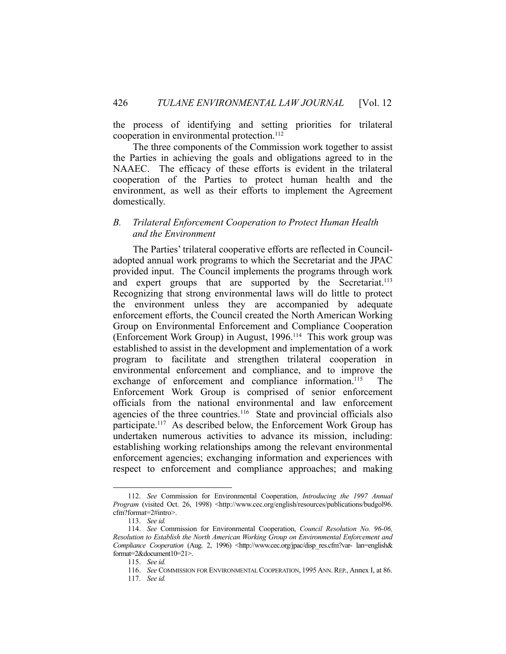the process of identifying and setting priorities for trilateral cooperation in environmental protection.<sup>112</sup>

 The three components of the Commission work together to assist the Parties in achieving the goals and obligations agreed to in the NAAEC. The efficacy of these efforts is evident in the trilateral cooperation of the Parties to protect human health and the environment, as well as their efforts to implement the Agreement domestically.

## *B. Trilateral Enforcement Cooperation to Protect Human Health and the Environment*

 The Parties' trilateral cooperative efforts are reflected in Counciladopted annual work programs to which the Secretariat and the JPAC provided input. The Council implements the programs through work and expert groups that are supported by the Secretariat.<sup>113</sup> Recognizing that strong environmental laws will do little to protect the environment unless they are accompanied by adequate enforcement efforts, the Council created the North American Working Group on Environmental Enforcement and Compliance Cooperation (Enforcement Work Group) in August, 1996.114 This work group was established to assist in the development and implementation of a work program to facilitate and strengthen trilateral cooperation in environmental enforcement and compliance, and to improve the exchange of enforcement and compliance information.<sup>115</sup> The Enforcement Work Group is comprised of senior enforcement officials from the national environmental and law enforcement agencies of the three countries.<sup>116</sup> State and provincial officials also participate.<sup>117</sup> As described below, the Enforcement Work Group has undertaken numerous activities to advance its mission, including: establishing working relationships among the relevant environmental enforcement agencies; exchanging information and experiences with respect to enforcement and compliance approaches; and making

<u>.</u>

 <sup>112.</sup> *See* Commission for Environmental Cooperation, *Introducing the 1997 Annual Program* (visited Oct. 26, 1998) <http://www.cec.org/english/resources/publications/budgol96. cfm?format=2#intro>.

 <sup>113.</sup> *See id.*

 <sup>114.</sup> *See* Commission for Environmental Cooperation, *Council Resolution No. 96-06, Resolution to Establish the North American Working Group on Environmental Enforcement and Compliance Cooperation* (Aug. 2, 1996) <http://www.cec.org/jpac/disp\_res.cfm?var- lan=english& format=2&document10=21>.

 <sup>115.</sup> *See id.*

<sup>116.</sup> *See* COMMISSION FOR ENVIRONMENTAL COOPERATION, 1995 ANN. REP., Annex I, at 86.

 <sup>117.</sup> *See id.*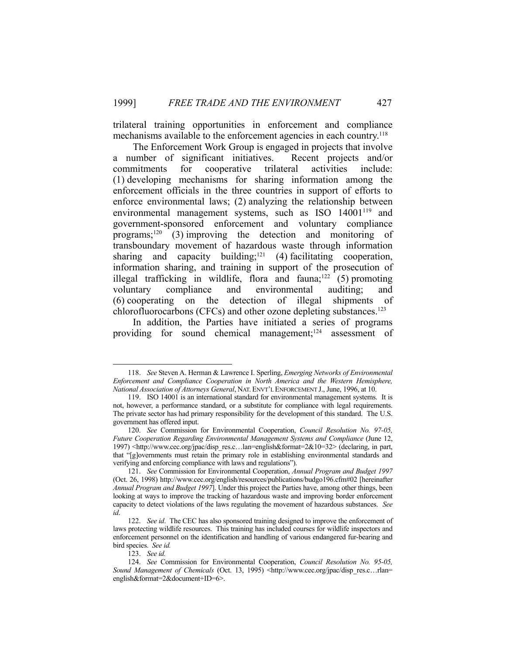trilateral training opportunities in enforcement and compliance mechanisms available to the enforcement agencies in each country.<sup>118</sup>

 The Enforcement Work Group is engaged in projects that involve a number of significant initiatives. Recent projects and/or commitments for cooperative trilateral activities include: (1) developing mechanisms for sharing information among the enforcement officials in the three countries in support of efforts to enforce environmental laws; (2) analyzing the relationship between environmental management systems, such as ISO 14001<sup>119</sup> and government-sponsored enforcement and voluntary compliance programs;<sup>120</sup> (3) improving the detection and monitoring of transboundary movement of hazardous waste through information sharing and capacity building;<sup>121</sup> (4) facilitating cooperation, information sharing, and training in support of the prosecution of illegal trafficking in wildlife, flora and fauna;<sup>122</sup> (5) promoting voluntary compliance and environmental auditing; and (6) cooperating on the detection of illegal shipments of chlorofluorocarbons (CFCs) and other ozone depleting substances. 123

 In addition, the Parties have initiated a series of programs providing for sound chemical management;<sup>124</sup> assessment of

 <sup>118.</sup> *See* Steven A. Herman & Lawrence I. Sperling, *Emerging Networks of Environmental Enforcement and Compliance Cooperation in North America and the Western Hemisphere, National Association of Attorneys General*, NAT. ENVT'L ENFORCEMENT J., June, 1996, at 10.

 <sup>119.</sup> ISO 14001 is an international standard for environmental management systems. It is not, however, a performance standard, or a substitute for compliance with legal requirements. The private sector has had primary responsibility for the development of this standard. The U.S. government has offered input.

 <sup>120.</sup> *See* Commission for Environmental Cooperation, *Council Resolution No. 97-05, Future Cooperation Regarding Environmental Management Systems and Compliance* (June 12, 1997)  $\text{th}$ ;//www.cec.org/jpac/disp\_res.c...lan=english&format=2&10=32> (declaring, in part, that "[g]overnments must retain the primary role in establishing environmental standards and verifying and enforcing compliance with laws and regulations").

 <sup>121.</sup> *See* Commission for Environmental Cooperation, *Annual Program and Budget 1997*  (Oct. 26, 1998) http://www.cec.org/english/resources/publications/budgo196.cfm#02 [hereinafter *Annual Program and Budget 1997*]. Under this project the Parties have, among other things, been looking at ways to improve the tracking of hazardous waste and improving border enforcement capacity to detect violations of the laws regulating the movement of hazardous substances. *See id*.

 <sup>122.</sup> *See id*. The CEC has also sponsored training designed to improve the enforcement of laws protecting wildlife resources. This training has included courses for wildlife inspectors and enforcement personnel on the identification and handling of various endangered fur-bearing and bird species. *See id.*

 <sup>123.</sup> *See id.*

 <sup>124.</sup> *See* Commission for Environmental Cooperation, *Council Resolution No. 95-05, Sound Management of Chemicals* (Oct. 13, 1995) <http://www.cec.org/jpac/disp\_res.c…rlan= english&format=2&document+ID=6>.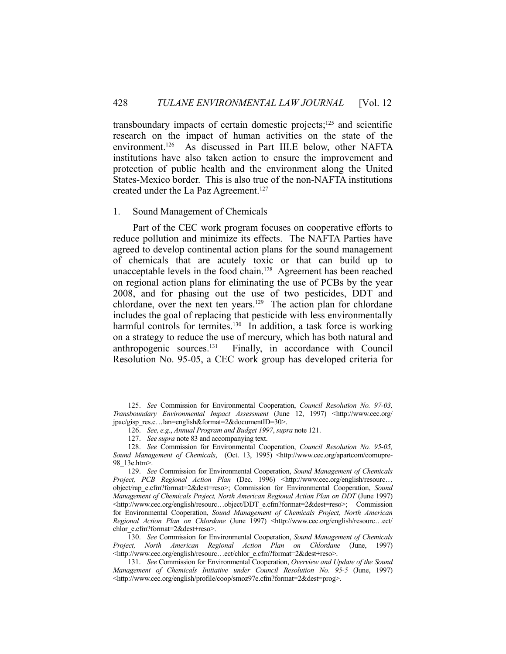transboundary impacts of certain domestic projects; $125$  and scientific research on the impact of human activities on the state of the environment.126 As discussed in Part III.E below, other NAFTA institutions have also taken action to ensure the improvement and protection of public health and the environment along the United States-Mexico border. This is also true of the non-NAFTA institutions created under the La Paz Agreement.<sup>127</sup>

#### 1. Sound Management of Chemicals

 Part of the CEC work program focuses on cooperative efforts to reduce pollution and minimize its effects. The NAFTA Parties have agreed to develop continental action plans for the sound management of chemicals that are acutely toxic or that can build up to unacceptable levels in the food chain.<sup>128</sup> Agreement has been reached on regional action plans for eliminating the use of PCBs by the year 2008, and for phasing out the use of two pesticides, DDT and chlordane, over the next ten years.<sup>129</sup> The action plan for chlordane includes the goal of replacing that pesticide with less environmentally harmful controls for termites.<sup>130</sup> In addition, a task force is working on a strategy to reduce the use of mercury, which has both natural and anthropogenic sources.131 Finally, in accordance with Council Resolution No. 95-05, a CEC work group has developed criteria for

 <sup>125.</sup> *See* Commission for Environmental Cooperation, *Council Resolution No. 97-03, Transboundary Environmental Impact Assessment* (June 12, 1997) <http://www.cec.org/ jpac/gisp\_res.c…lan=english&format=2&documentID=30>.

 <sup>126.</sup> *See, e.g.*, *Annual Program and Budget 1997*, *supra* note 121.

 <sup>127.</sup> *See supra* note 83 and accompanying text.

 <sup>128.</sup> *See* Commission for Environmental Cooperation, *Council Resolution No. 95-05, Sound Management of Chemicals*, (Oct. 13, 1995) <http://www.cec.org/apartcom/comupre-98\_13e.htm>.

 <sup>129.</sup> *See* Commission for Environmental Cooperation, *Sound Management of Chemicals Project, PCB Regional Action Plan* (Dec. 1996) <http://www.cec.org/english/resourc… object/rap\_e.cfm?format=2&dest=reso>; Commission for Environmental Cooperation, *Sound Management of Chemicals Project, North American Regional Action Plan on DDT* (June 1997) <http://www.cec.org/english/resourc…object/DDT\_e.cfm?format=2&dest=reso>; Commission for Environmental Cooperation, *Sound Management of Chemicals Project, North American Regional Action Plan on Chlordane* (June 1997) <http://www.cec.org/english/resourc...ect/ chlor\_e.cfm?format=2&dest+reso>.

 <sup>130.</sup> *See* Commission for Environmental Cooperation, *Sound Management of Chemicals Project, North American Regional Action Plan on Chlordane* (June, 1997) <http://www.cec.org/english/resourc…ect/chlor\_e.cfm?format=2&dest+reso>.

 <sup>131.</sup> *See* Commission for Environmental Cooperation, *Overview and Update of the Sound Management of Chemicals Initiative under Council Resolution No. 95-5* (June, 1997) <http://www.cec.org/english/profile/coop/smoz97e.cfm?format=2&dest=prog>.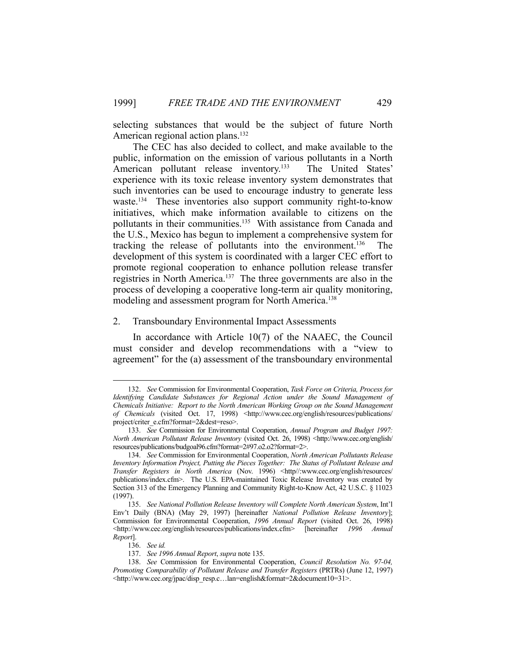selecting substances that would be the subject of future North American regional action plans.<sup>132</sup>

 The CEC has also decided to collect, and make available to the public, information on the emission of various pollutants in a North American pollutant release inventory.<sup>133</sup> The United States' experience with its toxic release inventory system demonstrates that such inventories can be used to encourage industry to generate less waste.<sup>134</sup> These inventories also support community right-to-know initiatives, which make information available to citizens on the pollutants in their communities.135 With assistance from Canada and the U.S., Mexico has begun to implement a comprehensive system for tracking the release of pollutants into the environment.136 The development of this system is coordinated with a larger CEC effort to promote regional cooperation to enhance pollution release transfer registries in North America.<sup>137</sup> The three governments are also in the process of developing a cooperative long-term air quality monitoring, modeling and assessment program for North America.<sup>138</sup>

#### 2. Transboundary Environmental Impact Assessments

 In accordance with Article 10(7) of the NAAEC, the Council must consider and develop recommendations with a "view to agreement" for the (a) assessment of the transboundary environmental

 <sup>132.</sup> *See* Commission for Environmental Cooperation, *Task Force on Criteria, Process for Identifying Candidate Substances for Regional Action under the Sound Management of Chemicals Initiative: Report to the North American Working Group on the Sound Management of Chemicals* (visited Oct. 17, 1998) <http://www.cec.org/english/resources/publications/ project/criter\_e.cfm?format=2&dest=reso>.

 <sup>133.</sup> *See* Commission for Environmental Cooperation, *Annual Program and Budget 1997: North American Pollutant Release Inventory* (visited Oct. 26, 1998) <http://www.cec.org/english/ resources/publications/budgoal96.cfm?format=2#97.o2.o2?format=2>.

 <sup>134.</sup> *See* Commission for Environmental Cooperation, *North American Pollutants Release Inventory Information Project, Putting the Pieces Together: The Status of Pollutant Release and Transfer Registers in North America* (Nov. 1996) <http//:www.cec.org/english/resources/ publications/index.cfm>. The U.S. EPA-maintained Toxic Release Inventory was created by Section 313 of the Emergency Planning and Community Right-to-Know Act, 42 U.S.C. § 11023 (1997).

 <sup>135.</sup> *See National Pollution Release Inventory will Complete North American System*, Int'l Env't Daily (BNA) (May 29, 1997) [hereinafter *National Pollution Release Inventory*]; Commission for Environmental Cooperation, *1996 Annual Report* (visited Oct. 26, 1998) <http://www.cec.org/english/resources/publications/index.cfm> [hereinafter *1996 Annual Report*].

 <sup>136.</sup> *See id.*

 <sup>137.</sup> *See 1996 Annual Report*, *supra* note 135.

 <sup>138.</sup> *See* Commission for Environmental Cooperation, *Council Resolution No. 97-04, Promoting Comparability of Pollutant Release and Transfer Registers* (PRTRs) (June 12, 1997) <http://www.cec.org/jpac/disp\_resp.c…lan=english&format=2&document10=31>.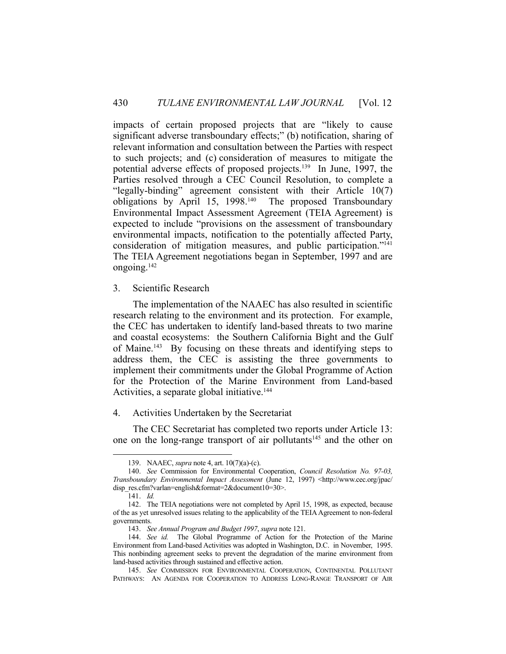impacts of certain proposed projects that are "likely to cause significant adverse transboundary effects;" (b) notification, sharing of relevant information and consultation between the Parties with respect to such projects; and (c) consideration of measures to mitigate the potential adverse effects of proposed projects.139 In June, 1997, the Parties resolved through a CEC Council Resolution, to complete a "legally-binding" agreement consistent with their Article 10(7) obligations by April 15, 1998.140 The proposed Transboundary Environmental Impact Assessment Agreement (TEIA Agreement) is expected to include "provisions on the assessment of transboundary environmental impacts, notification to the potentially affected Party, consideration of mitigation measures, and public participation."141 The TEIA Agreement negotiations began in September, 1997 and are ongoing.142

3. Scientific Research

 The implementation of the NAAEC has also resulted in scientific research relating to the environment and its protection. For example, the CEC has undertaken to identify land-based threats to two marine and coastal ecosystems: the Southern California Bight and the Gulf of Maine.143 By focusing on these threats and identifying steps to address them, the CEC is assisting the three governments to implement their commitments under the Global Programme of Action for the Protection of the Marine Environment from Land-based Activities, a separate global initiative.<sup>144</sup>

## 4. Activities Undertaken by the Secretariat

 The CEC Secretariat has completed two reports under Article 13: one on the long-range transport of air pollutants<sup>145</sup> and the other on

 <sup>139.</sup> NAAEC, *supra* note 4, art. 10(7)(a)-(c).

 <sup>140.</sup> *See* Commission for Environmental Cooperation, *Council Resolution No. 97-03, Transboundary Environmental Impact Assessment* (June 12, 1997) <http://www.cec.org/jpac/ disp\_res.cfm?varlan=english&format=2&document10=30>.

 <sup>141.</sup> *Id.*

 <sup>142.</sup> The TEIA negotiations were not completed by April 15, 1998, as expected, because of the as yet unresolved issues relating to the applicability of the TEIA Agreement to non-federal governments.

 <sup>143.</sup> *See Annual Program and Budget 1997*, *supra* note 121.

 <sup>144.</sup> *See id.* The Global Programme of Action for the Protection of the Marine Environment from Land-based Activities was adopted in Washington, D.C. in November, 1995. This nonbinding agreement seeks to prevent the degradation of the marine environment from land-based activities through sustained and effective action.

 <sup>145.</sup> *See* COMMISSION FOR ENVIRONMENTAL COOPERATION, CONTINENTAL POLLUTANT PATHWAYS: AN AGENDA FOR COOPERATION TO ADDRESS LONG-RANGE TRANSPORT OF AIR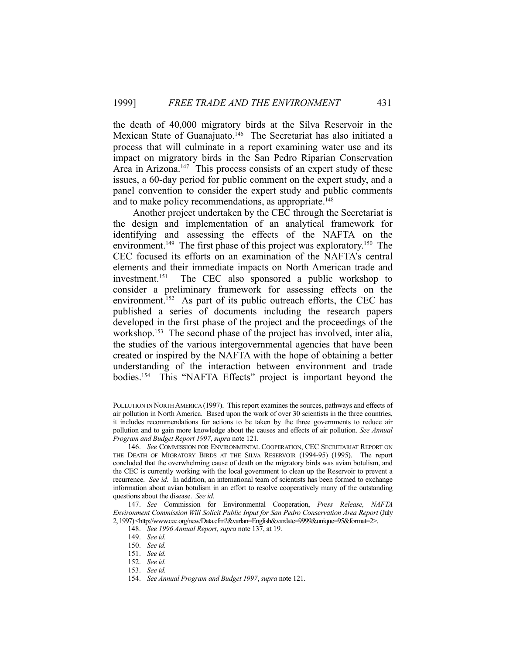the death of 40,000 migratory birds at the Silva Reservoir in the Mexican State of Guanajuato.<sup>146</sup> The Secretariat has also initiated a process that will culminate in a report examining water use and its impact on migratory birds in the San Pedro Riparian Conservation Area in Arizona.<sup>147</sup> This process consists of an expert study of these issues, a 60-day period for public comment on the expert study, and a panel convention to consider the expert study and public comments and to make policy recommendations, as appropriate.<sup>148</sup>

 Another project undertaken by the CEC through the Secretariat is the design and implementation of an analytical framework for identifying and assessing the effects of the NAFTA on the environment.<sup>149</sup> The first phase of this project was exploratory.<sup>150</sup> The CEC focused its efforts on an examination of the NAFTA's central elements and their immediate impacts on North American trade and investment.151 The CEC also sponsored a public workshop to consider a preliminary framework for assessing effects on the environment.<sup>152</sup> As part of its public outreach efforts, the CEC has published a series of documents including the research papers developed in the first phase of the project and the proceedings of the workshop.<sup>153</sup> The second phase of the project has involved, inter alia, the studies of the various intergovernmental agencies that have been created or inspired by the NAFTA with the hope of obtaining a better understanding of the interaction between environment and trade bodies.154 This "NAFTA Effects" project is important beyond the

POLLUTION IN NORTH AMERICA (1997). This report examines the sources, pathways and effects of air pollution in North America. Based upon the work of over 30 scientists in the three countries, it includes recommendations for actions to be taken by the three governments to reduce air pollution and to gain more knowledge about the causes and effects of air pollution. *See Annual Program and Budget Report 1997*, *supra* note 121.

 <sup>146.</sup> *See* COMMISSION FOR ENVIRONMENTAL COOPERATION, CEC SECRETARIAT REPORT ON THE DEATH OF MIGRATORY BIRDS AT THE SILVA RESERVOIR (1994-95) (1995). The report concluded that the overwhelming cause of death on the migratory birds was avian botulism, and the CEC is currently working with the local government to clean up the Reservoir to prevent a recurrence. *See id*. In addition, an international team of scientists has been formed to exchange information about avian botulism in an effort to resolve cooperatively many of the outstanding questions about the disease. *See id*.

 <sup>147.</sup> *See* Commission for Environmental Cooperation, *Press Release, NAFTA Environment Commission Will Solicit Public Input for San Pedro Conservation Area Report* (July 2, 1997) <http://www.cec.org/new/Data.cfm?&varlan=English&vardate=9999&unique=95&format=2>.

 <sup>148.</sup> *See 1996 Annual Report*, *supra* note 137, at 19.

 <sup>149.</sup> *See id.*

 <sup>150.</sup> *See id.*

 <sup>151.</sup> *See id.*

 <sup>152.</sup> *See id.*

 <sup>153.</sup> *See id.*

 <sup>154.</sup> *See Annual Program and Budget 1997*, *supra* note 121.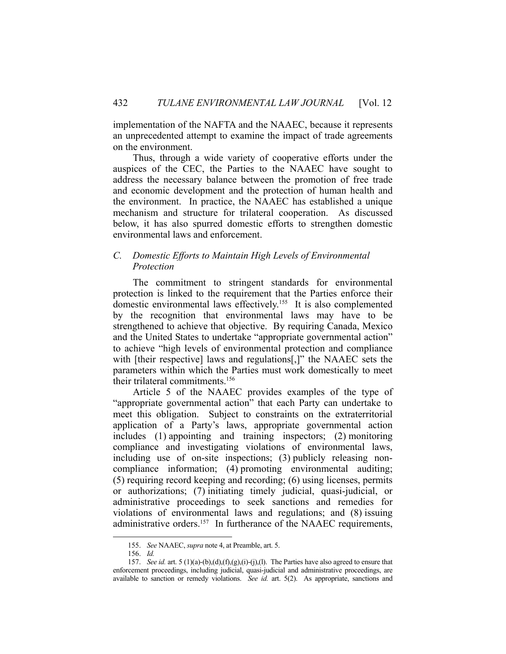implementation of the NAFTA and the NAAEC, because it represents an unprecedented attempt to examine the impact of trade agreements on the environment.

 Thus, through a wide variety of cooperative efforts under the auspices of the CEC, the Parties to the NAAEC have sought to address the necessary balance between the promotion of free trade and economic development and the protection of human health and the environment. In practice, the NAAEC has established a unique mechanism and structure for trilateral cooperation. As discussed below, it has also spurred domestic efforts to strengthen domestic environmental laws and enforcement.

# *C. Domestic Efforts to Maintain High Levels of Environmental Protection*

 The commitment to stringent standards for environmental protection is linked to the requirement that the Parties enforce their domestic environmental laws effectively.155 It is also complemented by the recognition that environmental laws may have to be strengthened to achieve that objective. By requiring Canada, Mexico and the United States to undertake "appropriate governmental action" to achieve "high levels of environmental protection and compliance with [their respective] laws and regulations[,]" the NAAEC sets the parameters within which the Parties must work domestically to meet their trilateral commitments.156

 Article 5 of the NAAEC provides examples of the type of "appropriate governmental action" that each Party can undertake to meet this obligation. Subject to constraints on the extraterritorial application of a Party's laws, appropriate governmental action includes (1) appointing and training inspectors; (2) monitoring compliance and investigating violations of environmental laws, including use of on-site inspections; (3) publicly releasing noncompliance information; (4) promoting environmental auditing; (5) requiring record keeping and recording; (6) using licenses, permits or authorizations; (7) initiating timely judicial, quasi-judicial, or administrative proceedings to seek sanctions and remedies for violations of environmental laws and regulations; and (8) issuing administrative orders.<sup>157</sup> In furtherance of the NAAEC requirements,

 <sup>155.</sup> *See* NAAEC, *supra* note 4, at Preamble, art. 5.

 <sup>156.</sup> *Id.*

 <sup>157.</sup> *See id.* art. 5 (1)(a)-(b),(d),(f),(g),(i)-(j),(l). The Parties have also agreed to ensure that enforcement proceedings, including judicial, quasi-judicial and administrative proceedings, are available to sanction or remedy violations. *See id.* art. 5(2). As appropriate, sanctions and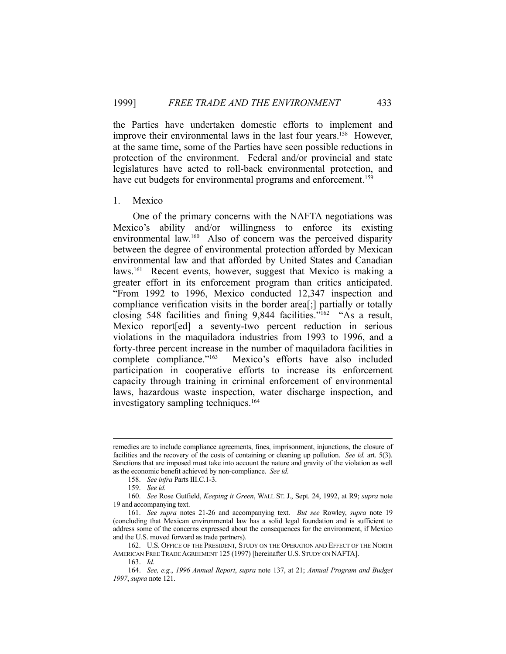the Parties have undertaken domestic efforts to implement and improve their environmental laws in the last four years.<sup>158</sup> However, at the same time, some of the Parties have seen possible reductions in protection of the environment. Federal and/or provincial and state legislatures have acted to roll-back environmental protection, and have cut budgets for environmental programs and enforcement.<sup>159</sup>

## 1. Mexico

 One of the primary concerns with the NAFTA negotiations was Mexico's ability and/or willingness to enforce its existing environmental law.160 Also of concern was the perceived disparity between the degree of environmental protection afforded by Mexican environmental law and that afforded by United States and Canadian laws.<sup>161</sup> Recent events, however, suggest that Mexico is making a greater effort in its enforcement program than critics anticipated. "From 1992 to 1996, Mexico conducted 12,347 inspection and compliance verification visits in the border area[;] partially or totally closing 548 facilities and fining 9,844 facilities."162 "As a result, Mexico report[ed] a seventy-two percent reduction in serious violations in the maquiladora industries from 1993 to 1996, and a forty-three percent increase in the number of maquiladora facilities in complete compliance."163 Mexico's efforts have also included participation in cooperative efforts to increase its enforcement capacity through training in criminal enforcement of environmental laws, hazardous waste inspection, water discharge inspection, and investigatory sampling techniques.<sup>164</sup>

remedies are to include compliance agreements, fines, imprisonment, injunctions, the closure of facilities and the recovery of the costs of containing or cleaning up pollution. *See id.* art. 5(3). Sanctions that are imposed must take into account the nature and gravity of the violation as well as the economic benefit achieved by non-compliance. *See id*.

 <sup>158.</sup> *See infra* Parts III.C.1-3.

 <sup>159.</sup> *See id.*

 <sup>160.</sup> *See* Rose Gutfield, *Keeping it Green*, WALL ST. J., Sept. 24, 1992, at R9; *supra* note 19 and accompanying text.

 <sup>161.</sup> *See supra* notes 21-26 and accompanying text. *But see* Rowley, *supra* note 19 (concluding that Mexican environmental law has a solid legal foundation and is sufficient to address some of the concerns expressed about the consequences for the environment, if Mexico and the U.S. moved forward as trade partners).

 <sup>162.</sup> U.S. OFFICE OF THE PRESIDENT, STUDY ON THE OPERATION AND EFFECT OF THE NORTH AMERICAN FREE TRADE AGREEMENT 125 (1997) [hereinafter U.S. STUDY ON NAFTA].

 <sup>163.</sup> *Id.*

 <sup>164.</sup> *See, e.g.*, *1996 Annual Report*, *supra* note 137, at 21; *Annual Program and Budget 1997*, *supra* note 121.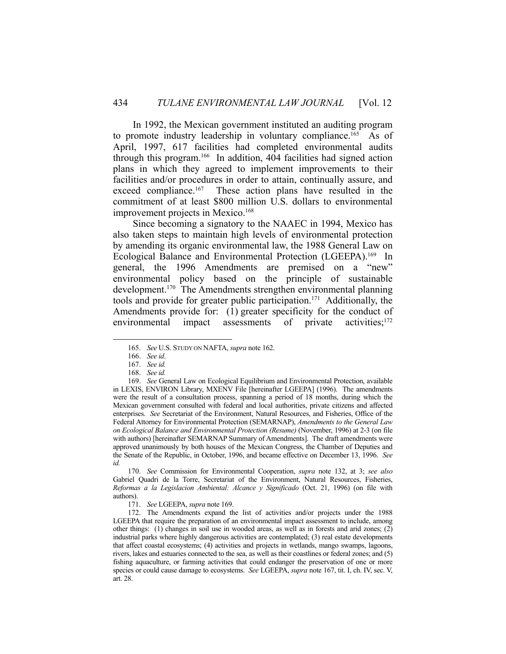In 1992, the Mexican government instituted an auditing program to promote industry leadership in voluntary compliance.<sup>165</sup> As of April, 1997, 617 facilities had completed environmental audits through this program.166 In addition, 404 facilities had signed action plans in which they agreed to implement improvements to their facilities and/or procedures in order to attain, continually assure, and exceed compliance.<sup>167</sup> These action plans have resulted in the commitment of at least \$800 million U.S. dollars to environmental improvement projects in Mexico.<sup>168</sup>

 Since becoming a signatory to the NAAEC in 1994, Mexico has also taken steps to maintain high levels of environmental protection by amending its organic environmental law, the 1988 General Law on Ecological Balance and Environmental Protection (LGEEPA).169 In general, the 1996 Amendments are premised on a "new" environmental policy based on the principle of sustainable development.<sup>170</sup> The Amendments strengthen environmental planning tools and provide for greater public participation.<sup>171</sup> Additionally, the Amendments provide for: (1) greater specificity for the conduct of environmental impact assessments of private activities;<sup>172</sup>

 <sup>165.</sup> *See* U.S. STUDY ON NAFTA, *supra* note 162.

 <sup>166.</sup> *See id*.

 <sup>167.</sup> *See id.*

 <sup>168.</sup> *See id.*

 <sup>169.</sup> *See* General Law on Ecological Equilibrium and Environmental Protection, available in LEXIS, ENVIRON Library, MXENV File [hereinafter LGEEPA] (1996). The amendments were the result of a consultation process, spanning a period of 18 months, during which the Mexican government consulted with federal and local authorities, private citizens and affected enterprises. *See* Secretariat of the Environment, Natural Resources, and Fisheries, Office of the Federal Attorney for Environmental Protection (SEMARNAP), *Amendments to the General Law on Ecological Balance and Environmental Protection (Resume)* (November, 1996) at 2-3 (on file with authors) [hereinafter SEMARNAP Summary of Amendments]. The draft amendments were approved unanimously by both houses of the Mexican Congress, the Chamber of Deputies and the Senate of the Republic, in October, 1996, and became effective on December 13, 1996. *See id.*

 <sup>170.</sup> *See* Commission for Environmental Cooperation, *supra* note 132, at 3; *see also* Gabriel Quadri de la Torre, Secretariat of the Environment, Natural Resources, Fisheries, *Reformas a la Legislacion Ambiental: Alcance y Significado* (Oct. 21, 1996) (on file with authors).

 <sup>171.</sup> *See* LGEEPA, *supra* note 169.

 <sup>172.</sup> The Amendments expand the list of activities and/or projects under the 1988 LGEEPA that require the preparation of an environmental impact assessment to include, among other things: (1) changes in soil use in wooded areas, as well as in forests and arid zones; (2) industrial parks where highly dangerous activities are contemplated; (3) real estate developments that affect coastal ecosystems; (4) activities and projects in wetlands, mango swamps, lagoons, rivers, lakes and estuaries connected to the sea, as well as their coastlines or federal zones; and (5) fishing aquaculture, or farming activities that could endanger the preservation of one or more species or could cause damage to ecosystems. *See* LGEEPA, *supra* note 167, tit. I, ch. IV, sec. V, art. 28.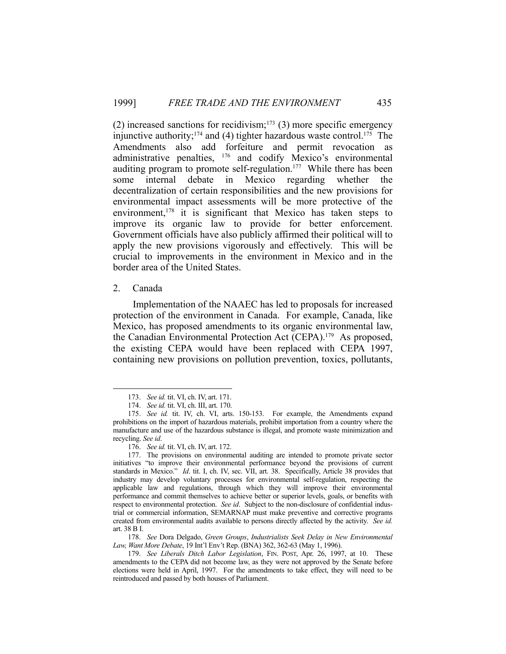(2) increased sanctions for recidivism;<sup>173</sup> (3) more specific emergency injunctive authority;<sup>174</sup> and (4) tighter hazardous waste control.<sup>175</sup> The Amendments also add forfeiture and permit revocation as administrative penalties, 176 and codify Mexico's environmental auditing program to promote self-regulation.<sup>177</sup> While there has been some internal debate in Mexico regarding whether the decentralization of certain responsibilities and the new provisions for environmental impact assessments will be more protective of the environment,<sup>178</sup> it is significant that Mexico has taken steps to improve its organic law to provide for better enforcement. Government officials have also publicly affirmed their political will to apply the new provisions vigorously and effectively. This will be crucial to improvements in the environment in Mexico and in the border area of the United States.

2. Canada

1

 Implementation of the NAAEC has led to proposals for increased protection of the environment in Canada. For example, Canada, like Mexico, has proposed amendments to its organic environmental law, the Canadian Environmental Protection Act (CEPA).179 As proposed, the existing CEPA would have been replaced with CEPA 1997, containing new provisions on pollution prevention, toxics, pollutants,

 178. *See* Dora Delgado, *Green Groups*, *Industrialists Seek Delay in New Environmental Law, Want More Debate*, 19 Int'l Env't Rep. (BNA) 362, 362-63 (May 1, 1996).

 <sup>173.</sup> *See id.* tit. VI, ch. IV, art. 171.

 <sup>174.</sup> *See id.* tit. VI, ch. III, art. 170.

 <sup>175.</sup> *See id.* tit. IV, ch. VI, arts. 150-153. For example, the Amendments expand prohibitions on the import of hazardous materials, prohibit importation from a country where the manufacture and use of the hazardous substance is illegal, and promote waste minimization and recycling. *See id*.

 <sup>176.</sup> *See id.* tit. VI, ch. IV, art. 172.

 <sup>177.</sup> The provisions on environmental auditing are intended to promote private sector initiatives "to improve their environmental performance beyond the provisions of current standards in Mexico." *Id*. tit. I, ch. IV, sec. VII, art. 38. Specifically, Article 38 provides that industry may develop voluntary processes for environmental self-regulation, respecting the applicable law and regulations, through which they will improve their environmental performance and commit themselves to achieve better or superior levels, goals, or benefits with respect to environmental protection. *See id*. Subject to the non-disclosure of confidential industrial or commercial information, SEMARNAP must make preventive and corrective programs created from environmental audits available to persons directly affected by the activity. *See id.* art. 38 B I.

 <sup>179.</sup> *See Liberals Ditch Labor Legislation*, FIN. POST, Apr. 26, 1997, at 10. These amendments to the CEPA did not become law, as they were not approved by the Senate before elections were held in April, 1997. For the amendments to take effect, they will need to be reintroduced and passed by both houses of Parliament.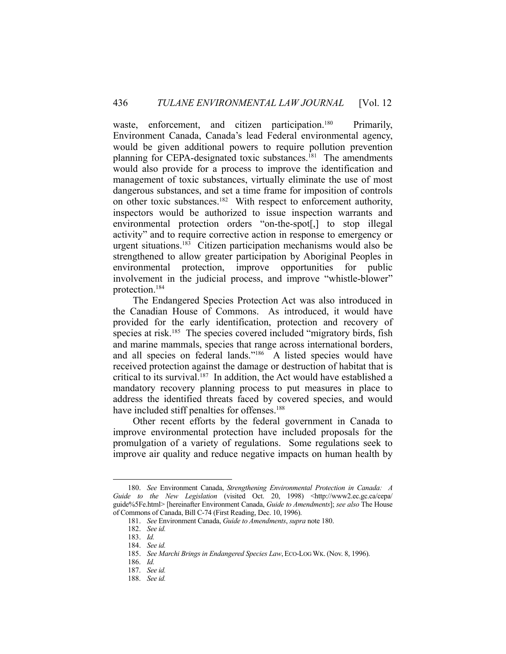waste, enforcement, and citizen participation.<sup>180</sup> Primarily, Environment Canada, Canada's lead Federal environmental agency, would be given additional powers to require pollution prevention planning for CEPA-designated toxic substances.<sup>181</sup> The amendments would also provide for a process to improve the identification and management of toxic substances, virtually eliminate the use of most dangerous substances, and set a time frame for imposition of controls on other toxic substances.182 With respect to enforcement authority, inspectors would be authorized to issue inspection warrants and environmental protection orders "on-the-spot[,] to stop illegal activity" and to require corrective action in response to emergency or urgent situations.<sup>183</sup> Citizen participation mechanisms would also be strengthened to allow greater participation by Aboriginal Peoples in environmental protection, improve opportunities for public involvement in the judicial process, and improve "whistle-blower" protection.184

 The Endangered Species Protection Act was also introduced in the Canadian House of Commons. As introduced, it would have provided for the early identification, protection and recovery of species at risk.<sup>185</sup> The species covered included "migratory birds, fish and marine mammals, species that range across international borders, and all species on federal lands."186 A listed species would have received protection against the damage or destruction of habitat that is critical to its survival.<sup>187</sup> In addition, the Act would have established a mandatory recovery planning process to put measures in place to address the identified threats faced by covered species, and would have included stiff penalties for offenses.<sup>188</sup>

 Other recent efforts by the federal government in Canada to improve environmental protection have included proposals for the promulgation of a variety of regulations. Some regulations seek to improve air quality and reduce negative impacts on human health by

 <sup>180.</sup> *See* Environment Canada, *Strengthening Environmental Protection in Canada: A Guide to the New Legislation* (visited Oct. 20, 1998) <http://www2.ec.gc.ca/cepa/ guide%5Fe.html> [hereinafter Environment Canada, *Guide to Amendments*]; *see also* The House of Commons of Canada, Bill C-74 (First Reading, Dec. 10, 1996).

 <sup>181.</sup> *See* Environment Canada, *Guide to Amendments*, *supra* note 180.

 <sup>182.</sup> *See id.*

 <sup>183.</sup> *Id.*

 <sup>184.</sup> *See id.*

 <sup>185.</sup> *See Marchi Brings in Endangered Species Law*, ECO-LOG WK.(Nov. 8, 1996).

 <sup>186.</sup> *Id.*

 <sup>187.</sup> *See id.*

 <sup>188.</sup> *See id.*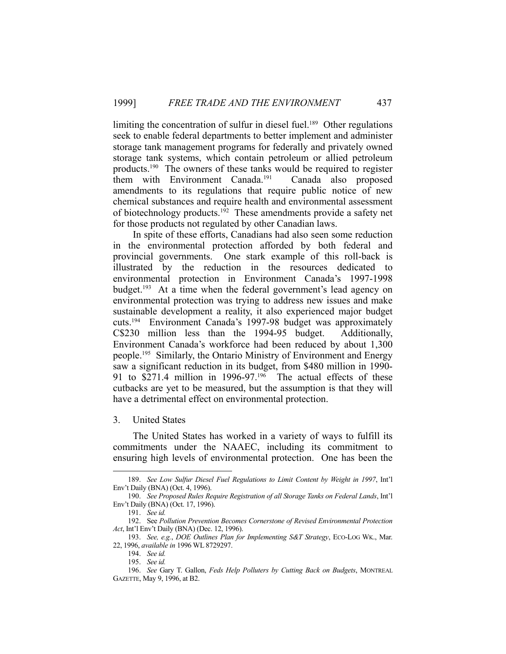limiting the concentration of sulfur in diesel fuel.<sup>189</sup> Other regulations seek to enable federal departments to better implement and administer storage tank management programs for federally and privately owned storage tank systems, which contain petroleum or allied petroleum products.190 The owners of these tanks would be required to register them with Environment Canada.191 Canada also proposed amendments to its regulations that require public notice of new chemical substances and require health and environmental assessment of biotechnology products.<sup>192</sup> These amendments provide a safety net for those products not regulated by other Canadian laws.

 In spite of these efforts, Canadians had also seen some reduction in the environmental protection afforded by both federal and provincial governments. One stark example of this roll-back is illustrated by the reduction in the resources dedicated to environmental protection in Environment Canada's 1997-1998 budget.193 At a time when the federal government's lead agency on environmental protection was trying to address new issues and make sustainable development a reality, it also experienced major budget cuts.194 Environment Canada's 1997-98 budget was approximately C\$230 million less than the 1994-95 budget. Additionally, Environment Canada's workforce had been reduced by about 1,300 people.195 Similarly, the Ontario Ministry of Environment and Energy saw a significant reduction in its budget, from \$480 million in 1990- 91 to \$271.4 million in 1996-97.<sup>196</sup> The actual effects of these cutbacks are yet to be measured, but the assumption is that they will have a detrimental effect on environmental protection.

3. United States

 The United States has worked in a variety of ways to fulfill its commitments under the NAAEC, including its commitment to ensuring high levels of environmental protection. One has been the

<u>.</u>

 <sup>189.</sup> *See Low Sulfur Diesel Fuel Regulations to Limit Content by Weight in 1997*, Int'l Env't Daily (BNA) (Oct. 4, 1996).

 <sup>190.</sup> *See Proposed Rules Require Registration of all Storage Tanks on Federal Lands*, Int'l Env't Daily (BNA) (Oct. 17, 1996).

 <sup>191.</sup> *See id.*

 <sup>192.</sup> See *Pollution Prevention Becomes Cornerstone of Revised Environmental Protection Act*, Int'l Env't Daily (BNA) (Dec. 12, 1996).

 <sup>193.</sup> *See, e.g.*, *DOE Outlines Plan for Implementing S&T Strategy*, ECO-LOG WK., Mar. 22, 1996, *available in* 1996 WL 8729297.

 <sup>194.</sup> *See id.*

 <sup>195.</sup> *See id.*

 <sup>196.</sup> *See* Gary T. Gallon, *Feds Help Polluters by Cutting Back on Budgets*, MONTREAL GAZETTE, May 9, 1996, at B2.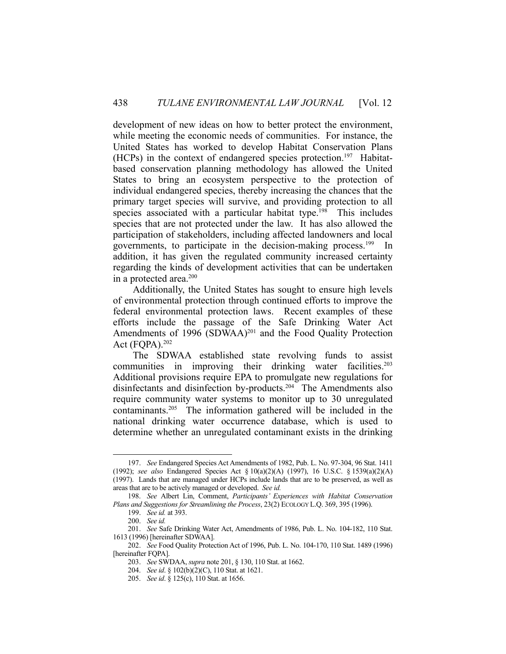development of new ideas on how to better protect the environment, while meeting the economic needs of communities. For instance, the United States has worked to develop Habitat Conservation Plans  $(HCPs)$  in the context of endangered species protection.<sup>197</sup> Habitatbased conservation planning methodology has allowed the United States to bring an ecosystem perspective to the protection of individual endangered species, thereby increasing the chances that the primary target species will survive, and providing protection to all species associated with a particular habitat type.<sup>198</sup> This includes species that are not protected under the law. It has also allowed the participation of stakeholders, including affected landowners and local governments, to participate in the decision-making process.199 In addition, it has given the regulated community increased certainty regarding the kinds of development activities that can be undertaken in a protected area.<sup>200</sup>

 Additionally, the United States has sought to ensure high levels of environmental protection through continued efforts to improve the federal environmental protection laws. Recent examples of these efforts include the passage of the Safe Drinking Water Act Amendments of  $1996$  (SDWAA)<sup>201</sup> and the Food Quality Protection Act (FQPA).202

 The SDWAA established state revolving funds to assist communities in improving their drinking water facilities.<sup>203</sup> Additional provisions require EPA to promulgate new regulations for disinfectants and disinfection by-products.<sup>204</sup> The Amendments also require community water systems to monitor up to 30 unregulated contaminants.205 The information gathered will be included in the national drinking water occurrence database, which is used to determine whether an unregulated contaminant exists in the drinking

 <sup>197.</sup> *See* Endangered Species Act Amendments of 1982, Pub. L. No. 97-304, 96 Stat. 1411 (1992); *see also* Endangered Species Act § 10(a)(2)(A) (1997), 16 U.S.C. § 1539(a)(2)(A) (1997). Lands that are managed under HCPs include lands that are to be preserved, as well as areas that are to be actively managed or developed. *See id.*

 <sup>198.</sup> *See* Albert Lin, Comment, *Participants' Experiences with Habitat Conservation Plans and Suggestions for Streamlining the Process*, 23(2) ECOLOGY L.Q. 369, 395 (1996).

 <sup>199.</sup> *See id.* at 393.

 <sup>200.</sup> *See id.*

 <sup>201.</sup> *See* Safe Drinking Water Act, Amendments of 1986, Pub. L. No. 104-182, 110 Stat. 1613 (1996) [hereinafter SDWAA].

 <sup>202.</sup> *See* Food Quality Protection Act of 1996, Pub. L. No. 104-170, 110 Stat. 1489 (1996) [hereinafter FQPA].

 <sup>203.</sup> *See* SWDAA, *supra* note 201, § 130, 110 Stat. at 1662.

 <sup>204.</sup> *See id*. § 102(b)(2)(C), 110 Stat. at 1621.

 <sup>205.</sup> *See id*. § 125(c), 110 Stat. at 1656.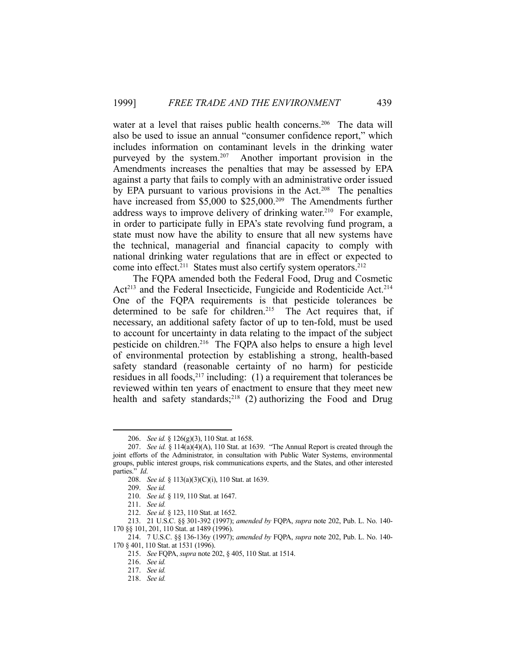water at a level that raises public health concerns.<sup>206</sup> The data will also be used to issue an annual "consumer confidence report," which includes information on contaminant levels in the drinking water purveyed by the system.<sup>207</sup> Another important provision in the Amendments increases the penalties that may be assessed by EPA against a party that fails to comply with an administrative order issued by EPA pursuant to various provisions in the Act.<sup>208</sup> The penalties have increased from \$5,000 to \$25,000.<sup>209</sup> The Amendments further address ways to improve delivery of drinking water.<sup>210</sup> For example, in order to participate fully in EPA's state revolving fund program, a state must now have the ability to ensure that all new systems have the technical, managerial and financial capacity to comply with national drinking water regulations that are in effect or expected to come into effect.<sup>211</sup> States must also certify system operators.<sup>212</sup>

 The FQPA amended both the Federal Food, Drug and Cosmetic Act<sup>213</sup> and the Federal Insecticide, Fungicide and Rodenticide Act.<sup>214</sup> One of the FQPA requirements is that pesticide tolerances be determined to be safe for children.<sup>215</sup> The Act requires that, if necessary, an additional safety factor of up to ten-fold, must be used to account for uncertainty in data relating to the impact of the subject pesticide on children.<sup>216</sup> The FQPA also helps to ensure a high level of environmental protection by establishing a strong, health-based safety standard (reasonable certainty of no harm) for pesticide residues in all foods,  $2^{17}$  including: (1) a requirement that tolerances be reviewed within ten years of enactment to ensure that they meet new health and safety standards;<sup>218</sup> (2) authorizing the Food and Drug

<u>.</u>

 <sup>206.</sup> *See id.* § 126(g)(3), 110 Stat. at 1658.

 <sup>207.</sup> *See id.* § 114(a)(4)(A), 110 Stat. at 1639. "The Annual Report is created through the joint efforts of the Administrator, in consultation with Public Water Systems, environmental groups, public interest groups, risk communications experts, and the States, and other interested parties." *Id*.

 <sup>208.</sup> *See id.* § 113(a)(3)(C)(i), 110 Stat. at 1639.

 <sup>209.</sup> *See id.*

 <sup>210.</sup> *See id.* § 119, 110 Stat. at 1647.

 <sup>211.</sup> *See id.*

 <sup>212.</sup> *See id.* § 123, 110 Stat. at 1652.

 <sup>213. 21</sup> U.S.C. §§ 301-392 (1997); *amended by* FQPA, *supra* note 202, Pub. L. No. 140- 170 §§ 101, 201, 110 Stat. at 1489 (1996).

 <sup>214. 7</sup> U.S.C. §§ 136-136y (1997); *amended by* FQPA, *supra* note 202, Pub. L. No. 140- 170 § 401, 110 Stat. at 1531 (1996).

 <sup>215.</sup> *See* FQPA, *supra* note 202, § 405, 110 Stat. at 1514.

 <sup>216.</sup> *See id.*

 <sup>217.</sup> *See id.*

 <sup>218.</sup> *See id.*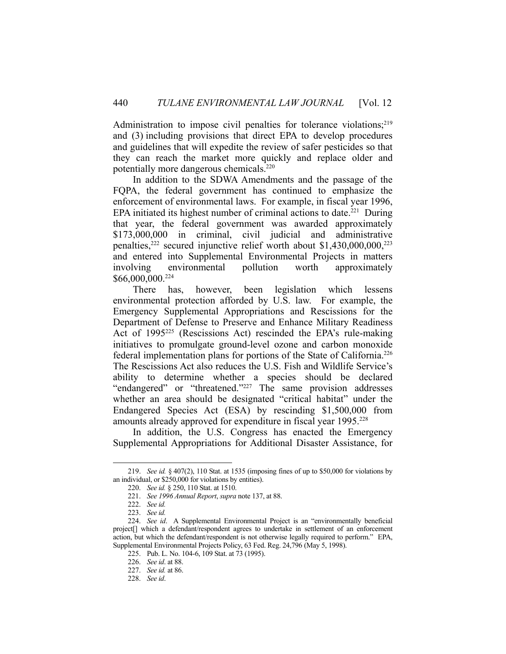Administration to impose civil penalties for tolerance violations;<sup>219</sup> and (3) including provisions that direct EPA to develop procedures and guidelines that will expedite the review of safer pesticides so that they can reach the market more quickly and replace older and potentially more dangerous chemicals.220

 In addition to the SDWA Amendments and the passage of the FQPA, the federal government has continued to emphasize the enforcement of environmental laws. For example, in fiscal year 1996, EPA initiated its highest number of criminal actions to date.<sup>221</sup> During that year, the federal government was awarded approximately \$173,000,000 in criminal, civil judicial and administrative penalties, $222$  secured injunctive relief worth about \$1,430,000,000, $223$ and entered into Supplemental Environmental Projects in matters involving environmental pollution worth approximately \$66,000,000.224

 There has, however, been legislation which lessens environmental protection afforded by U.S. law. For example, the Emergency Supplemental Appropriations and Rescissions for the Department of Defense to Preserve and Enhance Military Readiness Act of 1995<sup>225</sup> (Rescissions Act) rescinded the EPA's rule-making initiatives to promulgate ground-level ozone and carbon monoxide federal implementation plans for portions of the State of California.226 The Rescissions Act also reduces the U.S. Fish and Wildlife Service's ability to determine whether a species should be declared "endangered" or "threatened."227 The same provision addresses whether an area should be designated "critical habitat" under the Endangered Species Act (ESA) by rescinding \$1,500,000 from amounts already approved for expenditure in fiscal year 1995.<sup>228</sup>

 In addition, the U.S. Congress has enacted the Emergency Supplemental Appropriations for Additional Disaster Assistance, for

 <sup>219.</sup> *See id.* § 407(2), 110 Stat. at 1535 (imposing fines of up to \$50,000 for violations by an individual, or \$250,000 for violations by entities).

 <sup>220.</sup> *See id.* § 250, 110 Stat. at 1510.

 <sup>221.</sup> *See 1996 Annual Report*, *supra* note 137, at 88.

 <sup>222.</sup> *See id.*

 <sup>223.</sup> *See id.*

 <sup>224.</sup> *See id*. A Supplemental Environmental Project is an "environmentally beneficial project[] which a defendant/respondent agrees to undertake in settlement of an enforcement action, but which the defendant/respondent is not otherwise legally required to perform." EPA, Supplemental Environmental Projects Policy, 63 Fed. Reg. 24,796 (May 5, 1998).

 <sup>225.</sup> Pub. L. No. 104-6, 109 Stat. at 73 (1995).

 <sup>226.</sup> *See id*. at 88.

 <sup>227.</sup> *See id.* at 86.

 <sup>228.</sup> *See id*.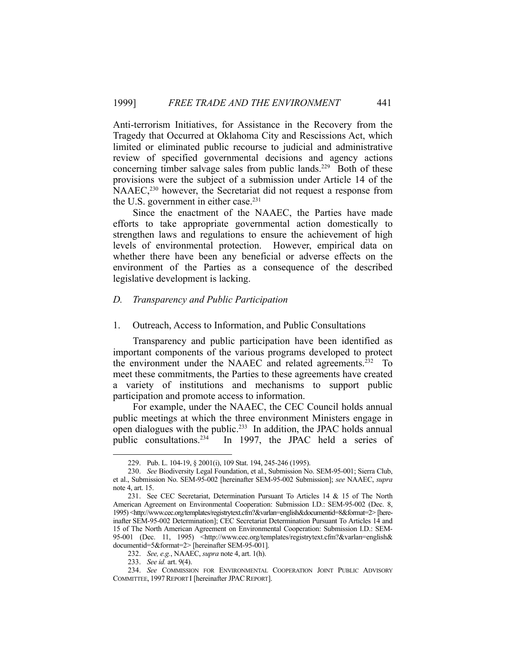Anti-terrorism Initiatives, for Assistance in the Recovery from the Tragedy that Occurred at Oklahoma City and Rescissions Act, which limited or eliminated public recourse to judicial and administrative review of specified governmental decisions and agency actions concerning timber salvage sales from public lands.<sup>229</sup> Both of these provisions were the subject of a submission under Article 14 of the NAAEC,<sup>230</sup> however, the Secretariat did not request a response from the U.S. government in either case.<sup>231</sup>

 Since the enactment of the NAAEC, the Parties have made efforts to take appropriate governmental action domestically to strengthen laws and regulations to ensure the achievement of high levels of environmental protection. However, empirical data on whether there have been any beneficial or adverse effects on the environment of the Parties as a consequence of the described legislative development is lacking.

#### *D. Transparency and Public Participation*

#### 1. Outreach, Access to Information, and Public Consultations

 Transparency and public participation have been identified as important components of the various programs developed to protect the environment under the NAAEC and related agreements.<sup>232</sup> To meet these commitments, the Parties to these agreements have created a variety of institutions and mechanisms to support public participation and promote access to information.

 For example, under the NAAEC, the CEC Council holds annual public meetings at which the three environment Ministers engage in open dialogues with the public.<sup>233</sup> In addition, the JPAC holds annual public consultations.<sup>234</sup> In 1997, the JPAC held a series of

 <sup>229.</sup> Pub. L. 104-19, § 2001(i), 109 Stat. 194, 245-246 (1995).

 <sup>230.</sup> *See* Biodiversity Legal Foundation, et al., Submission No. SEM-95-001; Sierra Club, et al., Submission No. SEM-95-002 [hereinafter SEM-95-002 Submission]; *see* NAAEC, *supra* note 4, art. 15.

 <sup>231.</sup> See CEC Secretariat, Determination Pursuant To Articles 14 & 15 of The North American Agreement on Environmental Cooperation: Submission I.D.: SEM-95-002 (Dec. 8, 1995) <http://www.cec.org/templates/registrytext.cfm?&varlan=english&documentid=8&format=2> [hereinafter SEM-95-002 Determination]; CEC Secretariat Determination Pursuant To Articles 14 and 15 of The North American Agreement on Environmental Cooperation: Submission I.D.: SEM-95-001 (Dec. 11, 1995) <http://www.cec.org/templates/registrytext.cfm?&varlan=english& documentid=5&format=2> [hereinafter SEM-95-001].

 <sup>232.</sup> *See, e.g.*, NAAEC, *supra* note 4, art. 1(h).

 <sup>233.</sup> *See id.* art. 9(4).

 <sup>234.</sup> *See* COMMISSION FOR ENVIRONMENTAL COOPERATION JOINT PUBLIC ADVISORY COMMITTEE, 1997 REPORT I [hereinafter JPAC REPORT].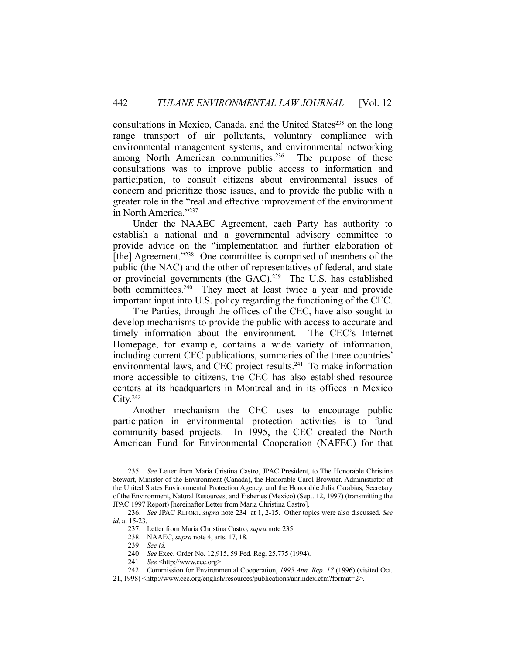consultations in Mexico, Canada, and the United States<sup>235</sup> on the long range transport of air pollutants, voluntary compliance with environmental management systems, and environmental networking among North American communities.<sup>236</sup> The purpose of these consultations was to improve public access to information and participation, to consult citizens about environmental issues of concern and prioritize those issues, and to provide the public with a greater role in the "real and effective improvement of the environment in North America."237

 Under the NAAEC Agreement, each Party has authority to establish a national and a governmental advisory committee to provide advice on the "implementation and further elaboration of [the] Agreement."<sup>238</sup> One committee is comprised of members of the public (the NAC) and the other of representatives of federal, and state or provincial governments (the GAC).<sup>239</sup> The U.S. has established both committees.<sup>240</sup> They meet at least twice a year and provide important input into U.S. policy regarding the functioning of the CEC.

 The Parties, through the offices of the CEC, have also sought to develop mechanisms to provide the public with access to accurate and timely information about the environment. The CEC's Internet Homepage, for example, contains a wide variety of information, including current CEC publications, summaries of the three countries' environmental laws, and CEC project results.241 To make information more accessible to citizens, the CEC has also established resource centers at its headquarters in Montreal and in its offices in Mexico  $Citv.<sup>242</sup>$ 

 Another mechanism the CEC uses to encourage public participation in environmental protection activities is to fund community-based projects. In 1995, the CEC created the North American Fund for Environmental Cooperation (NAFEC) for that

 <sup>235.</sup> *See* Letter from Maria Cristina Castro, JPAC President, to The Honorable Christine Stewart, Minister of the Environment (Canada), the Honorable Carol Browner, Administrator of the United States Environmental Protection Agency, and the Honorable Julia Carabias, Secretary of the Environment, Natural Resources, and Fisheries (Mexico) (Sept. 12, 1997) (transmitting the JPAC 1997 Report) [hereinafter Letter from Maria Christina Castro].

 <sup>236.</sup> *See* JPAC REPORT, *supra* note 234 at 1, 2-15. Other topics were also discussed. *See id*. at 15-23.

 <sup>237.</sup> Letter from Maria Christina Castro, *supra* note 235.

 <sup>238.</sup> NAAEC, *supra* note 4, arts. 17, 18.

 <sup>239.</sup> *See id.*

 <sup>240.</sup> *See* Exec. Order No. 12,915, 59 Fed. Reg. 25,775 (1994).

 <sup>241.</sup> *See* <http://www.cec.org>.

 <sup>242.</sup> Commission for Environmental Cooperation, *1995 Ann. Rep. 17* (1996) (visited Oct.

<sup>21, 1998) &</sup>lt;http://www.cec.org/english/resources/publications/anrindex.cfm?format=2>.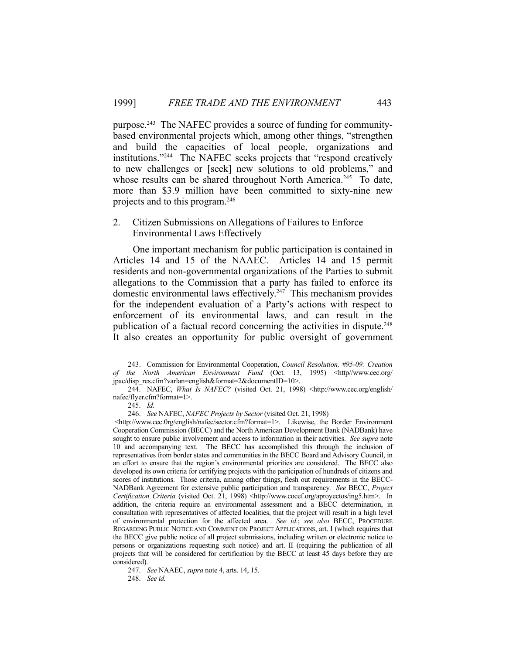purpose.243 The NAFEC provides a source of funding for communitybased environmental projects which, among other things, "strengthen and build the capacities of local people, organizations and institutions."244 The NAFEC seeks projects that "respond creatively to new challenges or [seek] new solutions to old problems," and whose results can be shared throughout North America.<sup>245</sup> To date, more than \$3.9 million have been committed to sixty-nine new projects and to this program.246

## 2. Citizen Submissions on Allegations of Failures to Enforce Environmental Laws Effectively

 One important mechanism for public participation is contained in Articles 14 and 15 of the NAAEC. Articles 14 and 15 permit residents and non-governmental organizations of the Parties to submit allegations to the Commission that a party has failed to enforce its domestic environmental laws effectively.<sup>247</sup> This mechanism provides for the independent evaluation of a Party's actions with respect to enforcement of its environmental laws, and can result in the publication of a factual record concerning the activities in dispute.<sup>248</sup> It also creates an opportunity for public oversight of government

 <sup>243.</sup> Commission for Environmental Cooperation, *Council Resolution, #95-09: Creation of the North American Environment Fund* (Oct. 13, 1995) <http//www.cec.org/ jpac/disp\_res.cfm?varlan=english&format=2&documentID=10>.

 <sup>244.</sup> NAFEC, *What Is NAFEC?* (visited Oct. 21, 1998) <http://www.cec.org/english/ nafec/flyer.cfm?format=1>.

 <sup>245.</sup> *Id.*

 <sup>246.</sup> *See* NAFEC, *NAFEC Projects by Sector* (visited Oct. 21, 1998)

 <sup>&</sup>lt;http://www.cec.0rg/english/nafec/sector.cfm?format=1>. Likewise, the Border Environment Cooperation Commission (BECC) and the North American Development Bank (NADBank) have sought to ensure public involvement and access to information in their activities. *See supra* note 10 and accompanying text. The BECC has accomplished this through the inclusion of representatives from border states and communities in the BECC Board and Advisory Council, in an effort to ensure that the region's environmental priorities are considered. The BECC also developed its own criteria for certifying projects with the participation of hundreds of citizens and scores of institutions. Those criteria, among other things, flesh out requirements in the BECC-NADBank Agreement for extensive public participation and transparency. *See* BECC, *Project Certification Criteria* (visited Oct. 21, 1998) <http://www.cocef.org/aproyectos/ing5.htm>. In addition, the criteria require an environmental assessment and a BECC determination, in consultation with representatives of affected localities, that the project will result in a high level of environmental protection for the affected area. *See id.*; *see also* BECC, PROCEDURE REGARDING PUBLIC NOTICE AND COMMENT ON PROJECT APPLICATIONS, art. I (which requires that the BECC give public notice of all project submissions, including written or electronic notice to persons or organizations requesting such notice) and art. II (requiring the publication of all projects that will be considered for certification by the BECC at least 45 days before they are considered).

 <sup>247.</sup> *See* NAAEC, *supra* note 4, arts. 14, 15.

 <sup>248.</sup> *See id.*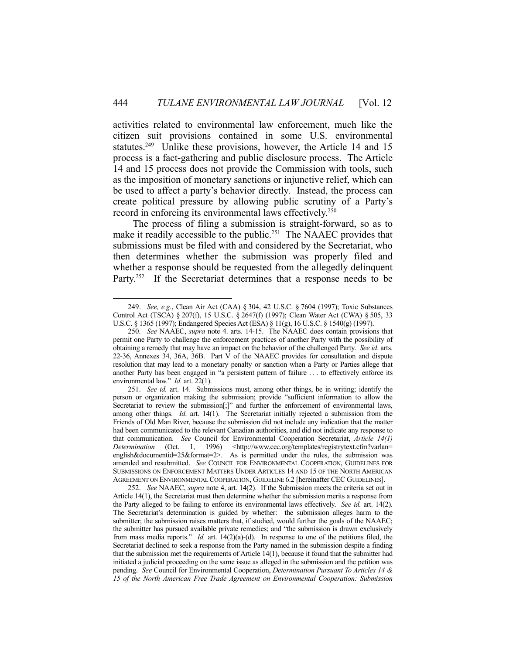activities related to environmental law enforcement, much like the citizen suit provisions contained in some U.S. environmental statutes.<sup>249</sup> Unlike these provisions, however, the Article 14 and 15 process is a fact-gathering and public disclosure process. The Article 14 and 15 process does not provide the Commission with tools, such as the imposition of monetary sanctions or injunctive relief, which can be used to affect a party's behavior directly. Instead, the process can create political pressure by allowing public scrutiny of a Party's record in enforcing its environmental laws effectively.<sup>250</sup>

 The process of filing a submission is straight-forward, so as to make it readily accessible to the public.<sup>251</sup> The NAAEC provides that submissions must be filed with and considered by the Secretariat, who then determines whether the submission was properly filed and whether a response should be requested from the allegedly delinquent Party.<sup>252</sup> If the Secretariat determines that a response needs to be

 <sup>249.</sup> *See, e.g.*, Clean Air Act (CAA) § 304, 42 U.S.C. § 7604 (1997); Toxic Substances Control Act (TSCA) § 207(f), 15 U.S.C. § 2647(f) (1997); Clean Water Act (CWA) § 505, 33 U.S.C. § 1365 (1997); Endangered Species Act (ESA) § 11(g), 16 U.S.C. § 1540(g) (1997).

 <sup>250.</sup> *See* NAAEC, *supra* note 4. arts. 14-15. The NAAEC does contain provisions that permit one Party to challenge the enforcement practices of another Party with the possibility of obtaining a remedy that may have an impact on the behavior of the challenged Party. *See id*. arts. 22-36, Annexes 34, 36A, 36B. Part V of the NAAEC provides for consultation and dispute resolution that may lead to a monetary penalty or sanction when a Party or Parties allege that another Party has been engaged in "a persistent pattern of failure . . . to effectively enforce its environmental law." *Id.* art. 22(1).

 <sup>251.</sup> *See id.* art. 14. Submissions must, among other things, be in writing; identify the person or organization making the submission; provide "sufficient information to allow the Secretariat to review the submission[;]" and further the enforcement of environmental laws, among other things. *Id*. art. 14(1). The Secretariat initially rejected a submission from the Friends of Old Man River, because the submission did not include any indication that the matter had been communicated to the relevant Canadian authorities, and did not indicate any response to that communication. *See* Council for Environmental Cooperation Secretariat, *Article 14(1) Determination* (Oct. 1, 1996) <http://www.cec.org/templates/registrytext.cfm?varlan= english&documentid=25&format=2>. As is permitted under the rules, the submission was amended and resubmitted. *See* COUNCIL FOR ENVIRONMENTAL COOPERATION, GUIDELINES FOR SUBMISSIONS ON ENFORCEMENT MATTERS UNDER ARTICLES 14 AND 15 OF THE NORTH AMERICAN AGREEMENT ON ENVIRONMENTAL COOPERATION, GUIDELINE 6.2 [hereinafter CEC GUIDELINES].

 <sup>252.</sup> *See* NAAEC, *supra* note 4, art. 14(2). If the Submission meets the criteria set out in Article 14(1), the Secretariat must then determine whether the submission merits a response from the Party alleged to be failing to enforce its environmental laws effectively. *See id.* art. 14(2). The Secretariat's determination is guided by whether: the submission alleges harm to the submitter; the submission raises matters that, if studied, would further the goals of the NAAEC; the submitter has pursued available private remedies; and "the submission is drawn exclusively from mass media reports." *Id.* art. 14(2)(a)-(d). In response to one of the petitions filed, the Secretariat declined to seek a response from the Party named in the submission despite a finding that the submission met the requirements of Article 14(1), because it found that the submitter had initiated a judicial proceeding on the same issue as alleged in the submission and the petition was pending. *See* Council for Environmental Cooperation, *Determination Pursuant To Articles 14 & 15 of the North American Free Trade Agreement on Environmental Cooperation: Submission*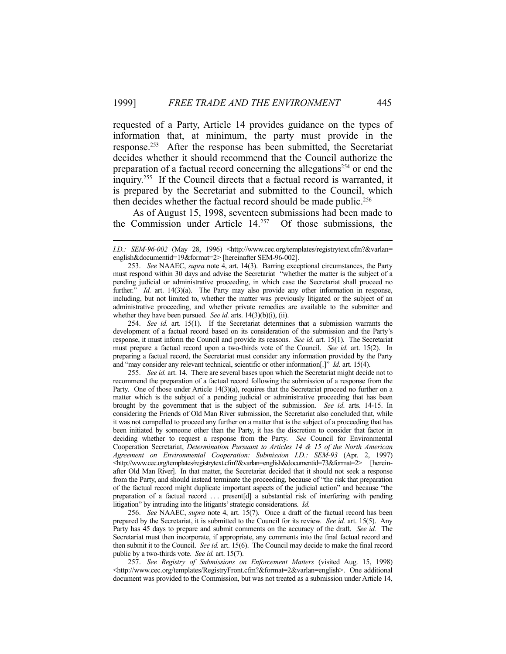requested of a Party, Article 14 provides guidance on the types of information that, at minimum, the party must provide in the response.253 After the response has been submitted, the Secretariat decides whether it should recommend that the Council authorize the preparation of a factual record concerning the allegations<sup>254</sup> or end the inquiry.255 If the Council directs that a factual record is warranted, it is prepared by the Secretariat and submitted to the Council, which then decides whether the factual record should be made public.<sup>256</sup>

 As of August 15, 1998, seventeen submissions had been made to the Commission under Article 14.257 Of those submissions, the

1

 254. *See id.* art. 15(1). If the Secretariat determines that a submission warrants the development of a factual record based on its consideration of the submission and the Party's response, it must inform the Council and provide its reasons. *See id.* art. 15(1). The Secretariat must prepare a factual record upon a two-thirds vote of the Council. *See id.* art. 15(2). In preparing a factual record, the Secretariat must consider any information provided by the Party and "may consider any relevant technical, scientific or other information[.]" *Id.* art. 15(4).

 255. *See id.* art. 14.There are several bases upon which the Secretariat might decide not to recommend the preparation of a factual record following the submission of a response from the Party. One of those under Article 14(3)(a), requires that the Secretariat proceed no further on a matter which is the subject of a pending judicial or administrative proceeding that has been brought by the government that is the subject of the submission. *See id*. arts. 14-15. In considering the Friends of Old Man River submission, the Secretariat also concluded that, while it was not compelled to proceed any further on a matter that is the subject of a proceeding that has been initiated by someone other than the Party, it has the discretion to consider that factor in deciding whether to request a response from the Party. *See* Council for Environmental Cooperation Secretariat, *Determination Pursuant to Articles 14 & 15 of the North American Agreement on Environmental Cooperation: Submission I.D.: SEM-93* (Apr. 2, 1997) <http://www.cec.org/templates/registrytext.cfm?&varlan=english&documentid=73&format=2> [hereinafter Old Man River]. In that matter, the Secretariat decided that it should not seek a response from the Party, and should instead terminate the proceeding, because of "the risk that preparation of the factual record might duplicate important aspects of the judicial action" and because "the preparation of a factual record  $\ldots$  present [d] a substantial risk of interfering with pending litigation" by intruding into the litigants' strategic considerations. *Id.*

 256. *See* NAAEC, *supra* note 4, art. 15(7). Once a draft of the factual record has been prepared by the Secretariat, it is submitted to the Council for its review. *See id.* art. 15(5). Any Party has 45 days to prepare and submit comments on the accuracy of the draft. *See id.* The Secretariat must then incorporate, if appropriate, any comments into the final factual record and then submit it to the Council. *See id.* art. 15(6). The Council may decide to make the final record public by a two-thirds vote. *See id.* art. 15(7).

 257. *See Registry of Submissions on Enforcement Matters* (visited Aug. 15, 1998) <http://www.cec.org/templates/RegistryFront.cfm?&format=2&varlan=english>. One additional document was provided to the Commission, but was not treated as a submission under Article 14,

*I.D.: SEM-96-002* (May 28, 1996) <http://www.cec.org/templates/registrytext.cfm?&varlan= english&documentid=19&format=2> [hereinafter SEM-96-002].

 <sup>253.</sup> *See* NAAEC, *supra* note 4, art. 14(3). Barring exceptional circumstances, the Party must respond within 30 days and advise the Secretariat "whether the matter is the subject of a pending judicial or administrative proceeding, in which case the Secretariat shall proceed no further." *Id.* art. 14(3)(a). The Party may also provide any other information in response, including, but not limited to, whether the matter was previously litigated or the subject of an administrative proceeding, and whether private remedies are available to the submitter and whether they have been pursued. *See id.* arts. 14(3)(b)(i), (ii).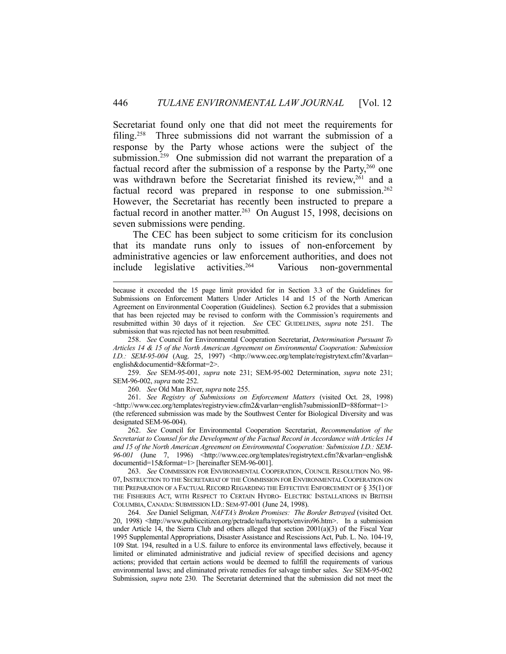Secretariat found only one that did not meet the requirements for filing.<sup>258</sup> Three submissions did not warrant the submission of a response by the Party whose actions were the subject of the submission.<sup>259</sup> One submission did not warrant the preparation of a factual record after the submission of a response by the Party, $260$  one was withdrawn before the Secretariat finished its review,<sup>261</sup> and a factual record was prepared in response to one submission.<sup>262</sup> However, the Secretariat has recently been instructed to prepare a factual record in another matter.<sup>263</sup> On August 15, 1998, decisions on seven submissions were pending.

 The CEC has been subject to some criticism for its conclusion that its mandate runs only to issues of non-enforcement by administrative agencies or law enforcement authorities, and does not include legislative activities.264 Various non-governmental

 259. *See* SEM-95-001, *supra* note 231; SEM-95-002 Determination, *supra* note 231; SEM-96-002, *supra* note 252.

260. *See* Old Man River, *supra* note 255.

 261. *See Registry of Submissions on Enforcement Matters* (visited Oct. 28, 1998) <http://www.cec.org/templates/registryview.cfm2&varlan=english7submissionID=88format=1> (the referenced submission was made by the Southwest Center for Biological Diversity and was designated SEM-96-004).

 262. *See* Council for Environmental Cooperation Secretariat, *Recommendation of the Secretariat to Counsel for the Development of the Factual Record in Accordance with Articles 14 and 15 of the North American Agreement on Environmental Cooperation: Submission I.D.: SEM-*96-001 (June 7, 1996) <http://www.cec.org/templates/registrytext.cfm?&varlan=english& documentid=15&format=1> [hereinafter SEM-96-001].

 263. *See* COMMISSION FOR ENVIRONMENTAL COOPERATION, COUNCIL RESOLUTION NO. 98- 07, INSTRUCTION TO THE SECRETARIAT OF THE COMMISSION FOR ENVIRONMENTAL COOPERATION ON THE PREPARATION OF A FACTUAL RECORD REGARDING THE EFFECTIVE ENFORCEMENT OF § 35(1) OF THE FISHERIES ACT, WITH RESPECT TO CERTAIN HYDRO- ELECTRIC INSTALLATIONS IN BRITISH COLUMBIA, CANADA: SUBMISSION I.D.: SEM-97-001 (June 24, 1998).

 264. *See* Daniel Seligman*, NAFTA's Broken Promises: The Border Betrayed* (visited Oct. 20, 1998) <http://www.publiccitizen.org/pctrade/nafta/reports/enviro96.htm>. In a submission under Article 14, the Sierra Club and others alleged that section 2001(a)(3) of the Fiscal Year 1995 Supplemental Appropriations, Disaster Assistance and Rescissions Act, Pub. L. No. 104-19, 109 Stat. 194, resulted in a U.S. failure to enforce its environmental laws effectively, because it limited or eliminated administrative and judicial review of specified decisions and agency actions; provided that certain actions would be deemed to fulfill the requirements of various environmental laws; and eliminated private remedies for salvage timber sales. *See* SEM-95-002 Submission, *supra* note 230. The Secretariat determined that the submission did not meet the

because it exceeded the 15 page limit provided for in Section 3.3 of the Guidelines for Submissions on Enforcement Matters Under Articles 14 and 15 of the North American Agreement on Environmental Cooperation (Guidelines). Section 6.2 provides that a submission that has been rejected may be revised to conform with the Commission's requirements and resubmitted within 30 days of it rejection. *See* CEC GUIDELINES, *supra* note 251. The submission that was rejected has not been resubmitted.

 <sup>258.</sup> *See* Council for Environmental Cooperation Secretariat, *Determination Pursuant To Articles 14 & 15 of the North American Agreement on Environmental Cooperation: Submission I.D.: SEM-95-004* (Aug. 25, 1997) <http://www.cec.org/template/registrytext.cfm?&varlan= english&documentid=8&format=2>.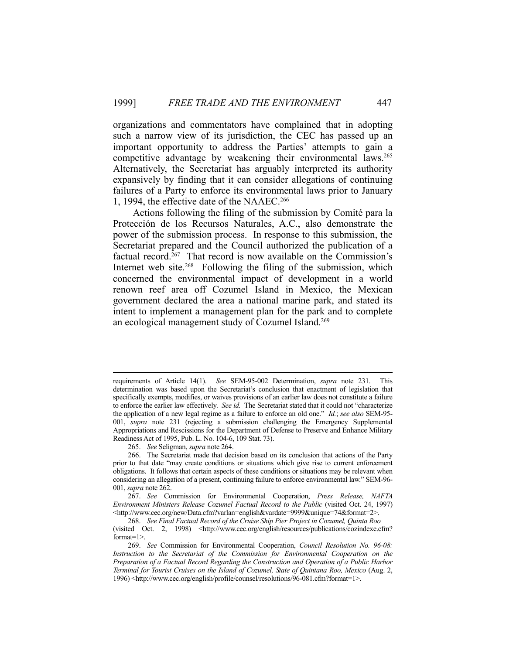organizations and commentators have complained that in adopting such a narrow view of its jurisdiction, the CEC has passed up an important opportunity to address the Parties' attempts to gain a competitive advantage by weakening their environmental laws.<sup>265</sup> Alternatively, the Secretariat has arguably interpreted its authority expansively by finding that it can consider allegations of continuing failures of a Party to enforce its environmental laws prior to January 1, 1994, the effective date of the NAAEC.266

 Actions following the filing of the submission by Comité para la Protección de los Recursos Naturales, A.C., also demonstrate the power of the submission process. In response to this submission, the Secretariat prepared and the Council authorized the publication of a factual record.<sup>267</sup> That record is now available on the Commission's Internet web site.<sup>268</sup> Following the filing of the submission, which concerned the environmental impact of development in a world renown reef area off Cozumel Island in Mexico, the Mexican government declared the area a national marine park, and stated its intent to implement a management plan for the park and to complete an ecological management study of Cozumel Island.269

requirements of Article 14(1). *See* SEM-95-002 Determination, *supra* note 231. This determination was based upon the Secretariat's conclusion that enactment of legislation that specifically exempts, modifies, or waives provisions of an earlier law does not constitute a failure to enforce the earlier law effectively. *See id.* The Secretariat stated that it could not "characterize the application of a new legal regime as a failure to enforce an old one." *Id.*; *see also* SEM-95- 001, *supra* note 231 (rejecting a submission challenging the Emergency Supplemental Appropriations and Rescissions for the Department of Defense to Preserve and Enhance Military Readiness Act of 1995, Pub. L. No. 104-6, 109 Stat. 73).

 <sup>265.</sup> *See* Seligman, *supra* note 264.

 <sup>266.</sup> The Secretariat made that decision based on its conclusion that actions of the Party prior to that date "may create conditions or situations which give rise to current enforcement obligations. It follows that certain aspects of these conditions or situations may be relevant when considering an allegation of a present, continuing failure to enforce environmental law." SEM-96- 001, *supra* note 262.

 <sup>267.</sup> *See* Commission for Environmental Cooperation, *Press Release, NAFTA Environment Ministers Release Cozumel Factual Record to the Public (visited Oct. 24, 1997)* <http://www.cec.org/new/Data.cfm?varlan=english&vardate=9999&unique=74&format=2>.

 <sup>268.</sup> *See Final Factual Record of the Cruise Ship Pier Project in Cozumel, Quinta Roo*

<sup>(</sup>visited Oct. 2, 1998) <http://www.cec.org/english/resources/publications/cozindexe.cfm? format=1>.

 <sup>269.</sup> *See* Commission for Environmental Cooperation, *Council Resolution No. 96-08: Instruction to the Secretariat of the Commission for Environmental Cooperation on the Preparation of a Factual Record Regarding the Construction and Operation of a Public Harbor Terminal for Tourist Cruises on the Island of Cozumel, State of Quintana Roo, Mexico (Aug. 2,* 1996) <http://www.cec.org/english/profile/counsel/resolutions/96-081.cfm?format=1>.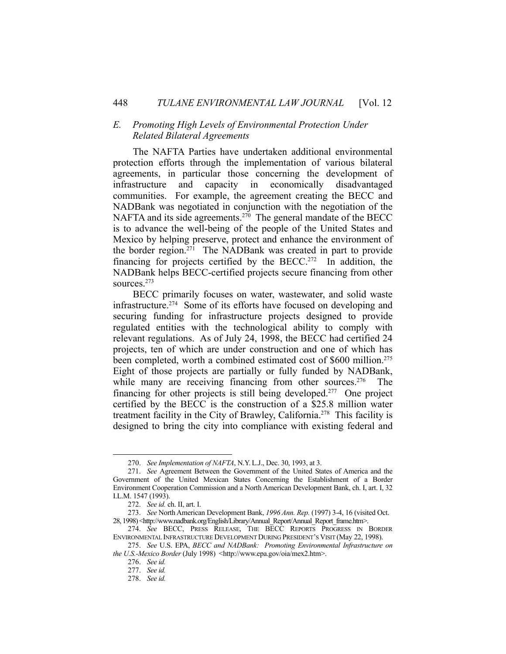## *E. Promoting High Levels of Environmental Protection Under Related Bilateral Agreements*

 The NAFTA Parties have undertaken additional environmental protection efforts through the implementation of various bilateral agreements, in particular those concerning the development of infrastructure and capacity in economically disadvantaged communities. For example, the agreement creating the BECC and NADBank was negotiated in conjunction with the negotiation of the NAFTA and its side agreements.<sup>270</sup> The general mandate of the BECC is to advance the well-being of the people of the United States and Mexico by helping preserve, protect and enhance the environment of the border region.<sup> $271$ </sup> The NADBank was created in part to provide financing for projects certified by the BECC.<sup>272</sup> In addition, the NADBank helps BECC-certified projects secure financing from other sources.273

 BECC primarily focuses on water, wastewater, and solid waste infrastructure.274 Some of its efforts have focused on developing and securing funding for infrastructure projects designed to provide regulated entities with the technological ability to comply with relevant regulations. As of July 24, 1998, the BECC had certified 24 projects, ten of which are under construction and one of which has been completed, worth a combined estimated cost of \$600 million.<sup>275</sup> Eight of those projects are partially or fully funded by NADBank, while many are receiving financing from other sources.<sup>276</sup> The financing for other projects is still being developed.277 One project certified by the BECC is the construction of a \$25.8 million water treatment facility in the City of Brawley, California.278 This facility is designed to bring the city into compliance with existing federal and

 <sup>270.</sup> *See Implementation of NAFTA*, N.Y. L.J., Dec. 30, 1993, at 3.

 <sup>271.</sup> *See* Agreement Between the Government of the United States of America and the Government of the United Mexican States Concerning the Establishment of a Border Environment Cooperation Commission and a North American Development Bank, ch. I, art. I, 32 I.L.M. 1547 (1993).

 <sup>272.</sup> *See id.* ch. II, art. I.

 <sup>273.</sup> *See* North American Development Bank, *1996 Ann. Rep.* (1997) 3-4, 16 (visited Oct. 28, 1998) <http://www.nadbank.org/English/Library/Annual\_Report/Annual\_Report\_frame.htm>.

 <sup>274.</sup> *See* BECC, PRESS RELEASE, THE BECC REPORTS PROGRESS IN BORDER ENVIRONMENTAL INFRASTRUCTURE DEVELOPMENT DURING PRESIDENT'S VISIT (May 22, 1998).

 <sup>275.</sup> *See* U.S. EPA, *BECC and NADBank: Promoting Environmental Infrastructure on the U.S.-Mexico Border* (July 1998) <http://www.epa.gov/oia/mex2.htm>.

 <sup>276.</sup> *See id.*

 <sup>277.</sup> *See id.*

 <sup>278.</sup> *See id.*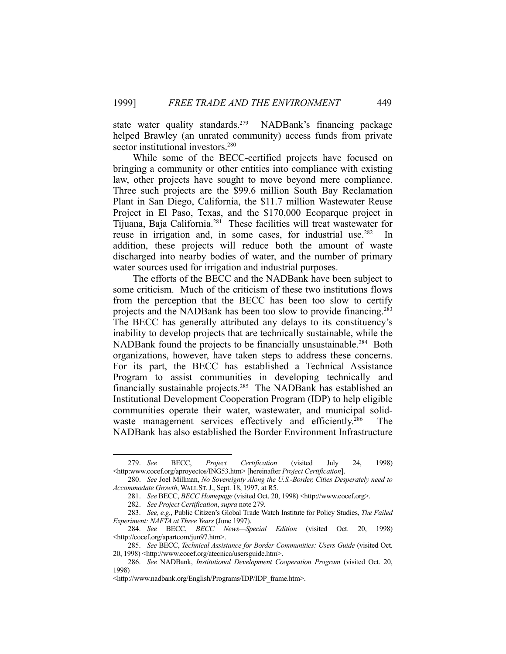state water quality standards.<sup>279</sup> NADBank's financing package helped Brawley (an unrated community) access funds from private sector institutional investors.<sup>280</sup>

 While some of the BECC-certified projects have focused on bringing a community or other entities into compliance with existing law, other projects have sought to move beyond mere compliance. Three such projects are the \$99.6 million South Bay Reclamation Plant in San Diego, California, the \$11.7 million Wastewater Reuse Project in El Paso, Texas, and the \$170,000 Ecoparque project in Tijuana, Baja California.281 These facilities will treat wastewater for reuse in irrigation and, in some cases, for industrial use.<sup>282</sup> In addition, these projects will reduce both the amount of waste discharged into nearby bodies of water, and the number of primary water sources used for irrigation and industrial purposes.

 The efforts of the BECC and the NADBank have been subject to some criticism. Much of the criticism of these two institutions flows from the perception that the BECC has been too slow to certify projects and the NADBank has been too slow to provide financing.<sup>283</sup> The BECC has generally attributed any delays to its constituency's inability to develop projects that are technically sustainable, while the NADBank found the projects to be financially unsustainable.<sup>284</sup> Both organizations, however, have taken steps to address these concerns. For its part, the BECC has established a Technical Assistance Program to assist communities in developing technically and financially sustainable projects.285 The NADBank has established an Institutional Development Cooperation Program (IDP) to help eligible communities operate their water, wastewater, and municipal solidwaste management services effectively and efficiently.<sup>286</sup> The NADBank has also established the Border Environment Infrastructure

 <sup>279.</sup> *See* BECC, *Project Certification* (visited July 24, 1998) <http:www.cocef.org/aproyectos/ING53.htm> [hereinafter *Project Certification*].

 <sup>280.</sup> *See* Joel Millman, *No Sovereignty Along the U.S.-Border, Cities Desperately need to Accommodate Growth*, WALL ST.J., Sept. 18, 1997, at R5.

 <sup>281.</sup> *See* BECC, *BECC Homepage* (visited Oct. 20, 1998) <http://www.cocef.org>.

 <sup>282.</sup> *See Project Certification*, *supra* note 279.

 <sup>283.</sup> *See, e.g.*, Public Citizen's Global Trade Watch Institute for Policy Studies, *The Failed Experiment: NAFTA at Three Years* (June 1997).

 <sup>284.</sup> *See* BECC, *BECC News—Special Edition* (visited Oct. 20, 1998) <http://cocef.org/apartcom/jun97.htm>.

 <sup>285.</sup> *See* BECC, *Technical Assistance for Border Communities: Users Guide* (visited Oct. 20, 1998) <http://www.cocef.org/atecnica/usersguide.htm>.

 <sup>286.</sup> *See* NADBank, *Institutional Development Cooperation Program* (visited Oct. 20, 1998)

<sup>&</sup>lt;http://www.nadbank.org/English/Programs/IDP/IDP\_frame.htm>.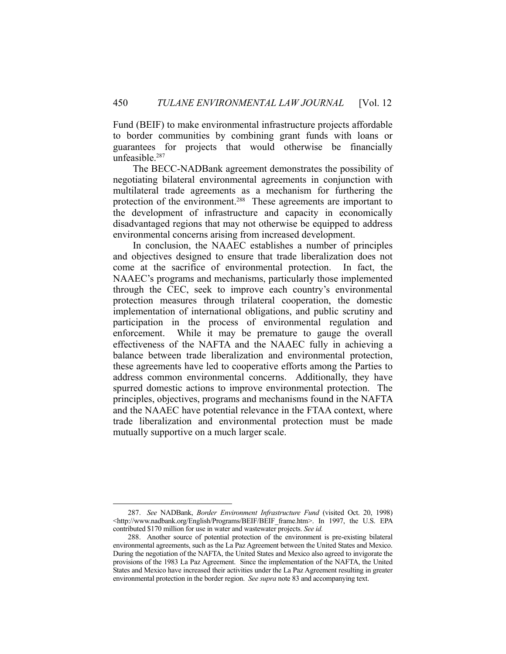Fund (BEIF) to make environmental infrastructure projects affordable to border communities by combining grant funds with loans or guarantees for projects that would otherwise be financially unfeasible.<sup>287</sup>

 The BECC-NADBank agreement demonstrates the possibility of negotiating bilateral environmental agreements in conjunction with multilateral trade agreements as a mechanism for furthering the protection of the environment.<sup>288</sup> These agreements are important to the development of infrastructure and capacity in economically disadvantaged regions that may not otherwise be equipped to address environmental concerns arising from increased development.

 In conclusion, the NAAEC establishes a number of principles and objectives designed to ensure that trade liberalization does not come at the sacrifice of environmental protection. In fact, the NAAEC's programs and mechanisms, particularly those implemented through the CEC, seek to improve each country's environmental protection measures through trilateral cooperation, the domestic implementation of international obligations, and public scrutiny and participation in the process of environmental regulation and enforcement. While it may be premature to gauge the overall effectiveness of the NAFTA and the NAAEC fully in achieving a balance between trade liberalization and environmental protection, these agreements have led to cooperative efforts among the Parties to address common environmental concerns. Additionally, they have spurred domestic actions to improve environmental protection. The principles, objectives, programs and mechanisms found in the NAFTA and the NAAEC have potential relevance in the FTAA context, where trade liberalization and environmental protection must be made mutually supportive on a much larger scale.

 <sup>287.</sup> *See* NADBank, *Border Environment Infrastructure Fund* (visited Oct. 20, 1998) <http://www.nadbank.org/English/Programs/BEIF/BEIF\_frame.htm>. In 1997, the U.S. EPA contributed \$170 million for use in water and wastewater projects. *See id.*

 <sup>288.</sup> Another source of potential protection of the environment is pre-existing bilateral environmental agreements, such as the La Paz Agreement between the United States and Mexico. During the negotiation of the NAFTA, the United States and Mexico also agreed to invigorate the provisions of the 1983 La Paz Agreement. Since the implementation of the NAFTA, the United States and Mexico have increased their activities under the La Paz Agreement resulting in greater environmental protection in the border region. *See supra* note 83 and accompanying text.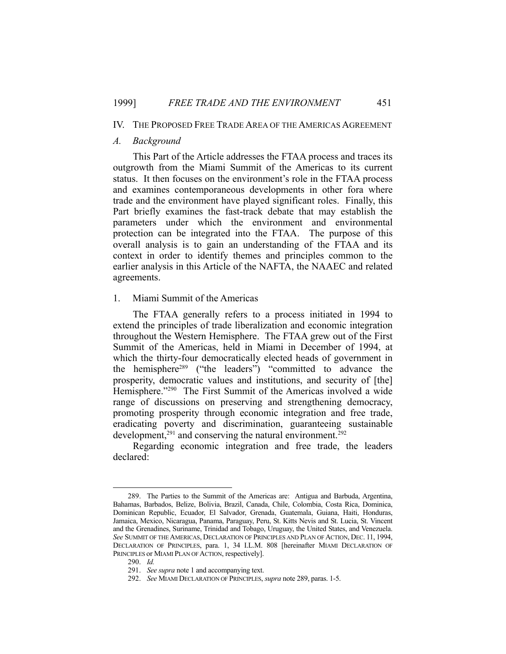## IV. THE PROPOSED FREE TRADE AREA OF THE AMERICAS AGREEMENT

#### *A. Background*

 This Part of the Article addresses the FTAA process and traces its outgrowth from the Miami Summit of the Americas to its current status. It then focuses on the environment's role in the FTAA process and examines contemporaneous developments in other fora where trade and the environment have played significant roles. Finally, this Part briefly examines the fast-track debate that may establish the parameters under which the environment and environmental protection can be integrated into the FTAA. The purpose of this overall analysis is to gain an understanding of the FTAA and its context in order to identify themes and principles common to the earlier analysis in this Article of the NAFTA, the NAAEC and related agreements.

#### 1. Miami Summit of the Americas

 The FTAA generally refers to a process initiated in 1994 to extend the principles of trade liberalization and economic integration throughout the Western Hemisphere. The FTAA grew out of the First Summit of the Americas, held in Miami in December of 1994, at which the thirty-four democratically elected heads of government in the hemisphere289 ("the leaders") "committed to advance the prosperity, democratic values and institutions, and security of [the] Hemisphere."<sup>290</sup> The First Summit of the Americas involved a wide range of discussions on preserving and strengthening democracy, promoting prosperity through economic integration and free trade, eradicating poverty and discrimination, guaranteeing sustainable development,<sup>291</sup> and conserving the natural environment.<sup>292</sup>

 Regarding economic integration and free trade, the leaders declared:

 <sup>289.</sup> The Parties to the Summit of the Americas are: Antigua and Barbuda, Argentina, Bahamas, Barbados, Belize, Bolivia, Brazil, Canada, Chile, Colombia, Costa Rica, Dominica, Dominican Republic, Ecuador, El Salvador, Grenada, Guatemala, Guiana, Haiti, Honduras, Jamaica, Mexico, Nicaragua, Panama, Paraguay, Peru, St. Kitts Nevis and St. Lucia, St. Vincent and the Grenadines, Suriname, Trinidad and Tobago, Uruguay, the United States, and Venezuela. *See* SUMMIT OF THE AMERICAS, DECLARATION OF PRINCIPLES AND PLAN OF ACTION, DEC. 11, 1994, DECLARATION OF PRINCIPLES, para. 1, 34 I.L.M. 808 [hereinafter MIAMI DECLARATION OF PRINCIPLES or MIAMI PLAN OF ACTION, respectively].

 <sup>290.</sup> *Id.*

 <sup>291.</sup> *See supra* note 1 and accompanying text.

 <sup>292.</sup> *See* MIAMI DECLARATION OF PRINCIPLES, *supra* note 289, paras. 1-5.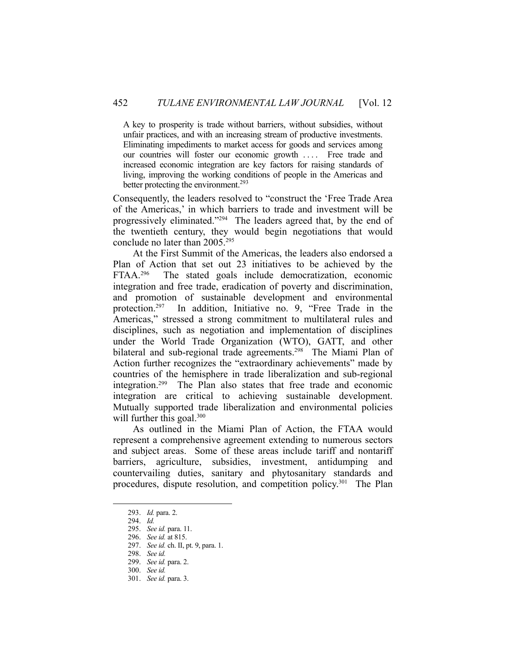A key to prosperity is trade without barriers, without subsidies, without unfair practices, and with an increasing stream of productive investments. Eliminating impediments to market access for goods and services among our countries will foster our economic growth .... Free trade and increased economic integration are key factors for raising standards of living, improving the working conditions of people in the Americas and better protecting the environment.<sup>293</sup>

Consequently, the leaders resolved to "construct the 'Free Trade Area of the Americas,' in which barriers to trade and investment will be progressively eliminated."294 The leaders agreed that, by the end of the twentieth century, they would begin negotiations that would conclude no later than 2005.295

 At the First Summit of the Americas, the leaders also endorsed a Plan of Action that set out 23 initiatives to be achieved by the FTAA.<sup>296</sup> The stated goals include democratization, economic integration and free trade, eradication of poverty and discrimination, and promotion of sustainable development and environmental protection.297 In addition, Initiative no. 9, "Free Trade in the Americas," stressed a strong commitment to multilateral rules and disciplines, such as negotiation and implementation of disciplines under the World Trade Organization (WTO), GATT, and other bilateral and sub-regional trade agreements.<sup>298</sup> The Miami Plan of Action further recognizes the "extraordinary achievements" made by countries of the hemisphere in trade liberalization and sub-regional integration.299 The Plan also states that free trade and economic integration are critical to achieving sustainable development. Mutually supported trade liberalization and environmental policies will further this goal.<sup>300</sup>

 As outlined in the Miami Plan of Action, the FTAA would represent a comprehensive agreement extending to numerous sectors and subject areas. Some of these areas include tariff and nontariff barriers, agriculture, subsidies, investment, antidumping and countervailing duties, sanitary and phytosanitary standards and procedures, dispute resolution, and competition policy.301 The Plan

 <sup>293.</sup> *Id.* para. 2.

 <sup>294.</sup> *Id.*

 <sup>295.</sup> *See id.* para. 11.

 <sup>296.</sup> *See id.* at 815.

 <sup>297.</sup> *See id.* ch. II, pt. 9, para. 1.

 <sup>298.</sup> *See id.*

 <sup>299.</sup> *See id.* para. 2.

 <sup>300.</sup> *See id.*

 <sup>301.</sup> *See id.* para. 3.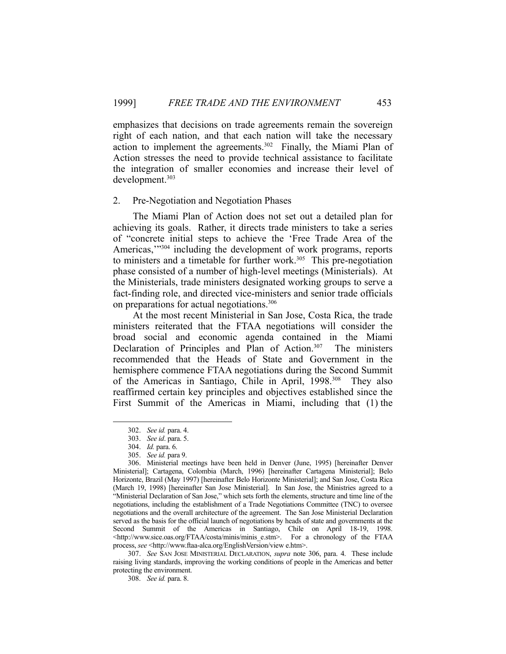emphasizes that decisions on trade agreements remain the sovereign right of each nation, and that each nation will take the necessary action to implement the agreements.302 Finally, the Miami Plan of Action stresses the need to provide technical assistance to facilitate the integration of smaller economies and increase their level of development.303

#### 2. Pre-Negotiation and Negotiation Phases

 The Miami Plan of Action does not set out a detailed plan for achieving its goals. Rather, it directs trade ministers to take a series of "concrete initial steps to achieve the 'Free Trade Area of the Americas,"<sup>304</sup> including the development of work programs, reports to ministers and a timetable for further work.<sup>305</sup> This pre-negotiation phase consisted of a number of high-level meetings (Ministerials). At the Ministerials, trade ministers designated working groups to serve a fact-finding role, and directed vice-ministers and senior trade officials on preparations for actual negotiations.306

 At the most recent Ministerial in San Jose, Costa Rica, the trade ministers reiterated that the FTAA negotiations will consider the broad social and economic agenda contained in the Miami Declaration of Principles and Plan of Action.<sup>307</sup> The ministers recommended that the Heads of State and Government in the hemisphere commence FTAA negotiations during the Second Summit of the Americas in Santiago, Chile in April, 1998.<sup>308</sup> They also reaffirmed certain key principles and objectives established since the First Summit of the Americas in Miami, including that (1) the

1

 307. *See* SAN JOSE MINISTERIAL DECLARATION, *supra* note 306, para. 4. These include raising living standards, improving the working conditions of people in the Americas and better protecting the environment.

308. *See id.* para. 8.

 <sup>302.</sup> *See id.* para. 4.

 <sup>303.</sup> *See id*. para. 5.

 <sup>304.</sup> *Id.* para. 6.

 <sup>305.</sup> *See id.* para 9.

 <sup>306.</sup> Ministerial meetings have been held in Denver (June, 1995) [hereinafter Denver Ministerial]; Cartagena, Colombia (March, 1996) [hereinafter Cartagena Ministerial]; Belo Horizonte, Brazil (May 1997) [hereinafter Belo Horizonte Ministerial]; and San Jose, Costa Rica (March 19, 1998) [hereinafter San Jose Ministerial]. In San Jose, the Ministries agreed to a "Ministerial Declaration of San Jose," which sets forth the elements, structure and time line of the negotiations, including the establishment of a Trade Negotiations Committee (TNC) to oversee negotiations and the overall architecture of the agreement. The San Jose Ministerial Declaration served as the basis for the official launch of negotiations by heads of state and governments at the Second Summit of the Americas in Santiago, Chile on April 18-19, 1998. <http://www.sice.oas.org/FTAA/costa/minis/minis\_e.stm>. For a chronology of the FTAA process, *see* <http://www.ftaa-alca.org/EnglishVersion/view e.htm>.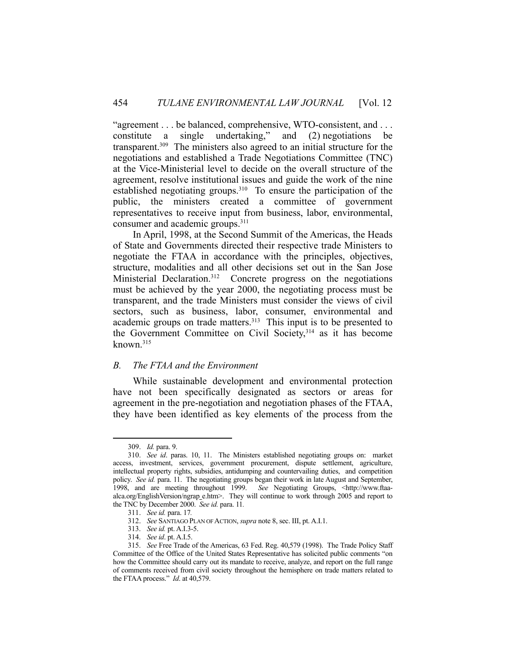"agreement . . . be balanced, comprehensive, WTO-consistent, and . . . constitute a single undertaking," and (2) negotiations be transparent.309 The ministers also agreed to an initial structure for the negotiations and established a Trade Negotiations Committee (TNC) at the Vice-Ministerial level to decide on the overall structure of the agreement, resolve institutional issues and guide the work of the nine established negotiating groups.<sup>310</sup> To ensure the participation of the public, the ministers created a committee of government representatives to receive input from business, labor, environmental, consumer and academic groups.311

 In April, 1998, at the Second Summit of the Americas, the Heads of State and Governments directed their respective trade Ministers to negotiate the FTAA in accordance with the principles, objectives, structure, modalities and all other decisions set out in the San Jose Ministerial Declaration.<sup>312</sup> Concrete progress on the negotiations must be achieved by the year 2000, the negotiating process must be transparent, and the trade Ministers must consider the views of civil sectors, such as business, labor, consumer, environmental and academic groups on trade matters.<sup>313</sup> This input is to be presented to the Government Committee on Civil Society,<sup>314</sup> as it has become known.315

## *B. The FTAA and the Environment*

 While sustainable development and environmental protection have not been specifically designated as sectors or areas for agreement in the pre-negotiation and negotiation phases of the FTAA, they have been identified as key elements of the process from the

 <sup>309.</sup> *Id.* para. 9.

 <sup>310.</sup> *See id*. paras. 10, 11. The Ministers established negotiating groups on: market access, investment, services, government procurement, dispute settlement, agriculture, intellectual property rights, subsidies, antidumping and countervailing duties, and competition policy. *See id.* para. 11. The negotiating groups began their work in late August and September, 1998, and are meeting throughout 1999. *See* Negotiating Groups, <http://www.ftaaalca.org/EnglishVersion/ngrap\_e.htm>. They will continue to work through 2005 and report to the TNC by December 2000. *See id.* para. 11*.*

 <sup>311.</sup> *See id.* para. 17*.*

 <sup>312.</sup> *See* SANTIAGO PLAN OF ACTION, *supra* note 8, sec. III, pt. A.I.1.

 <sup>313.</sup> *See id.* pt. A.I.3-5.

 <sup>314.</sup> *See id*. pt. A.I.5.

 <sup>315.</sup> *See* Free Trade of the Americas, 63 Fed. Reg. 40,579 (1998). The Trade Policy Staff Committee of the Office of the United States Representative has solicited public comments "on how the Committee should carry out its mandate to receive, analyze, and report on the full range of comments received from civil society throughout the hemisphere on trade matters related to the FTAA process." *Id*. at 40,579.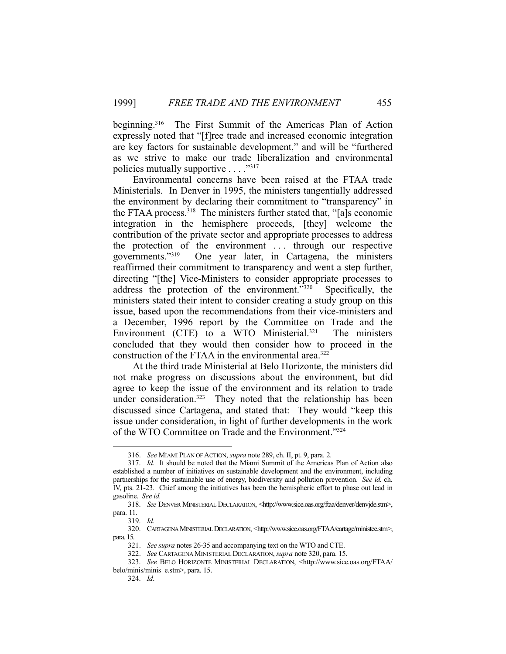beginning.<sup>316</sup> The First Summit of the Americas Plan of Action expressly noted that "[f]ree trade and increased economic integration are key factors for sustainable development," and will be "furthered as we strive to make our trade liberalization and environmental policies mutually supportive . . . ."317

 Environmental concerns have been raised at the FTAA trade Ministerials. In Denver in 1995, the ministers tangentially addressed the environment by declaring their commitment to "transparency" in the FTAA process.318 The ministers further stated that, "[a]s economic integration in the hemisphere proceeds, [they] welcome the contribution of the private sector and appropriate processes to address the protection of the environment . . . through our respective governments."319 One year later, in Cartagena, the ministers reaffirmed their commitment to transparency and went a step further, directing "[the] Vice-Ministers to consider appropriate processes to address the protection of the environment."320 Specifically, the ministers stated their intent to consider creating a study group on this issue, based upon the recommendations from their vice-ministers and a December, 1996 report by the Committee on Trade and the Environment (CTE) to a WTO Ministerial.<sup>321</sup> The ministers concluded that they would then consider how to proceed in the construction of the FTAA in the environmental area.322

 At the third trade Ministerial at Belo Horizonte, the ministers did not make progress on discussions about the environment, but did agree to keep the issue of the environment and its relation to trade under consideration.<sup>323</sup> They noted that the relationship has been discussed since Cartagena, and stated that: They would "keep this issue under consideration, in light of further developments in the work of the WTO Committee on Trade and the Environment."324

 <sup>316.</sup> *See* MIAMI PLAN OF ACTION, *supra* note 289, ch. II, pt. 9, para. 2.

 <sup>317.</sup> *Id.* It should be noted that the Miami Summit of the Americas Plan of Action also established a number of initiatives on sustainable development and the environment, including partnerships for the sustainable use of energy, biodiversity and pollution prevention. *See id.* ch. IV, pts. 21-23. Chief among the initiatives has been the hemispheric effort to phase out lead in gasoline. *See id.*

 <sup>318.</sup> *See* DENVER MINISTERIAL DECLARATION, <http://www.sice.oas.org/ftaa/denver/denvjde.stm>, para. 11.

 <sup>319.</sup> *Id.*

 <sup>320.</sup> CARTAGENA MINISTERIAL DECLARATION, <http://www.sice.oas.org/FTAA/cartage/ministee.stm>, para. 15.

 <sup>321.</sup> *See supra* notes 26-35 and accompanying text on the WTO and CTE.

 <sup>322.</sup> *See* CARTAGENA MINISTERIAL DECLARATION, *supra* note 320, para. 15.

 <sup>323.</sup> *See* BELO HORIZONTE MINISTERIAL DECLARATION, <http://www.sice.oas.org/FTAA/ belo/minis/minis\_e.stm>, para. 15.

 <sup>324.</sup> *Id*.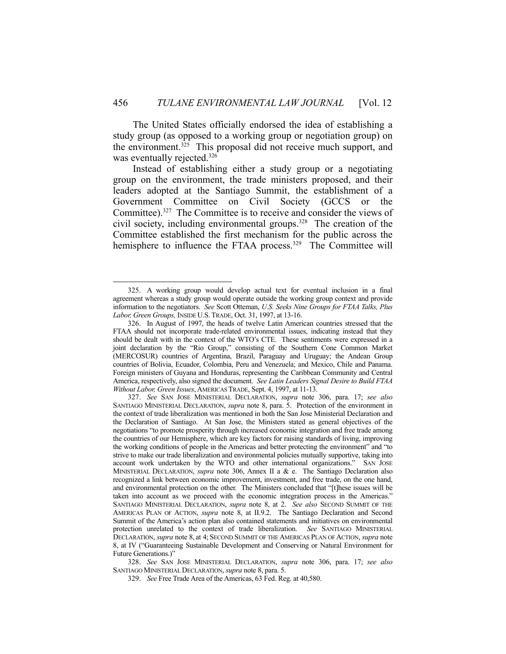The United States officially endorsed the idea of establishing a study group (as opposed to a working group or negotiation group) on the environment.<sup>325</sup> This proposal did not receive much support, and was eventually rejected.<sup>326</sup>

 Instead of establishing either a study group or a negotiating group on the environment, the trade ministers proposed, and their leaders adopted at the Santiago Summit, the establishment of a Government Committee on Civil Society (GCCS or the Committee).<sup>327</sup> The Committee is to receive and consider the views of civil society, including environmental groups.328 The creation of the Committee established the first mechanism for the public across the hemisphere to influence the FTAA process.<sup>329</sup> The Committee will

1

 328. *See* SAN JOSE MINISTERIAL DECLARATION, *supra* note 306, para. 17; *see also* SANTIAGO MINISTERIAL DECLARATION, *supra* note 8, para. 5.

 <sup>325.</sup> A working group would develop actual text for eventual inclusion in a final agreement whereas a study group would operate outside the working group context and provide information to the negotiators. *See* Scott Otteman, *U.S. Seeks Nine Groups for FTAA Talks, Plus Labor, Green Groups,* INSIDE U.S.TRADE, Oct. 31, 1997, at 13-16.

 <sup>326.</sup> In August of 1997, the heads of twelve Latin American countries stressed that the FTAA should not incorporate trade-related environmental issues, indicating instead that they should be dealt with in the context of the WTO's CTE. These sentiments were expressed in a joint declaration by the "Rio Group," consisting of the Southern Cone Common Market (MERCOSUR) countries of Argentina, Brazil, Paraguay and Uruguay; the Andean Group countries of Bolivia, Ecuador, Colombia, Peru and Venezuela; and Mexico, Chile and Panama. Foreign ministers of Guyana and Honduras, representing the Caribbean Community and Central America, respectively, also signed the document. *See Latin Leaders Signal Desire to Build FTAA Without Labor, Green Issues*, AMERICAS TRADE, Sept. 4, 1997, at 11-13.

 <sup>327.</sup> *See* SAN JOSE MINISTERIAL DECLARATION, *supra* note 306, para. 17; *see also* SANTIAGO MINISTERIAL DECLARATION, *supra* note 8, para. 5. Protection of the environment in the context of trade liberalization was mentioned in both the San Jose Ministerial Declaration and the Declaration of Santiago. At San Jose, the Ministers stated as general objectives of the negotiations "to promote prosperity through increased economic integration and free trade among the countries of our Hemisphere, which are key factors for raising standards of living, improving the working conditions of people in the Americas and better protecting the environment" and "to strive to make our trade liberalization and environmental policies mutually supportive, taking into account work undertaken by the WTO and other international organizations." SAN JOSE MINISTERIAL DECLARATION, *supra* note 306, Annex II a & e. The Santiago Declaration also recognized a link between economic improvement, investment, and free trade, on the one hand, and environmental protection on the other. The Ministers concluded that "[t]hese issues will be taken into account as we proceed with the economic integration process in the Americas." SANTIAGO MINISTERIAL DECLARATION, *supra* note 8, at 2. *See also* SECOND SUMMIT OF THE AMERICAS PLAN OF ACTION, *supra* note 8, at II.9.2. The Santiago Declaration and Second Summit of the America's action plan also contained statements and initiatives on environmental protection unrelated to the context of trade liberalization. *See* SANTIAGO MINISTERIAL DECLARATION, *supra* note 8, at 4; SECOND SUMMIT OF THE AMERICAS PLAN OF ACTION, *supra* note 8, at IV ("Guaranteeing Sustainable Development and Conserving or Natural Environment for Future Generations.)"

 <sup>329.</sup> *See* Free Trade Area of the Americas, 63 Fed. Reg. at 40,580.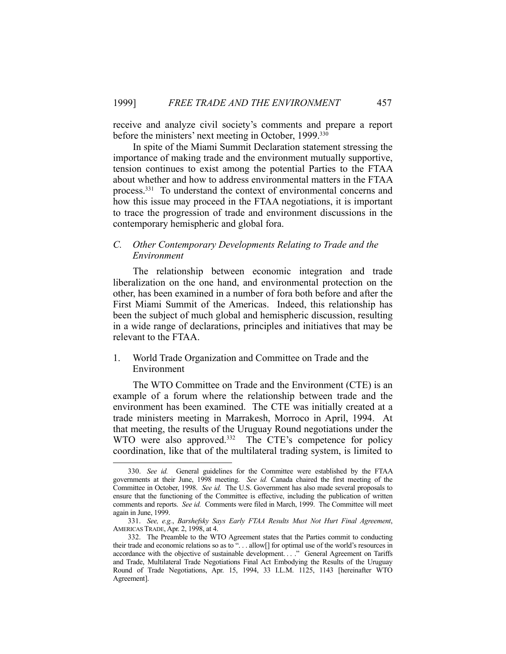receive and analyze civil society's comments and prepare a report before the ministers' next meeting in October, 1999.<sup>330</sup>

 In spite of the Miami Summit Declaration statement stressing the importance of making trade and the environment mutually supportive, tension continues to exist among the potential Parties to the FTAA about whether and how to address environmental matters in the FTAA process.331 To understand the context of environmental concerns and how this issue may proceed in the FTAA negotiations, it is important to trace the progression of trade and environment discussions in the contemporary hemispheric and global fora.

## *C. Other Contemporary Developments Relating to Trade and the Environment*

 The relationship between economic integration and trade liberalization on the one hand, and environmental protection on the other, has been examined in a number of fora both before and after the First Miami Summit of the Americas. Indeed, this relationship has been the subject of much global and hemispheric discussion, resulting in a wide range of declarations, principles and initiatives that may be relevant to the FTAA.

## 1. World Trade Organization and Committee on Trade and the Environment

 The WTO Committee on Trade and the Environment (CTE) is an example of a forum where the relationship between trade and the environment has been examined. The CTE was initially created at a trade ministers meeting in Marrakesh, Morroco in April, 1994. At that meeting, the results of the Uruguay Round negotiations under the WTO were also approved.<sup>332</sup> The CTE's competence for policy coordination, like that of the multilateral trading system, is limited to

 <sup>330.</sup> *See id.* General guidelines for the Committee were established by the FTAA governments at their June, 1998 meeting. *See id.* Canada chaired the first meeting of the Committee in October, 1998. *See id.* The U.S. Government has also made several proposals to ensure that the functioning of the Committee is effective, including the publication of written comments and reports. *See id.* Comments were filed in March, 1999. The Committee will meet again in June, 1999.

 <sup>331.</sup> *See, e.g.*, *Barshefsky Says Early FTAA Results Must Not Hurt Final Agreement*, AMERICAS TRADE, Apr. 2, 1998, at 4.

 <sup>332.</sup> The Preamble to the WTO Agreement states that the Parties commit to conducting their trade and economic relations so as to ". . . allow[] for optimal use of the world's resources in accordance with the objective of sustainable development...." General Agreement on Tariffs and Trade, Multilateral Trade Negotiations Final Act Embodying the Results of the Uruguay Round of Trade Negotiations, Apr. 15, 1994, 33 I.L.M. 1125, 1143 [hereinafter WTO Agreement].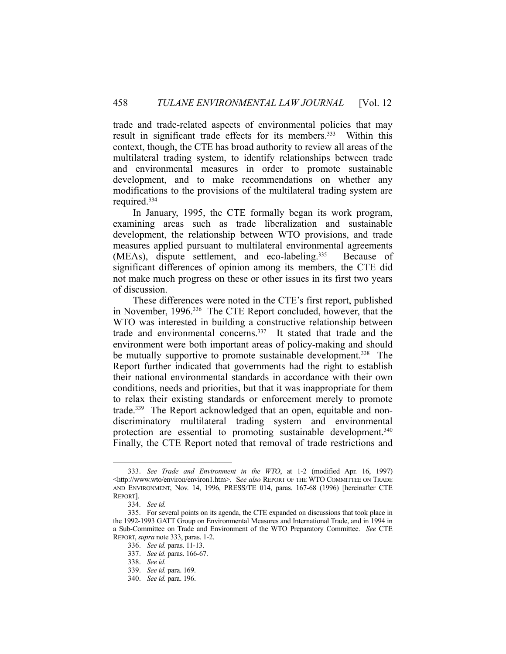trade and trade-related aspects of environmental policies that may result in significant trade effects for its members.<sup>333</sup> Within this context, though, the CTE has broad authority to review all areas of the multilateral trading system, to identify relationships between trade and environmental measures in order to promote sustainable development, and to make recommendations on whether any modifications to the provisions of the multilateral trading system are required.334

 In January, 1995, the CTE formally began its work program, examining areas such as trade liberalization and sustainable development, the relationship between WTO provisions, and trade measures applied pursuant to multilateral environmental agreements (MEAs), dispute settlement, and eco-labeling.<sup>335</sup> Because of significant differences of opinion among its members, the CTE did not make much progress on these or other issues in its first two years of discussion.

 These differences were noted in the CTE's first report, published in November, 1996.336 The CTE Report concluded, however, that the WTO was interested in building a constructive relationship between trade and environmental concerns.337 It stated that trade and the environment were both important areas of policy-making and should be mutually supportive to promote sustainable development.<sup>338</sup> The Report further indicated that governments had the right to establish their national environmental standards in accordance with their own conditions, needs and priorities, but that it was inappropriate for them to relax their existing standards or enforcement merely to promote trade.339 The Report acknowledged that an open, equitable and nondiscriminatory multilateral trading system and environmental protection are essential to promoting sustainable development.<sup>340</sup> Finally, the CTE Report noted that removal of trade restrictions and

 <sup>333.</sup> *See Trade and Environment in the WTO*, at 1-2 (modified Apr. 16, 1997) <http://www.wto/environ/environ1.htm>. S*ee also* REPORT OF THE WTO COMMITTEE ON TRADE AND ENVIRONMENT, Nov. 14, 1996, PRESS/TE 014, paras. 167-68 (1996) [hereinafter CTE REPORT].

 <sup>334.</sup> *See id.*

 <sup>335.</sup> For several points on its agenda, the CTE expanded on discussions that took place in the 1992-1993 GATT Group on Environmental Measures and International Trade, and in 1994 in a Sub-Committee on Trade and Environment of the WTO Preparatory Committee. *See* CTE REPORT, *supra* note 333, paras. 1-2.

 <sup>336.</sup> *See id.* paras. 11-13.

 <sup>337.</sup> *See id.* paras. 166-67.

 <sup>338.</sup> *See id.*

 <sup>339.</sup> *See id.* para. 169.

 <sup>340.</sup> *See id.* para. 196.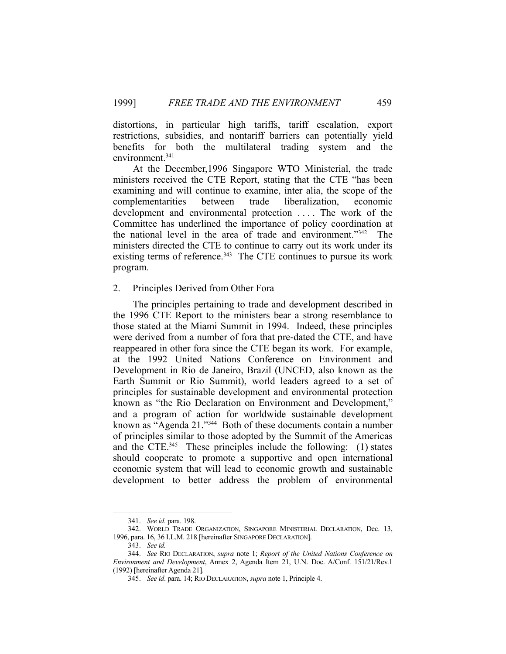distortions, in particular high tariffs, tariff escalation, export restrictions, subsidies, and nontariff barriers can potentially yield benefits for both the multilateral trading system and the environment.341

 At the December,1996 Singapore WTO Ministerial, the trade ministers received the CTE Report, stating that the CTE "has been examining and will continue to examine, inter alia, the scope of the complementarities between trade liberalization, economic development and environmental protection .... The work of the Committee has underlined the importance of policy coordination at the national level in the area of trade and environment."342 The ministers directed the CTE to continue to carry out its work under its existing terms of reference.<sup>343</sup> The CTE continues to pursue its work program.

#### 2. Principles Derived from Other Fora

 The principles pertaining to trade and development described in the 1996 CTE Report to the ministers bear a strong resemblance to those stated at the Miami Summit in 1994. Indeed, these principles were derived from a number of fora that pre-dated the CTE, and have reappeared in other fora since the CTE began its work. For example, at the 1992 United Nations Conference on Environment and Development in Rio de Janeiro, Brazil (UNCED, also known as the Earth Summit or Rio Summit), world leaders agreed to a set of principles for sustainable development and environmental protection known as "the Rio Declaration on Environment and Development," and a program of action for worldwide sustainable development known as "Agenda 21."344 Both of these documents contain a number of principles similar to those adopted by the Summit of the Americas and the CTE.<sup>345</sup> These principles include the following:  $(1)$  states should cooperate to promote a supportive and open international economic system that will lead to economic growth and sustainable development to better address the problem of environmental

 <sup>341.</sup> *See id.* para. 198.

 <sup>342.</sup> WORLD TRADE ORGANIZATION, SINGAPORE MINISTERIAL DECLARATION, Dec. 13, 1996, para. 16, 36 I.L.M. 218 [hereinafter SINGAPORE DECLARATION].

 <sup>343.</sup> *See id.*

 <sup>344.</sup> *See* RIO DECLARATION, *supra* note 1; *Report of the United Nations Conference on Environment and Development*, Annex 2, Agenda Item 21, U.N. Doc. A/Conf. 151/21/Rev.1 (1992) [hereinafter Agenda 21].

 <sup>345.</sup> *See id*. para. 14; RIO DECLARATION, *supra* note 1, Principle 4.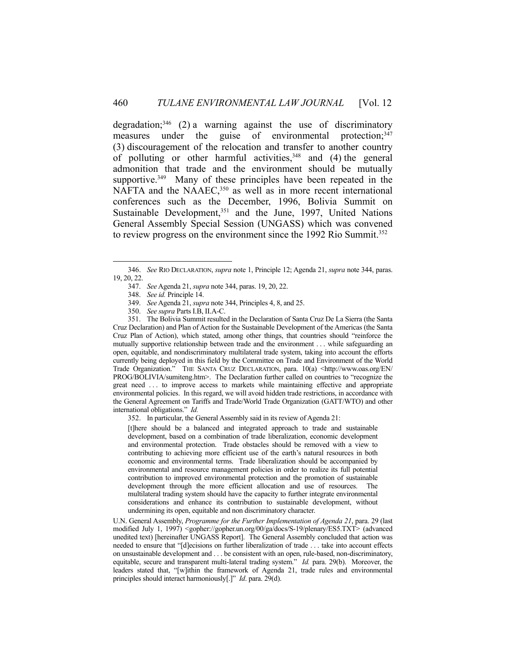degradation; $346$  (2) a warning against the use of discriminatory measures under the guise of environmental protection;<sup>347</sup> (3) discouragement of the relocation and transfer to another country of polluting or other harmful activities,  $348$  and (4) the general admonition that trade and the environment should be mutually supportive.<sup>349</sup> Many of these principles have been repeated in the NAFTA and the NAAEC,<sup>350</sup> as well as in more recent international conferences such as the December, 1996, Bolivia Summit on Sustainable Development,<sup>351</sup> and the June, 1997, United Nations General Assembly Special Session (UNGASS) which was convened to review progress on the environment since the 1992 Rio Summit.<sup>352</sup>

1

 351. The Bolivia Summit resulted in the Declaration of Santa Cruz De La Sierra (the Santa Cruz Declaration) and Plan of Action for the Sustainable Development of the Americas (the Santa Cruz Plan of Action), which stated, among other things, that countries should "reinforce the mutually supportive relationship between trade and the environment . . . while safeguarding an open, equitable, and nondiscriminatory multilateral trade system, taking into account the efforts currently being deployed in this field by the Committee on Trade and Environment of the World Trade Organization." THE SANTA CRUZ DECLARATION, para. 10(a) <http://www.oas.org/EN/ PROG/BOLIVIA/sumiteng.htm>. The Declaration further called on countries to "recognize the great need . . . to improve access to markets while maintaining effective and appropriate environmental policies. In this regard, we will avoid hidden trade restrictions, in accordance with the General Agreement on Tariffs and Trade/World Trade Organization (GATT/WTO) and other international obligations." *Id.*

352. In particular, the General Assembly said in its review of Agenda 21:

[t]here should be a balanced and integrated approach to trade and sustainable development, based on a combination of trade liberalization, economic development and environmental protection. Trade obstacles should be removed with a view to contributing to achieving more efficient use of the earth's natural resources in both economic and environmental terms. Trade liberalization should be accompanied by environmental and resource management policies in order to realize its full potential contribution to improved environmental protection and the promotion of sustainable development through the more efficient allocation and use of resources. The multilateral trading system should have the capacity to further integrate environmental considerations and enhance its contribution to sustainable development, without undermining its open, equitable and non discriminatory character.

U.N. General Assembly, *Programme for the Further Implementation of Agenda 21*, para. 29 (last modified July 1, 1997) <gopher://gopher.un.org/00/ga/docs/S-19/plenary/ES5.TXT> (advanced unedited text) [hereinafter UNGASS Report]. The General Assembly concluded that action was needed to ensure that "[d]ecisions on further liberalization of trade . . . take into account effects on unsustainable development and . . . be consistent with an open, rule-based, non-discriminatory, equitable, secure and transparent multi-lateral trading system." *Id.* para. 29(b). Moreover, the leaders stated that, "[w]ithin the framework of Agenda 21, trade rules and environmental principles should interact harmoniously[.]" *Id*. para. 29(d).

 <sup>346.</sup> *See* RIO DECLARATION, *supra* note 1, Principle 12; Agenda 21, *supra* note 344, paras. 19, 20, 22.

 <sup>347.</sup> *See* Agenda 21, *supra* note 344, paras. 19, 20, 22.

 <sup>348.</sup> *See id.* Principle 14.

 <sup>349.</sup> *See* Agenda 21, *supra* note 344, Principles 4, 8, and 25.

 <sup>350.</sup> *See supra* Parts I.B, II.A-C.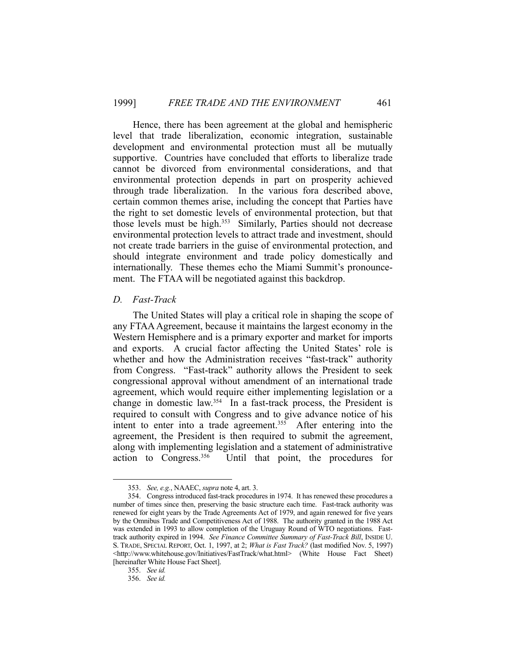Hence, there has been agreement at the global and hemispheric level that trade liberalization, economic integration, sustainable development and environmental protection must all be mutually supportive. Countries have concluded that efforts to liberalize trade cannot be divorced from environmental considerations, and that environmental protection depends in part on prosperity achieved through trade liberalization. In the various fora described above, certain common themes arise, including the concept that Parties have the right to set domestic levels of environmental protection, but that those levels must be high.353 Similarly, Parties should not decrease environmental protection levels to attract trade and investment, should not create trade barriers in the guise of environmental protection, and should integrate environment and trade policy domestically and internationally. These themes echo the Miami Summit's pronouncement. The FTAA will be negotiated against this backdrop.

#### *D. Fast-Track*

 The United States will play a critical role in shaping the scope of any FTAA Agreement, because it maintains the largest economy in the Western Hemisphere and is a primary exporter and market for imports and exports. A crucial factor affecting the United States' role is whether and how the Administration receives "fast-track" authority from Congress. "Fast-track" authority allows the President to seek congressional approval without amendment of an international trade agreement, which would require either implementing legislation or a change in domestic law.354 In a fast-track process, the President is required to consult with Congress and to give advance notice of his intent to enter into a trade agreement.<sup>355</sup> After entering into the agreement, the President is then required to submit the agreement, along with implementing legislation and a statement of administrative action to Congress.356 Until that point, the procedures for

 <sup>353.</sup> *See, e.g.*, NAAEC, *supra* note 4, art. 3.

 <sup>354.</sup> Congress introduced fast-track procedures in 1974. It has renewed these procedures a number of times since then, preserving the basic structure each time. Fast-track authority was renewed for eight years by the Trade Agreements Act of 1979, and again renewed for five years by the Omnibus Trade and Competitiveness Act of 1988. The authority granted in the 1988 Act was extended in 1993 to allow completion of the Uruguay Round of WTO negotiations. Fasttrack authority expired in 1994. *See Finance Committee Summary of Fast-Track Bill*, INSIDE U. S. TRADE, SPECIAL REPORT, Oct. 1, 1997, at 2; *What is Fast Track?* (last modified Nov. 5, 1997) <http://www.whitehouse.gov/Initiatives/FastTrack/what.html> (White House Fact Sheet) [hereinafter White House Fact Sheet].

 <sup>355.</sup> *See id.*

 <sup>356.</sup> *See id.*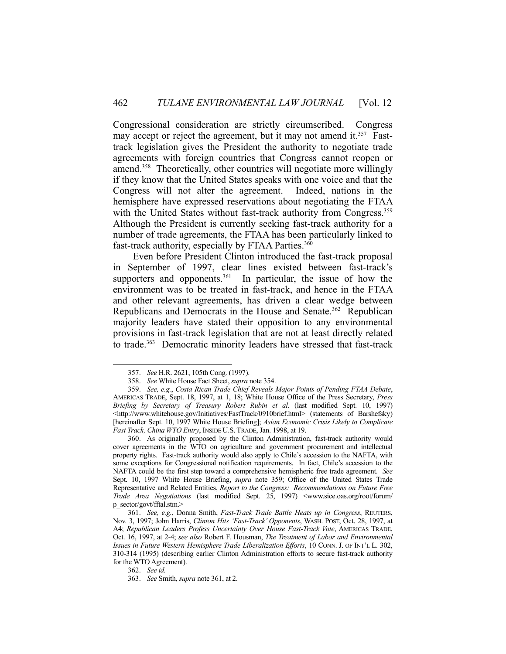Congressional consideration are strictly circumscribed. Congress may accept or reject the agreement, but it may not amend it.<sup>357</sup> Fasttrack legislation gives the President the authority to negotiate trade agreements with foreign countries that Congress cannot reopen or amend.358 Theoretically, other countries will negotiate more willingly if they know that the United States speaks with one voice and that the Congress will not alter the agreement. Indeed, nations in the hemisphere have expressed reservations about negotiating the FTAA with the United States without fast-track authority from Congress.<sup>359</sup> Although the President is currently seeking fast-track authority for a number of trade agreements, the FTAA has been particularly linked to fast-track authority, especially by FTAA Parties.<sup>360</sup>

 Even before President Clinton introduced the fast-track proposal in September of 1997, clear lines existed between fast-track's supporters and opponents. $361$  In particular, the issue of how the environment was to be treated in fast-track, and hence in the FTAA and other relevant agreements, has driven a clear wedge between Republicans and Democrats in the House and Senate.<sup>362</sup> Republican majority leaders have stated their opposition to any environmental provisions in fast-track legislation that are not at least directly related to trade.<sup>363</sup> Democratic minority leaders have stressed that fast-track

362. *See id.*

 <sup>357.</sup> *See* H.R. 2621, 105th Cong. (1997).

 <sup>358.</sup> *See* White House Fact Sheet, *supra* note 354.

 <sup>359.</sup> *See, e.g.*, *Costa Rican Trade Chief Reveals Major Points of Pending FTAA Debate*, AMERICAS TRADE, Sept. 18, 1997, at 1, 18; White House Office of the Press Secretary, *Press Briefing by Secretary of Treasury Robert Rubin et al.* (last modified Sept. 10, 1997) <http://www.whitehouse.gov/Initiatives/FastTrack/0910brief.html> (statements of Barshefsky) [hereinafter Sept. 10, 1997 White House Briefing]; *Asian Economic Crisis Likely to Complicate Fast Track, China WTO Entry*, INSIDE U.S.TRADE, Jan. 1998, at 19.

 <sup>360.</sup> As originally proposed by the Clinton Administration, fast-track authority would cover agreements in the WTO on agriculture and government procurement and intellectual property rights. Fast-track authority would also apply to Chile's accession to the NAFTA, with some exceptions for Congressional notification requirements. In fact, Chile's accession to the NAFTA could be the first step toward a comprehensive hemispheric free trade agreement. *See* Sept. 10, 1997 White House Briefing, *supra* note 359; Office of the United States Trade Representative and Related Entities, *Report to the Congress: Recommendations on Future Free Trade Area Negotiations* (last modified Sept. 25, 1997) <www.sice.oas.org/root/forum/ p\_sector/govt/fftal.stm.>

 <sup>361.</sup> *See, e.g.*, Donna Smith, *Fast-Track Trade Battle Heats up in Congress*, REUTERS, Nov. 3, 1997; John Harris, *Clinton Hits 'Fast-Track' Opponents*, WASH. POST, Oct. 28, 1997, at A4; *Republican Leaders Profess Uncertainty Over House Fast-Track Vote*, AMERICAS TRADE, Oct. 16, 1997, at 2-4; *see also* Robert F. Housman, *The Treatment of Labor and Environmental Issues in Future Western Hemisphere Trade Liberalization Efforts*, 10 CONN. J. OF INT'L L. 302, 310-314 (1995) (describing earlier Clinton Administration efforts to secure fast-track authority for the WTO Agreement).

 <sup>363.</sup> *See* Smith, *supra* note 361, at 2.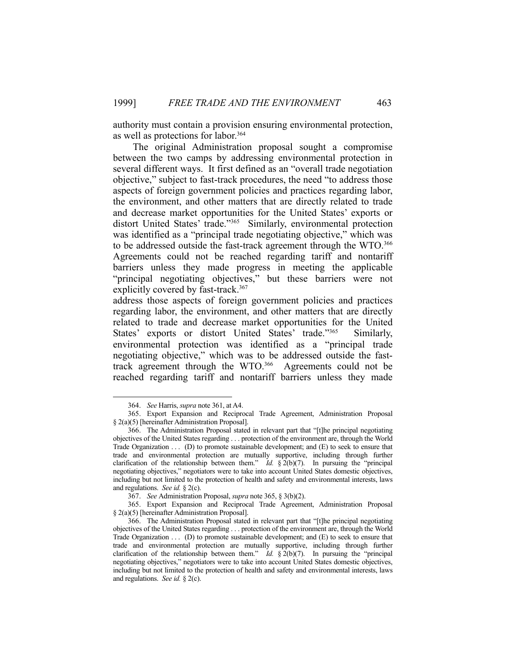authority must contain a provision ensuring environmental protection, as well as protections for labor.364

 The original Administration proposal sought a compromise between the two camps by addressing environmental protection in several different ways. It first defined as an "overall trade negotiation objective," subject to fast-track procedures, the need "to address those aspects of foreign government policies and practices regarding labor, the environment, and other matters that are directly related to trade and decrease market opportunities for the United States' exports or distort United States' trade."365 Similarly, environmental protection was identified as a "principal trade negotiating objective," which was to be addressed outside the fast-track agreement through the WTO.<sup>366</sup> Agreements could not be reached regarding tariff and nontariff barriers unless they made progress in meeting the applicable "principal negotiating objectives," but these barriers were not explicitly covered by fast-track.<sup>367</sup>

address those aspects of foreign government policies and practices regarding labor, the environment, and other matters that are directly related to trade and decrease market opportunities for the United States' exports or distort United States' trade."<sup>365</sup> Similarly, environmental protection was identified as a "principal trade negotiating objective," which was to be addressed outside the fasttrack agreement through the WTO.366 Agreements could not be reached regarding tariff and nontariff barriers unless they made

 <sup>364.</sup> *See* Harris, *supra* note 361, at A4.

 <sup>365.</sup> Export Expansion and Reciprocal Trade Agreement, Administration Proposal § 2(a)(5) [hereinafter Administration Proposal].

 <sup>366.</sup> The Administration Proposal stated in relevant part that "[t]he principal negotiating objectives of the United States regarding . . . protection of the environment are, through the World Trade Organization  $\dots$  (D) to promote sustainable development; and  $(E)$  to seek to ensure that trade and environmental protection are mutually supportive, including through further clarification of the relationship between them." *Id.* § 2(b)(7). In pursuing the "principal negotiating objectives," negotiators were to take into account United States domestic objectives, including but not limited to the protection of health and safety and environmental interests, laws and regulations. *See id.* § 2(c).

 <sup>367.</sup> *See* Administration Proposal, *supra* note 365, § 3(b)(2).

 <sup>365.</sup> Export Expansion and Reciprocal Trade Agreement, Administration Proposal § 2(a)(5) [hereinafter Administration Proposal].

 <sup>366.</sup> The Administration Proposal stated in relevant part that "[t]he principal negotiating objectives of the United States regarding . . . protection of the environment are, through the World Trade Organization . . . (D) to promote sustainable development; and (E) to seek to ensure that trade and environmental protection are mutually supportive, including through further clarification of the relationship between them." *Id.* § 2(b)(7). In pursuing the "principal negotiating objectives," negotiators were to take into account United States domestic objectives, including but not limited to the protection of health and safety and environmental interests, laws and regulations. *See id.* § 2(c).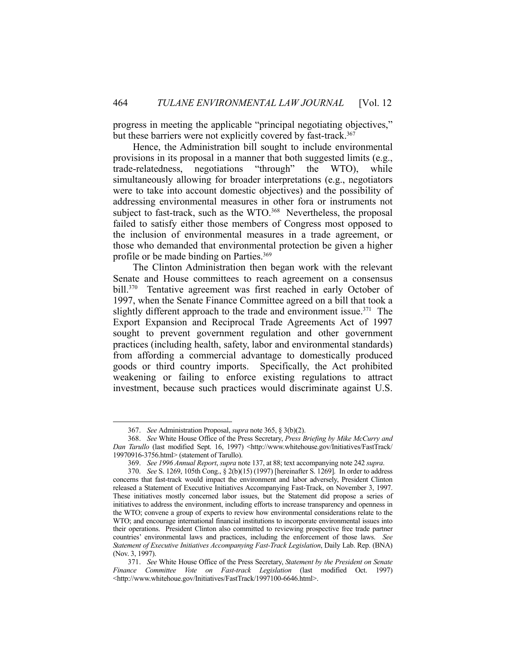progress in meeting the applicable "principal negotiating objectives," but these barriers were not explicitly covered by fast-track.<sup>367</sup>

 Hence, the Administration bill sought to include environmental provisions in its proposal in a manner that both suggested limits (e.g., trade-relatedness, negotiations "through" the WTO), while simultaneously allowing for broader interpretations (e.g., negotiators were to take into account domestic objectives) and the possibility of addressing environmental measures in other fora or instruments not subject to fast-track, such as the WTO.<sup>368</sup> Nevertheless, the proposal failed to satisfy either those members of Congress most opposed to the inclusion of environmental measures in a trade agreement, or those who demanded that environmental protection be given a higher profile or be made binding on Parties.369

 The Clinton Administration then began work with the relevant Senate and House committees to reach agreement on a consensus bill.<sup>370</sup> Tentative agreement was first reached in early October of 1997, when the Senate Finance Committee agreed on a bill that took a slightly different approach to the trade and environment issue.<sup>371</sup> The Export Expansion and Reciprocal Trade Agreements Act of 1997 sought to prevent government regulation and other government practices (including health, safety, labor and environmental standards) from affording a commercial advantage to domestically produced goods or third country imports. Specifically, the Act prohibited weakening or failing to enforce existing regulations to attract investment, because such practices would discriminate against U.S.

 <sup>367.</sup> *See* Administration Proposal, *supra* note 365, § 3(b)(2).

 <sup>368.</sup> *See* White House Office of the Press Secretary, *Press Briefing by Mike McCurry and Dan Tarullo* (last modified Sept. 16, 1997) <http://www.whitehouse.gov/Initiatives/FastTrack/ 19970916-3756.html> (statement of Tarullo).

 <sup>369.</sup> *See 1996 Annual Report*, *supra* note 137, at 88; text accompanying note 242 *supra*.

 <sup>370.</sup> *See* S. 1269, 105th Cong., § 2(b)(15) (1997) [hereinafter S. 1269]. In order to address concerns that fast-track would impact the environment and labor adversely, President Clinton released a Statement of Executive Initiatives Accompanying Fast-Track, on November 3, 1997. These initiatives mostly concerned labor issues, but the Statement did propose a series of initiatives to address the environment, including efforts to increase transparency and openness in the WTO; convene a group of experts to review how environmental considerations relate to the WTO; and encourage international financial institutions to incorporate environmental issues into their operations. President Clinton also committed to reviewing prospective free trade partner countries' environmental laws and practices, including the enforcement of those laws. *See Statement of Executive Initiatives Accompanying Fast-Track Legislation*, Daily Lab. Rep. (BNA) (Nov. 3, 1997).

 <sup>371.</sup> *See* White House Office of the Press Secretary, *Statement by the President on Senate Finance Committee Vote on Fast-track Legislation* (last modified Oct. 1997) <http://www.whitehoue.gov/Initiatives/FastTrack/1997100-6646.html>.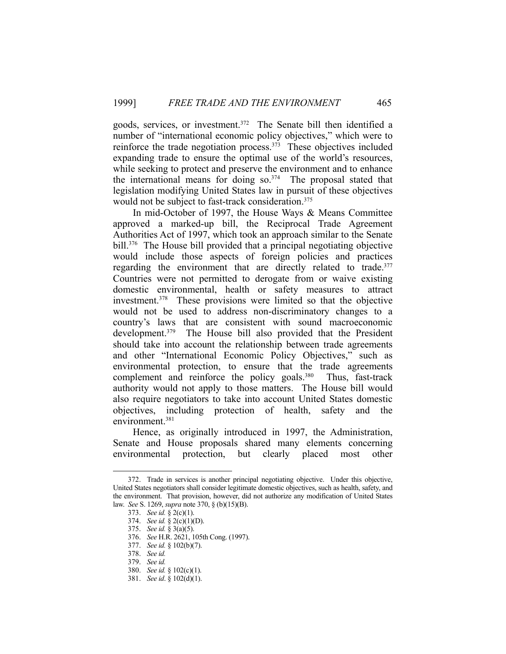goods, services, or investment.<sup>372</sup> The Senate bill then identified a number of "international economic policy objectives," which were to reinforce the trade negotiation process. $373$  These objectives included expanding trade to ensure the optimal use of the world's resources, while seeking to protect and preserve the environment and to enhance the international means for doing  $\text{so.}^{374}$  The proposal stated that legislation modifying United States law in pursuit of these objectives would not be subject to fast-track consideration.<sup>375</sup>

 In mid-October of 1997, the House Ways & Means Committee approved a marked-up bill, the Reciprocal Trade Agreement Authorities Act of 1997, which took an approach similar to the Senate bill.376 The House bill provided that a principal negotiating objective would include those aspects of foreign policies and practices regarding the environment that are directly related to trade.<sup>377</sup> Countries were not permitted to derogate from or waive existing domestic environmental, health or safety measures to attract investment.378 These provisions were limited so that the objective would not be used to address non-discriminatory changes to a country's laws that are consistent with sound macroeconomic development.<sup>379</sup> The House bill also provided that the President should take into account the relationship between trade agreements and other "International Economic Policy Objectives," such as environmental protection, to ensure that the trade agreements complement and reinforce the policy goals.<sup>380</sup> Thus, fast-track authority would not apply to those matters. The House bill would also require negotiators to take into account United States domestic objectives, including protection of health, safety and the environment.381

 Hence, as originally introduced in 1997, the Administration, Senate and House proposals shared many elements concerning environmental protection, but clearly placed most other

 <sup>372.</sup> Trade in services is another principal negotiating objective. Under this objective, United States negotiators shall consider legitimate domestic objectives, such as health, safety, and the environment. That provision, however, did not authorize any modification of United States law. *See* S. 1269, *supra* note 370, § (b)(15)(B).

 <sup>373.</sup> *See id.* § 2(c)(1).

 <sup>374.</sup> *See id.* § 2(c)(1)(D).

 <sup>375.</sup> *See id.* § 3(a)(5).

 <sup>376.</sup> *See* H.R. 2621, 105th Cong. (1997).

 <sup>377.</sup> *See id.* § 102(b)(7).

 <sup>378.</sup> *See id.*

 <sup>379.</sup> *See id.*

 <sup>380.</sup> *See id.* § 102(c)(1).

 <sup>381.</sup> *See id*. § 102(d)(1).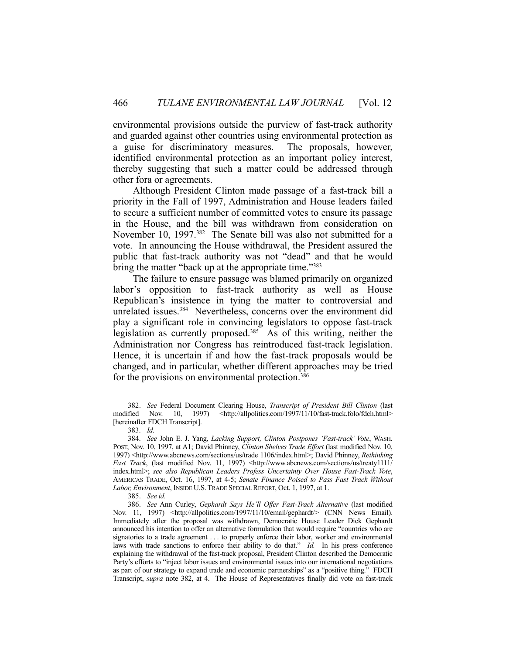environmental provisions outside the purview of fast-track authority and guarded against other countries using environmental protection as a guise for discriminatory measures. The proposals, however, identified environmental protection as an important policy interest, thereby suggesting that such a matter could be addressed through other fora or agreements.

 Although President Clinton made passage of a fast-track bill a priority in the Fall of 1997, Administration and House leaders failed to secure a sufficient number of committed votes to ensure its passage in the House, and the bill was withdrawn from consideration on November 10, 1997.<sup>382</sup> The Senate bill was also not submitted for a vote. In announcing the House withdrawal, the President assured the public that fast-track authority was not "dead" and that he would bring the matter "back up at the appropriate time."<sup>383</sup>

 The failure to ensure passage was blamed primarily on organized labor's opposition to fast-track authority as well as House Republican's insistence in tying the matter to controversial and unrelated issues.<sup>384</sup> Nevertheless, concerns over the environment did play a significant role in convincing legislators to oppose fast-track legislation as currently proposed.385 As of this writing, neither the Administration nor Congress has reintroduced fast-track legislation. Hence, it is uncertain if and how the fast-track proposals would be changed, and in particular, whether different approaches may be tried for the provisions on environmental protection.<sup>386</sup>

 <sup>382.</sup> *See* Federal Document Clearing House, *Transcript of President Bill Clinton* (last modified Nov. 10, 1997) <http://allpolitics.com/1997/11/10/fast-track.folo/fdch.html> [hereinafter FDCH Transcript].

 <sup>383.</sup> *Id.*

 <sup>384.</sup> *See* John E. J. Yang, *Lacking Support, Clinton Postpones 'Fast-track' Vote*, WASH. POST, Nov. 10, 1997, at A1; David Phinney, *Clinton Shelves Trade Effort* (last modified Nov. 10, 1997) <http://www.abcnews.com/sections/us/trade 1106/index.html>; David Phinney, *Rethinking Fast Track*, (last modified Nov. 11, 1997) <http://www.abcnews.com/sections/us/treaty1111/ index.html>; *see also Republican Leaders Profess Uncertainty Over House Fast-Track Vote*, AMERICAS TRADE, Oct. 16, 1997, at 4-5; *Senate Finance Poised to Pass Fast Track Without Labor, Environment*, INSIDE U.S.TRADE SPECIAL REPORT, Oct. 1, 1997, at 1.

 <sup>385.</sup> *See id.*

 <sup>386.</sup> *See* Ann Curley, *Gephardt Says He'll Offer Fast-Track Alternative* (last modified Nov. 11, 1997) <http://allpolitics.com/1997/11/10/email/gephardt/> (CNN News Email). Immediately after the proposal was withdrawn, Democratic House Leader Dick Gephardt announced his intention to offer an alternative formulation that would require "countries who are signatories to a trade agreement . . . to properly enforce their labor, worker and environmental laws with trade sanctions to enforce their ability to do that." *Id.* In his press conference explaining the withdrawal of the fast-track proposal, President Clinton described the Democratic Party's efforts to "inject labor issues and environmental issues into our international negotiations as part of our strategy to expand trade and economic partnerships" as a "positive thing." FDCH Transcript, *supra* note 382, at 4. The House of Representatives finally did vote on fast-track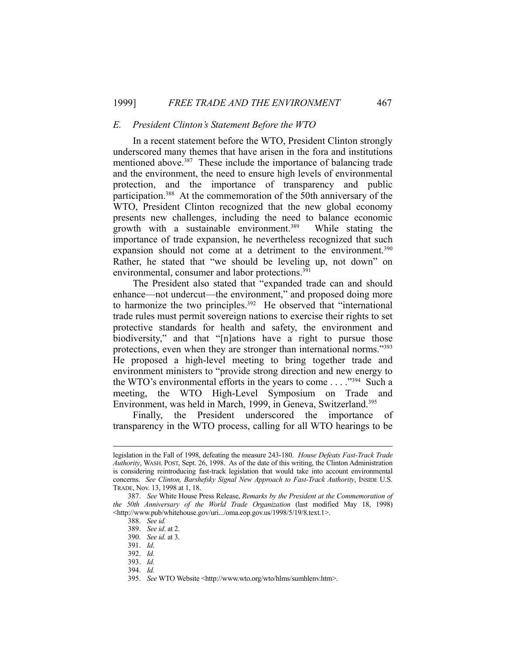#### *E. President Clinton's Statement Before the WTO*

 In a recent statement before the WTO, President Clinton strongly underscored many themes that have arisen in the fora and institutions mentioned above.<sup>387</sup> These include the importance of balancing trade and the environment, the need to ensure high levels of environmental protection, and the importance of transparency and public participation.388 At the commemoration of the 50th anniversary of the WTO, President Clinton recognized that the new global economy presents new challenges, including the need to balance economic growth with a sustainable environment.389 While stating the importance of trade expansion, he nevertheless recognized that such expansion should not come at a detriment to the environment.<sup>390</sup> Rather, he stated that "we should be leveling up, not down" on environmental, consumer and labor protections.<sup>391</sup>

 The President also stated that "expanded trade can and should enhance—not undercut—the environment," and proposed doing more to harmonize the two principles.<sup>392</sup> He observed that "international trade rules must permit sovereign nations to exercise their rights to set protective standards for health and safety, the environment and biodiversity," and that "[n]ations have a right to pursue those protections, even when they are stronger than international norms."393 He proposed a high-level meeting to bring together trade and environment ministers to "provide strong direction and new energy to the WTO's environmental efforts in the years to come  $\dots$ <sup>394</sup> Such a meeting, the WTO High-Level Symposium on Trade and Environment, was held in March, 1999, in Geneva, Switzerland.395

 Finally, the President underscored the importance of transparency in the WTO process, calling for all WTO hearings to be

legislation in the Fall of 1998, defeating the measure 243-180. *House Defeats Fast-Track Trade Authority*, WASH. POST, Sept. 26, 1998. As of the date of this writing, the Clinton Administration is considering reintroducing fast-track legislation that would take into account environmental concerns. *See Clinton, Barshefsky Signal New Approach to Fast-Track Authority*, INSIDE U.S. TRADE, Nov. 13, 1998 at 1, 18.

 <sup>387.</sup> *See* White House Press Release, *Remarks by the President at the Commemoration of the 50th Anniversary of the World Trade Organization* (last modified May 18, 1998) <http://www.pub/whitehouse.gov/uri.../oma.eop.gov.us/1998/5/19/8.text.1>.

 <sup>388.</sup> *See id.*

 <sup>389.</sup> *See id*. at 2.

 <sup>390.</sup> *See id.* at 3.

 <sup>391.</sup> *Id*.

 <sup>392.</sup> *Id.*

 <sup>393.</sup> *Id.*

 <sup>394.</sup> *Id.*

 <sup>395.</sup> *See* WTO Website <http://www.wto.org/wto/hlms/sumhlenv.htm>.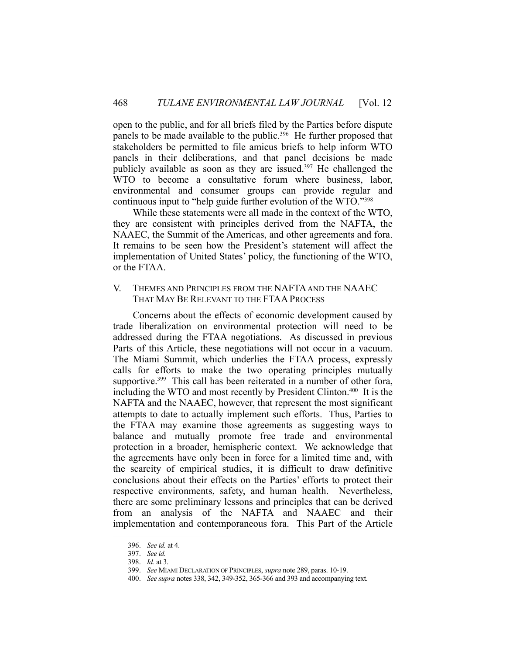open to the public, and for all briefs filed by the Parties before dispute panels to be made available to the public.<sup>396</sup> He further proposed that stakeholders be permitted to file amicus briefs to help inform WTO panels in their deliberations, and that panel decisions be made publicly available as soon as they are issued. $397$  He challenged the WTO to become a consultative forum where business, labor, environmental and consumer groups can provide regular and continuous input to "help guide further evolution of the WTO."398

 While these statements were all made in the context of the WTO, they are consistent with principles derived from the NAFTA, the NAAEC, the Summit of the Americas, and other agreements and fora. It remains to be seen how the President's statement will affect the implementation of United States' policy, the functioning of the WTO, or the FTAA.

## V. THEMES AND PRINCIPLES FROM THE NAFTA AND THE NAAEC THAT MAY BE RELEVANT TO THE FTAAPROCESS

 Concerns about the effects of economic development caused by trade liberalization on environmental protection will need to be addressed during the FTAA negotiations. As discussed in previous Parts of this Article, these negotiations will not occur in a vacuum. The Miami Summit, which underlies the FTAA process, expressly calls for efforts to make the two operating principles mutually supportive.<sup>399</sup> This call has been reiterated in a number of other fora, including the WTO and most recently by President Clinton.400 It is the NAFTA and the NAAEC, however, that represent the most significant attempts to date to actually implement such efforts. Thus, Parties to the FTAA may examine those agreements as suggesting ways to balance and mutually promote free trade and environmental protection in a broader, hemispheric context. We acknowledge that the agreements have only been in force for a limited time and, with the scarcity of empirical studies, it is difficult to draw definitive conclusions about their effects on the Parties' efforts to protect their respective environments, safety, and human health. Nevertheless, there are some preliminary lessons and principles that can be derived from an analysis of the NAFTA and NAAEC and their implementation and contemporaneous fora. This Part of the Article

 <sup>396.</sup> *See id.* at 4.

 <sup>397.</sup> *See id.*

 <sup>398.</sup> *Id.* at 3.

 <sup>399.</sup> *See* MIAMI DECLARATION OF PRINCIPLES, *supra* note 289, paras. 10-19.

 <sup>400.</sup> *See supra* notes 338, 342, 349-352, 365-366 and 393 and accompanying text.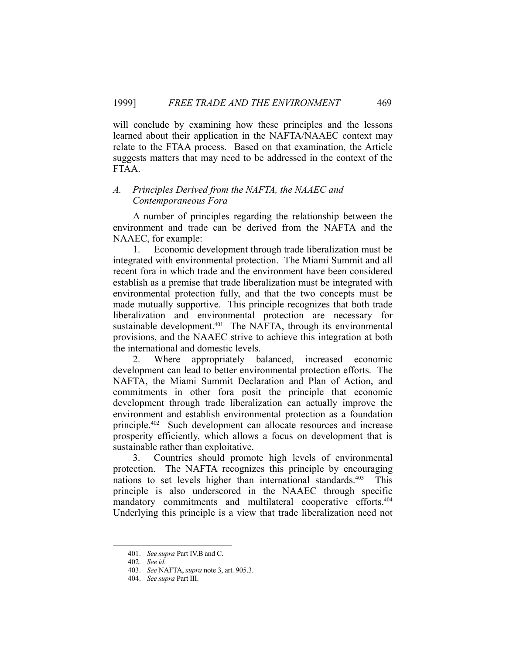will conclude by examining how these principles and the lessons learned about their application in the NAFTA/NAAEC context may relate to the FTAA process. Based on that examination, the Article suggests matters that may need to be addressed in the context of the FTAA.

#### *A. Principles Derived from the NAFTA, the NAAEC and Contemporaneous Fora*

 A number of principles regarding the relationship between the environment and trade can be derived from the NAFTA and the NAAEC, for example:

 1. Economic development through trade liberalization must be integrated with environmental protection. The Miami Summit and all recent fora in which trade and the environment have been considered establish as a premise that trade liberalization must be integrated with environmental protection fully, and that the two concepts must be made mutually supportive. This principle recognizes that both trade liberalization and environmental protection are necessary for sustainable development.<sup>401</sup> The NAFTA, through its environmental provisions, and the NAAEC strive to achieve this integration at both the international and domestic levels.

 2. Where appropriately balanced, increased economic development can lead to better environmental protection efforts. The NAFTA, the Miami Summit Declaration and Plan of Action, and commitments in other fora posit the principle that economic development through trade liberalization can actually improve the environment and establish environmental protection as a foundation principle.402 Such development can allocate resources and increase prosperity efficiently, which allows a focus on development that is sustainable rather than exploitative.

 3. Countries should promote high levels of environmental protection. The NAFTA recognizes this principle by encouraging nations to set levels higher than international standards.<sup>403</sup> This principle is also underscored in the NAAEC through specific mandatory commitments and multilateral cooperative efforts.<sup>404</sup> Underlying this principle is a view that trade liberalization need not

 <sup>401.</sup> *See supra* Part IV.B and C.

 <sup>402.</sup> *See id.*

 <sup>403.</sup> *See* NAFTA, *supra* note 3, art. 905.3.

 <sup>404.</sup> *See supra* Part III.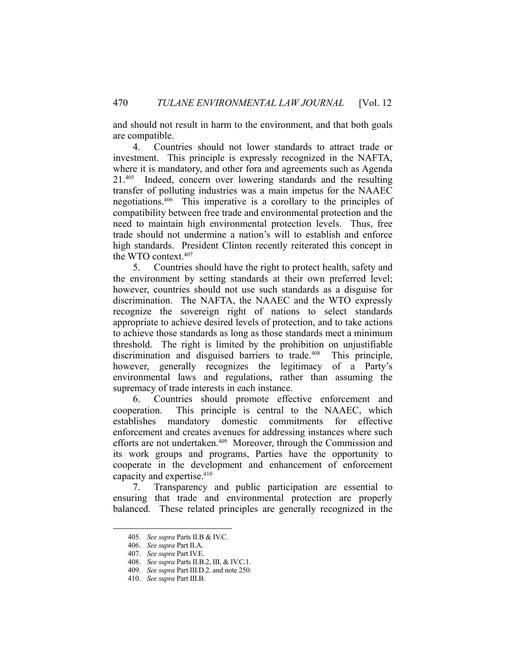and should not result in harm to the environment, and that both goals are compatible.

 4. Countries should not lower standards to attract trade or investment. This principle is expressly recognized in the NAFTA, where it is mandatory, and other fora and agreements such as Agenda 21.405 Indeed, concern over lowering standards and the resulting transfer of polluting industries was a main impetus for the NAAEC negotiations.406 This imperative is a corollary to the principles of compatibility between free trade and environmental protection and the need to maintain high environmental protection levels. Thus, free trade should not undermine a nation's will to establish and enforce high standards. President Clinton recently reiterated this concept in the WTO context.407

 5. Countries should have the right to protect health, safety and the environment by setting standards at their own preferred level; however, countries should not use such standards as a disguise for discrimination. The NAFTA, the NAAEC and the WTO expressly recognize the sovereign right of nations to select standards appropriate to achieve desired levels of protection, and to take actions to achieve those standards as long as those standards meet a minimum threshold. The right is limited by the prohibition on unjustifiable discrimination and disguised barriers to trade.<sup>408</sup> This principle, however, generally recognizes the legitimacy of a Party's environmental laws and regulations, rather than assuming the supremacy of trade interests in each instance.

 6. Countries should promote effective enforcement and cooperation. This principle is central to the NAAEC, which establishes mandatory domestic commitments for effective enforcement and creates avenues for addressing instances where such efforts are not undertaken.<sup>409</sup> Moreover, through the Commission and its work groups and programs, Parties have the opportunity to cooperate in the development and enhancement of enforcement capacity and expertise.410

 7. Transparency and public participation are essential to ensuring that trade and environmental protection are properly balanced. These related principles are generally recognized in the

 <sup>405.</sup> *See supra* Parts II.B & IV.C.

 <sup>406.</sup> *See supra* Part II.A.

 <sup>407.</sup> *See supra* Part IV.E.

 <sup>408.</sup> *See supra* Parts II.B.2, III, & IV.C.1.

 <sup>409.</sup> *See supra* Part III.D.2. and note 250.

 <sup>410.</sup> *See supra* Part III.B.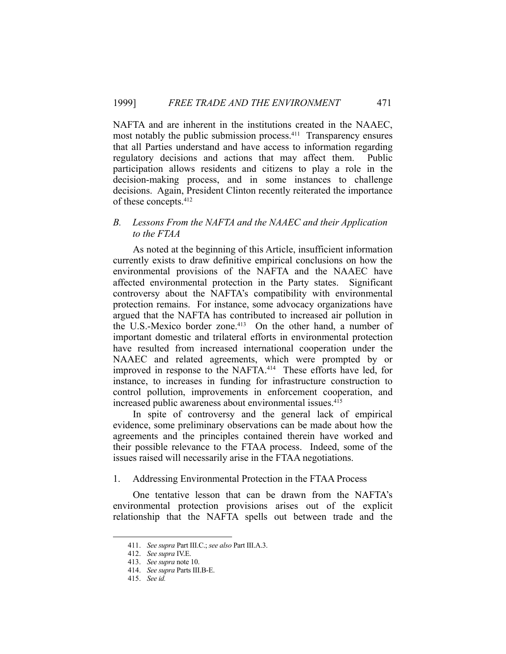NAFTA and are inherent in the institutions created in the NAAEC, most notably the public submission process.<sup>411</sup> Transparency ensures that all Parties understand and have access to information regarding regulatory decisions and actions that may affect them. Public participation allows residents and citizens to play a role in the decision-making process, and in some instances to challenge decisions. Again, President Clinton recently reiterated the importance of these concepts.412

## *B. Lessons From the NAFTA and the NAAEC and their Application to the FTAA*

 As noted at the beginning of this Article, insufficient information currently exists to draw definitive empirical conclusions on how the environmental provisions of the NAFTA and the NAAEC have affected environmental protection in the Party states. Significant controversy about the NAFTA's compatibility with environmental protection remains. For instance, some advocacy organizations have argued that the NAFTA has contributed to increased air pollution in the U.S.-Mexico border zone.<sup>413</sup> On the other hand, a number of important domestic and trilateral efforts in environmental protection have resulted from increased international cooperation under the NAAEC and related agreements, which were prompted by or improved in response to the NAFTA.<sup>414</sup> These efforts have led, for instance, to increases in funding for infrastructure construction to control pollution, improvements in enforcement cooperation, and increased public awareness about environmental issues.<sup>415</sup>

 In spite of controversy and the general lack of empirical evidence, some preliminary observations can be made about how the agreements and the principles contained therein have worked and their possible relevance to the FTAA process. Indeed, some of the issues raised will necessarily arise in the FTAA negotiations.

# 1. Addressing Environmental Protection in the FTAA Process

 One tentative lesson that can be drawn from the NAFTA's environmental protection provisions arises out of the explicit relationship that the NAFTA spells out between trade and the

 <sup>411.</sup> *See supra* Part III.C.; *see also* Part III.A.3.

 <sup>412.</sup> *See supra* IV.E.

 <sup>413.</sup> *See supra* note 10.

 <sup>414.</sup> *See supra* Parts III.B-E.

 <sup>415.</sup> *See id.*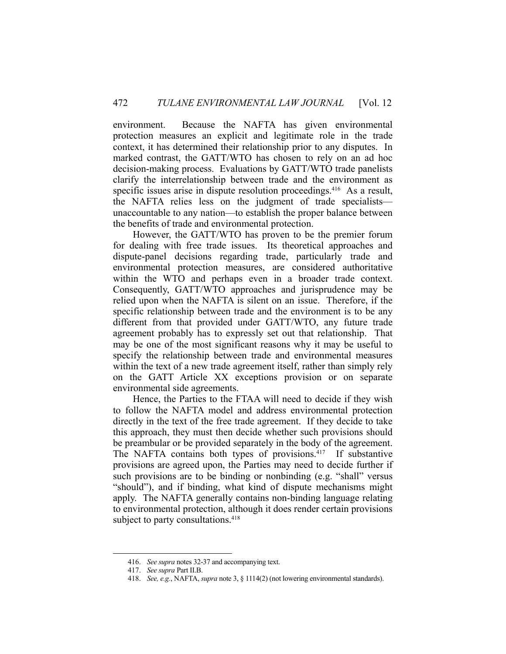environment. Because the NAFTA has given environmental protection measures an explicit and legitimate role in the trade context, it has determined their relationship prior to any disputes. In marked contrast, the GATT/WTO has chosen to rely on an ad hoc decision-making process. Evaluations by GATT/WTO trade panelists clarify the interrelationship between trade and the environment as specific issues arise in dispute resolution proceedings.<sup>416</sup> As a result, the NAFTA relies less on the judgment of trade specialists unaccountable to any nation—to establish the proper balance between the benefits of trade and environmental protection.

 However, the GATT/WTO has proven to be the premier forum for dealing with free trade issues. Its theoretical approaches and dispute-panel decisions regarding trade, particularly trade and environmental protection measures, are considered authoritative within the WTO and perhaps even in a broader trade context. Consequently, GATT/WTO approaches and jurisprudence may be relied upon when the NAFTA is silent on an issue. Therefore, if the specific relationship between trade and the environment is to be any different from that provided under GATT/WTO, any future trade agreement probably has to expressly set out that relationship. That may be one of the most significant reasons why it may be useful to specify the relationship between trade and environmental measures within the text of a new trade agreement itself, rather than simply rely on the GATT Article XX exceptions provision or on separate environmental side agreements.

 Hence, the Parties to the FTAA will need to decide if they wish to follow the NAFTA model and address environmental protection directly in the text of the free trade agreement. If they decide to take this approach, they must then decide whether such provisions should be preambular or be provided separately in the body of the agreement. The NAFTA contains both types of provisions.<sup>417</sup> If substantive provisions are agreed upon, the Parties may need to decide further if such provisions are to be binding or nonbinding (e.g. "shall" versus "should"), and if binding, what kind of dispute mechanisms might apply. The NAFTA generally contains non-binding language relating to environmental protection, although it does render certain provisions subject to party consultations.<sup>418</sup>

 <sup>416.</sup> *See supra* notes 32-37 and accompanying text.

 <sup>417.</sup> *See supra* Part II.B.

 <sup>418.</sup> *See, e.g.*, NAFTA, *supra* note 3, § 1114(2) (not lowering environmental standards).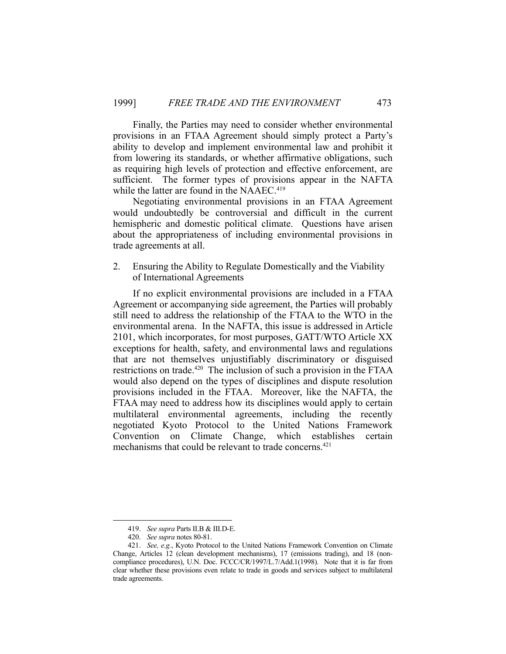Finally, the Parties may need to consider whether environmental provisions in an FTAA Agreement should simply protect a Party's ability to develop and implement environmental law and prohibit it from lowering its standards, or whether affirmative obligations, such as requiring high levels of protection and effective enforcement, are sufficient. The former types of provisions appear in the NAFTA while the latter are found in the NAAEC.<sup>419</sup>

 Negotiating environmental provisions in an FTAA Agreement would undoubtedly be controversial and difficult in the current hemispheric and domestic political climate. Questions have arisen about the appropriateness of including environmental provisions in trade agreements at all.

2. Ensuring the Ability to Regulate Domestically and the Viability of International Agreements

 If no explicit environmental provisions are included in a FTAA Agreement or accompanying side agreement, the Parties will probably still need to address the relationship of the FTAA to the WTO in the environmental arena. In the NAFTA, this issue is addressed in Article 2101, which incorporates, for most purposes, GATT/WTO Article XX exceptions for health, safety, and environmental laws and regulations that are not themselves unjustifiably discriminatory or disguised restrictions on trade.<sup>420</sup> The inclusion of such a provision in the FTAA would also depend on the types of disciplines and dispute resolution provisions included in the FTAA. Moreover, like the NAFTA, the FTAA may need to address how its disciplines would apply to certain multilateral environmental agreements, including the recently negotiated Kyoto Protocol to the United Nations Framework Convention on Climate Change, which establishes certain mechanisms that could be relevant to trade concerns.<sup>421</sup>

 <sup>419.</sup> *See supra* Parts II.B & III.D-E.

 <sup>420.</sup> *See supra* notes 80-81.

 <sup>421.</sup> *See, e.g.*, Kyoto Protocol to the United Nations Framework Convention on Climate Change, Articles 12 (clean development mechanisms), 17 (emissions trading), and 18 (noncompliance procedures), U.N. Doc. FCCC/CR/1997/L.7/Add.1(1998). Note that it is far from clear whether these provisions even relate to trade in goods and services subject to multilateral trade agreements.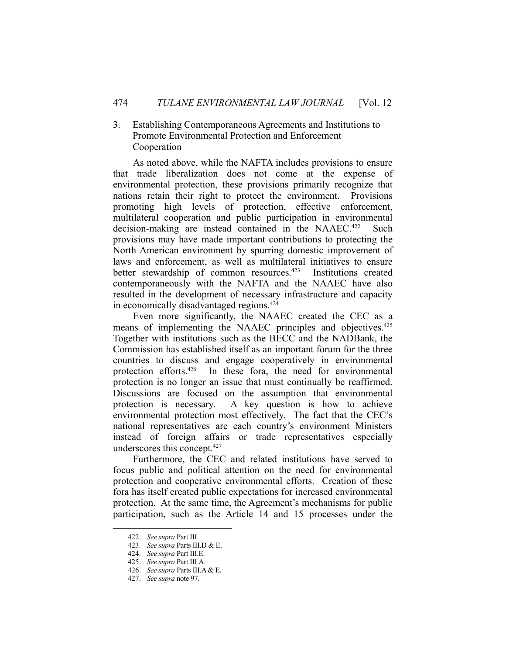## 3. Establishing Contemporaneous Agreements and Institutions to Promote Environmental Protection and Enforcement Cooperation

 As noted above, while the NAFTA includes provisions to ensure that trade liberalization does not come at the expense of environmental protection, these provisions primarily recognize that nations retain their right to protect the environment. Provisions promoting high levels of protection, effective enforcement, multilateral cooperation and public participation in environmental decision-making are instead contained in the NAAEC.<sup>422</sup> Such provisions may have made important contributions to protecting the North American environment by spurring domestic improvement of laws and enforcement, as well as multilateral initiatives to ensure better stewardship of common resources.<sup>423</sup> Institutions created contemporaneously with the NAFTA and the NAAEC have also resulted in the development of necessary infrastructure and capacity in economically disadvantaged regions.424

 Even more significantly, the NAAEC created the CEC as a means of implementing the NAAEC principles and objectives.<sup>425</sup> Together with institutions such as the BECC and the NADBank, the Commission has established itself as an important forum for the three countries to discuss and engage cooperatively in environmental protection efforts.426 In these fora, the need for environmental protection is no longer an issue that must continually be reaffirmed. Discussions are focused on the assumption that environmental protection is necessary. A key question is how to achieve environmental protection most effectively. The fact that the CEC's national representatives are each country's environment Ministers instead of foreign affairs or trade representatives especially underscores this concept.427

 Furthermore, the CEC and related institutions have served to focus public and political attention on the need for environmental protection and cooperative environmental efforts. Creation of these fora has itself created public expectations for increased environmental protection. At the same time, the Agreement's mechanisms for public participation, such as the Article 14 and 15 processes under the

 <sup>422.</sup> *See supra* Part III.

 <sup>423.</sup> *See supra* Parts III.D & E.

 <sup>424.</sup> *See supra* Part III.E.

 <sup>425.</sup> *See supra* Part III.A.

 <sup>426.</sup> *See supra* Parts III.A & E.

 <sup>427.</sup> *See supra* note 97.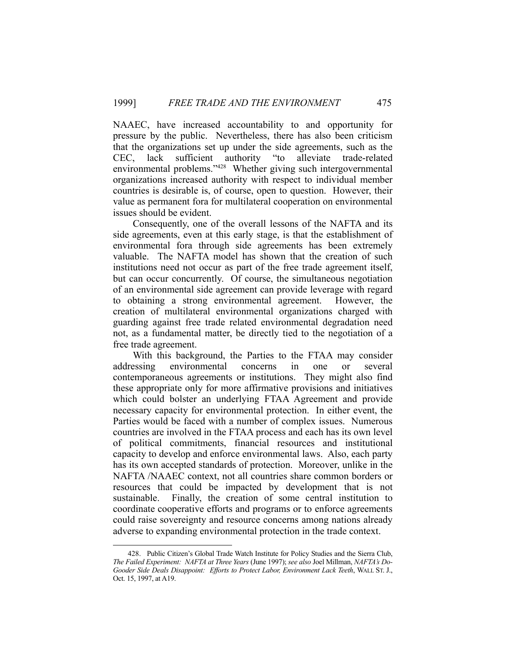NAAEC, have increased accountability to and opportunity for pressure by the public. Nevertheless, there has also been criticism that the organizations set up under the side agreements, such as the CEC, lack sufficient authority "to alleviate trade-related environmental problems."428 Whether giving such intergovernmental organizations increased authority with respect to individual member countries is desirable is, of course, open to question. However, their value as permanent fora for multilateral cooperation on environmental issues should be evident.

 Consequently, one of the overall lessons of the NAFTA and its side agreements, even at this early stage, is that the establishment of environmental fora through side agreements has been extremely valuable. The NAFTA model has shown that the creation of such institutions need not occur as part of the free trade agreement itself, but can occur concurrently. Of course, the simultaneous negotiation of an environmental side agreement can provide leverage with regard to obtaining a strong environmental agreement. However, the creation of multilateral environmental organizations charged with guarding against free trade related environmental degradation need not, as a fundamental matter, be directly tied to the negotiation of a free trade agreement.

 With this background, the Parties to the FTAA may consider addressing environmental concerns in one or several contemporaneous agreements or institutions. They might also find these appropriate only for more affirmative provisions and initiatives which could bolster an underlying FTAA Agreement and provide necessary capacity for environmental protection. In either event, the Parties would be faced with a number of complex issues. Numerous countries are involved in the FTAA process and each has its own level of political commitments, financial resources and institutional capacity to develop and enforce environmental laws. Also, each party has its own accepted standards of protection. Moreover, unlike in the NAFTA /NAAEC context, not all countries share common borders or resources that could be impacted by development that is not sustainable. Finally, the creation of some central institution to coordinate cooperative efforts and programs or to enforce agreements could raise sovereignty and resource concerns among nations already adverse to expanding environmental protection in the trade context.

 <sup>428.</sup> Public Citizen's Global Trade Watch Institute for Policy Studies and the Sierra Club, *The Failed Experiment: NAFTA at Three Years* (June 1997); *see also* Joel Millman, *NAFTA's Do-Gooder Side Deals Disappoint: Efforts to Protect Labor, Environment Lack Teeth*, WALL ST. J., Oct. 15, 1997, at A19.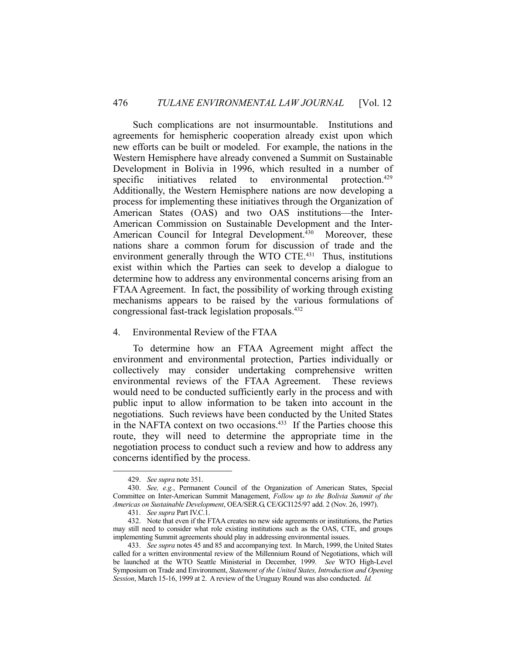Such complications are not insurmountable. Institutions and agreements for hemispheric cooperation already exist upon which new efforts can be built or modeled. For example, the nations in the Western Hemisphere have already convened a Summit on Sustainable Development in Bolivia in 1996, which resulted in a number of specific initiatives related to environmental protection.<sup>429</sup> Additionally, the Western Hemisphere nations are now developing a process for implementing these initiatives through the Organization of American States (OAS) and two OAS institutions—the Inter-American Commission on Sustainable Development and the Inter-American Council for Integral Development.<sup>430</sup> Moreover, these nations share a common forum for discussion of trade and the environment generally through the WTO CTE.<sup>431</sup> Thus, institutions exist within which the Parties can seek to develop a dialogue to determine how to address any environmental concerns arising from an FTAA Agreement. In fact, the possibility of working through existing mechanisms appears to be raised by the various formulations of congressional fast-track legislation proposals.432

#### 4. Environmental Review of the FTAA

 To determine how an FTAA Agreement might affect the environment and environmental protection, Parties individually or collectively may consider undertaking comprehensive written environmental reviews of the FTAA Agreement. These reviews would need to be conducted sufficiently early in the process and with public input to allow information to be taken into account in the negotiations. Such reviews have been conducted by the United States in the NAFTA context on two occasions.433 If the Parties choose this route, they will need to determine the appropriate time in the negotiation process to conduct such a review and how to address any concerns identified by the process.

 <sup>429.</sup> *See supra* note 351.

 <sup>430.</sup> *See, e.g.*, Permanent Council of the Organization of American States, Special Committee on Inter-American Summit Management, *Follow up to the Bolivia Summit of the Americas on Sustainable Development*, OEA/SER.G, CE/GCI125/97 add. 2 (Nov. 26, 1997).

 <sup>431.</sup> *See supra* Part IV.C.1.

 <sup>432.</sup> Note that even if the FTAA creates no new side agreements or institutions, the Parties may still need to consider what role existing institutions such as the OAS, CTE, and groups implementing Summit agreements should play in addressing environmental issues.

 <sup>433.</sup> *See supra* notes 45 and 85 and accompanying text. In March, 1999, the United States called for a written environmental review of the Millennium Round of Negotiations, which will be launched at the WTO Seattle Ministerial in December, 1999. *See* WTO High-Level Symposium on Trade and Environment, *Statement of the United States, Introduction and Opening Session*, March 15-16, 1999 at 2. A review of the Uruguay Round was also conducted. *Id.*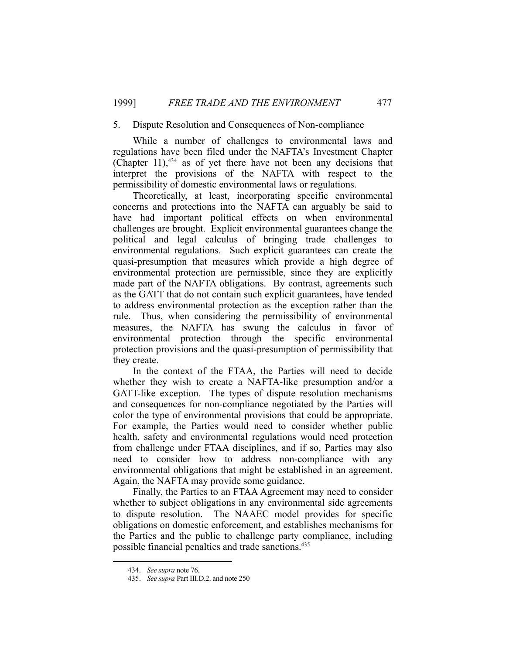## 5. Dispute Resolution and Consequences of Non-compliance

 While a number of challenges to environmental laws and regulations have been filed under the NAFTA's Investment Chapter (Chapter  $11$ ),<sup>434</sup> as of yet there have not been any decisions that interpret the provisions of the NAFTA with respect to the permissibility of domestic environmental laws or regulations.

 Theoretically, at least, incorporating specific environmental concerns and protections into the NAFTA can arguably be said to have had important political effects on when environmental challenges are brought. Explicit environmental guarantees change the political and legal calculus of bringing trade challenges to environmental regulations. Such explicit guarantees can create the quasi-presumption that measures which provide a high degree of environmental protection are permissible, since they are explicitly made part of the NAFTA obligations. By contrast, agreements such as the GATT that do not contain such explicit guarantees, have tended to address environmental protection as the exception rather than the rule. Thus, when considering the permissibility of environmental measures, the NAFTA has swung the calculus in favor of environmental protection through the specific environmental protection provisions and the quasi-presumption of permissibility that they create.

 In the context of the FTAA, the Parties will need to decide whether they wish to create a NAFTA-like presumption and/or a GATT-like exception. The types of dispute resolution mechanisms and consequences for non-compliance negotiated by the Parties will color the type of environmental provisions that could be appropriate. For example, the Parties would need to consider whether public health, safety and environmental regulations would need protection from challenge under FTAA disciplines, and if so, Parties may also need to consider how to address non-compliance with any environmental obligations that might be established in an agreement. Again, the NAFTA may provide some guidance.

 Finally, the Parties to an FTAA Agreement may need to consider whether to subject obligations in any environmental side agreements to dispute resolution. The NAAEC model provides for specific obligations on domestic enforcement, and establishes mechanisms for the Parties and the public to challenge party compliance, including possible financial penalties and trade sanctions.435

1

 <sup>434.</sup> *See supra* note 76.

 <sup>435.</sup> *See supra* Part III.D.2. and note 250